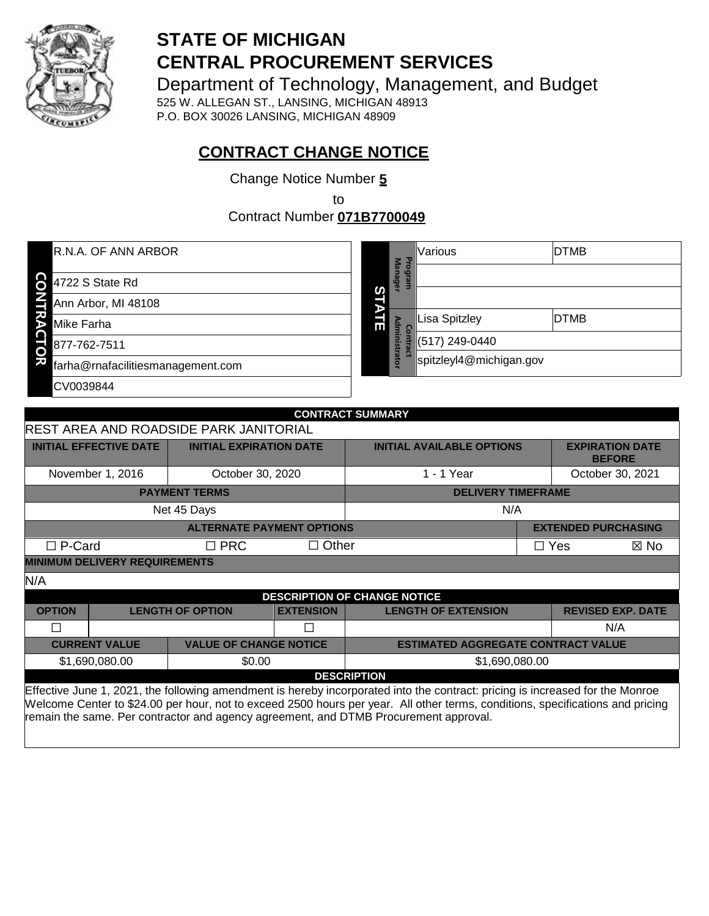

# **STATE OF MICHIGAN CENTRAL PROCUREMENT SERVICES**

Department of Technology, Management, and Budget

525 W. ALLEGAN ST., LANSING, MICHIGAN 48913 P.O. BOX 30026 LANSING, MICHIGAN 48909

# **CONTRACT CHANGE NOTICE**

Change Notice Number **5**

to

Contract Number **071B7700049**

| R.N.A. OF ANN ARBOR                     |   | Ъго<br>Ma     | Various                 | <b>DTMB</b> |
|-----------------------------------------|---|---------------|-------------------------|-------------|
| <u>င</u><br>4722 S State Rd             |   | <b>unager</b> |                         |             |
| Ann Arbor, MI 48108                     | ၯ |               |                         |             |
| Mike Farha                              | 딞 | δ             | <b>Lisa Spitzley</b>    | <b>DTMB</b> |
| 877-762-7511<br>O                       |   | Iministrator  | (517) 249-0440          |             |
| ਖ਼<br>farha@rnafacilitiesmanagement.com |   |               | spitzleyl4@michigan.gov |             |
| CV0039844                               |   |               |                         |             |
|                                         |   |               |                         |             |

|                                                                                                                               | <b>CONTRACT SUMMARY</b>                       |                                  |                  |                                                                                                                               |            |                                         |  |
|-------------------------------------------------------------------------------------------------------------------------------|-----------------------------------------------|----------------------------------|------------------|-------------------------------------------------------------------------------------------------------------------------------|------------|-----------------------------------------|--|
|                                                                                                                               | <b>REST AREA AND ROADSIDE PARK JANITORIAL</b> |                                  |                  |                                                                                                                               |            |                                         |  |
| <b>INITIAL EFFECTIVE DATE</b>                                                                                                 |                                               | <b>INITIAL EXPIRATION DATE</b>   |                  | <b>INITIAL AVAILABLE OPTIONS</b>                                                                                              |            | <b>EXPIRATION DATE</b><br><b>BEFORE</b> |  |
| November 1, 2016                                                                                                              |                                               | October 30, 2020                 |                  | 1 - 1 Year                                                                                                                    |            | October 30, 2021                        |  |
|                                                                                                                               |                                               | <b>PAYMENT TERMS</b>             |                  | <b>DELIVERY TIMEFRAME</b>                                                                                                     |            |                                         |  |
|                                                                                                                               |                                               | Net 45 Days                      |                  | N/A                                                                                                                           |            |                                         |  |
|                                                                                                                               |                                               | <b>ALTERNATE PAYMENT OPTIONS</b> |                  |                                                                                                                               |            | <b>EXTENDED PURCHASING</b>              |  |
| $\Box$ P-Card                                                                                                                 |                                               | $\Box$ PRC                       | $\Box$ Other     |                                                                                                                               | $\Box$ Yes | ⊠ No                                    |  |
| <b>MINIMUM DELIVERY REQUIREMENTS</b>                                                                                          |                                               |                                  |                  |                                                                                                                               |            |                                         |  |
| N/A                                                                                                                           |                                               |                                  |                  |                                                                                                                               |            |                                         |  |
|                                                                                                                               |                                               |                                  |                  | <b>DESCRIPTION OF CHANGE NOTICE</b>                                                                                           |            |                                         |  |
| <b>OPTION</b>                                                                                                                 |                                               | <b>LENGTH OF OPTION</b>          | <b>EXTENSION</b> | <b>LENGTH OF EXTENSION</b>                                                                                                    |            | <b>REVISED EXP. DATE</b>                |  |
| П                                                                                                                             |                                               |                                  |                  |                                                                                                                               |            | N/A                                     |  |
| <b>CURRENT VALUE</b>                                                                                                          |                                               | <b>VALUE OF CHANGE NOTICE</b>    |                  | <b>ESTIMATED AGGREGATE CONTRACT VALUE</b>                                                                                     |            |                                         |  |
| \$1,690,080.00                                                                                                                |                                               | \$0.00                           |                  | \$1,690,080.00                                                                                                                |            |                                         |  |
| <b>DESCRIPTION</b>                                                                                                            |                                               |                                  |                  |                                                                                                                               |            |                                         |  |
|                                                                                                                               |                                               |                                  |                  | Effective June 1, 2021, the following amendment is hereby incorporated into the contract: pricing is increased for the Monroe |            |                                         |  |
| Melcome Center to \$24.00 per bour not to exceed 2500 bours per year. All other terms, conditions, specifications and pricing |                                               |                                  |                  |                                                                                                                               |            |                                         |  |

Welcome Center to \$24.00 per hour, not to exceed 2500 hours per year. All other terms, conditions, specifications and pricing remain the same. Per contractor and agency agreement, and DTMB Procurement approval.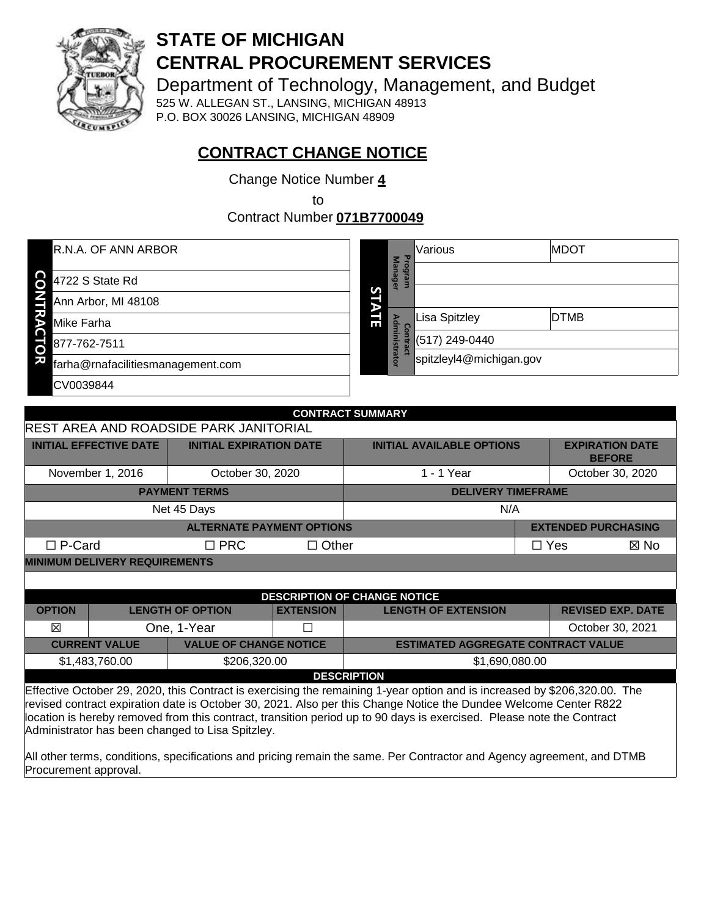

# **STATE OF MICHIGAN CENTRAL PROCUREMENT SERVICES**

Department of Technology, Management, and Budget

525 W. ALLEGAN ST., LANSING, MICHIGAN 48913 P.O. BOX 30026 LANSING, MICHIGAN 48909

# **CONTRACT CHANGE NOTICE**

Change Notice Number **4**

to

Contract Number **071B7700049**

| R.N.A. OF ANN ARBOR                    |   | P<br>3                   | Various                 | <b>MDOT</b> |
|----------------------------------------|---|--------------------------|-------------------------|-------------|
| 84722 S State Rd                       |   | eue<br>ara<br><b>Gel</b> |                         |             |
| Ann Arbor, MI 48108                    | S |                          |                         |             |
| ጜ<br><b>Mike Farha</b>                 | 긂 | $\Omega$<br>Е            | <b>Lisa Spitzley</b>    | <b>DTMB</b> |
| 877-762-7511<br>5                      |   | inistrator               | (517) 249-0440          |             |
| 灭<br>farha@rnafacilitiesmanagement.com |   |                          | spitzleyl4@michigan.gov |             |
| CV0039844                              |   |                          |                         |             |
|                                        |   |                          |                         |             |

| <b>CONTRACT SUMMARY</b>                                                                                                                                                                                                                                                                                                                                                                                                                                                        |                                                  |                                  |                  |                                           |                                  |            |                                         |
|--------------------------------------------------------------------------------------------------------------------------------------------------------------------------------------------------------------------------------------------------------------------------------------------------------------------------------------------------------------------------------------------------------------------------------------------------------------------------------|--------------------------------------------------|----------------------------------|------------------|-------------------------------------------|----------------------------------|------------|-----------------------------------------|
| <b>REST AREA AND ROADSIDE PARK JANITORIAL</b>                                                                                                                                                                                                                                                                                                                                                                                                                                  |                                                  |                                  |                  |                                           |                                  |            |                                         |
| <b>INITIAL EFFECTIVE DATE</b>                                                                                                                                                                                                                                                                                                                                                                                                                                                  |                                                  | <b>INITIAL EXPIRATION DATE</b>   |                  |                                           | <b>INITIAL AVAILABLE OPTIONS</b> |            | <b>EXPIRATION DATE</b><br><b>BEFORE</b> |
| November 1, 2016                                                                                                                                                                                                                                                                                                                                                                                                                                                               |                                                  | October 30, 2020                 |                  | 1 - 1 Year                                |                                  |            | October 30, 2020                        |
|                                                                                                                                                                                                                                                                                                                                                                                                                                                                                |                                                  | <b>PAYMENT TERMS</b>             |                  | <b>DELIVERY TIMEFRAME</b>                 |                                  |            |                                         |
| Net 45 Days<br>N/A                                                                                                                                                                                                                                                                                                                                                                                                                                                             |                                                  |                                  |                  |                                           |                                  |            |                                         |
|                                                                                                                                                                                                                                                                                                                                                                                                                                                                                |                                                  | <b>ALTERNATE PAYMENT OPTIONS</b> |                  |                                           |                                  |            | <b>EXTENDED PURCHASING</b>              |
| $\Box$ P-Card                                                                                                                                                                                                                                                                                                                                                                                                                                                                  |                                                  | $\Box$ PRC                       | $\Box$ Other     |                                           |                                  | $\Box$ Yes | $\boxtimes$ No                          |
| <b>MINIMUM DELIVERY REQUIREMENTS</b>                                                                                                                                                                                                                                                                                                                                                                                                                                           |                                                  |                                  |                  |                                           |                                  |            |                                         |
|                                                                                                                                                                                                                                                                                                                                                                                                                                                                                |                                                  |                                  |                  |                                           |                                  |            |                                         |
|                                                                                                                                                                                                                                                                                                                                                                                                                                                                                |                                                  |                                  |                  | <b>DESCRIPTION OF CHANGE NOTICE</b>       |                                  |            |                                         |
| <b>OPTION</b>                                                                                                                                                                                                                                                                                                                                                                                                                                                                  |                                                  | <b>LENGTH OF OPTION</b>          | <b>EXTENSION</b> | <b>LENGTH OF EXTENSION</b>                |                                  |            | <b>REVISED EXP. DATE</b>                |
| 冈                                                                                                                                                                                                                                                                                                                                                                                                                                                                              |                                                  | One, 1-Year                      |                  |                                           |                                  |            | October 30, 2021                        |
| <b>CURRENT VALUE</b>                                                                                                                                                                                                                                                                                                                                                                                                                                                           |                                                  | <b>VALUE OF CHANGE NOTICE</b>    |                  | <b>ESTIMATED AGGREGATE CONTRACT VALUE</b> |                                  |            |                                         |
|                                                                                                                                                                                                                                                                                                                                                                                                                                                                                | \$206,320.00<br>\$1,483,760.00<br>\$1,690,080.00 |                                  |                  |                                           |                                  |            |                                         |
| <b>DESCRIPTION</b>                                                                                                                                                                                                                                                                                                                                                                                                                                                             |                                                  |                                  |                  |                                           |                                  |            |                                         |
| Effective October 29, 2020, this Contract is exercising the remaining 1-year option and is increased by \$206,320.00. The<br>revised contract expiration date is October 30, 2021. Also per this Change Notice the Dundee Welcome Center R822<br>. The set of the set of the set of the set of the set of the set of the set of the set of the set of the set of the set of the set of the set of the set of the set of the set of the set of the set of the set of the set of |                                                  |                                  |                  |                                           |                                  |            |                                         |

location is hereby removed from this contract, transition period up to 90 days is exercised. Please note the Contract Administrator has been changed to Lisa Spitzley.

All other terms, conditions, specifications and pricing remain the same. Per Contractor and Agency agreement, and DTMB Procurement approval.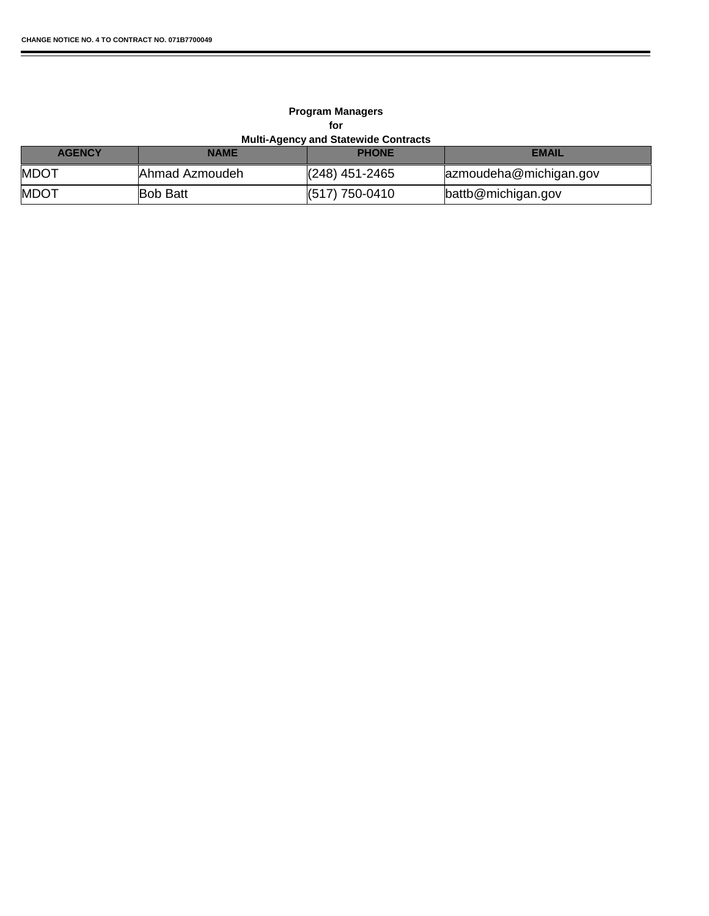r

#### **Multi-Agency and Statewide Contracts Program Managers for**

| <b>AGENCY</b> | <b>NAME</b>     | <b>PHONE</b>     | EMAIL                  |
|---------------|-----------------|------------------|------------------------|
| <b>MDOT</b>   | Ahmad Azmoudeh  | $(248)$ 451-2465 | azmoudeha@michigan.gov |
| <b>MDOT</b>   | <b>Bob Batt</b> | $(517)$ 750-0410 | battb@michigan.gov     |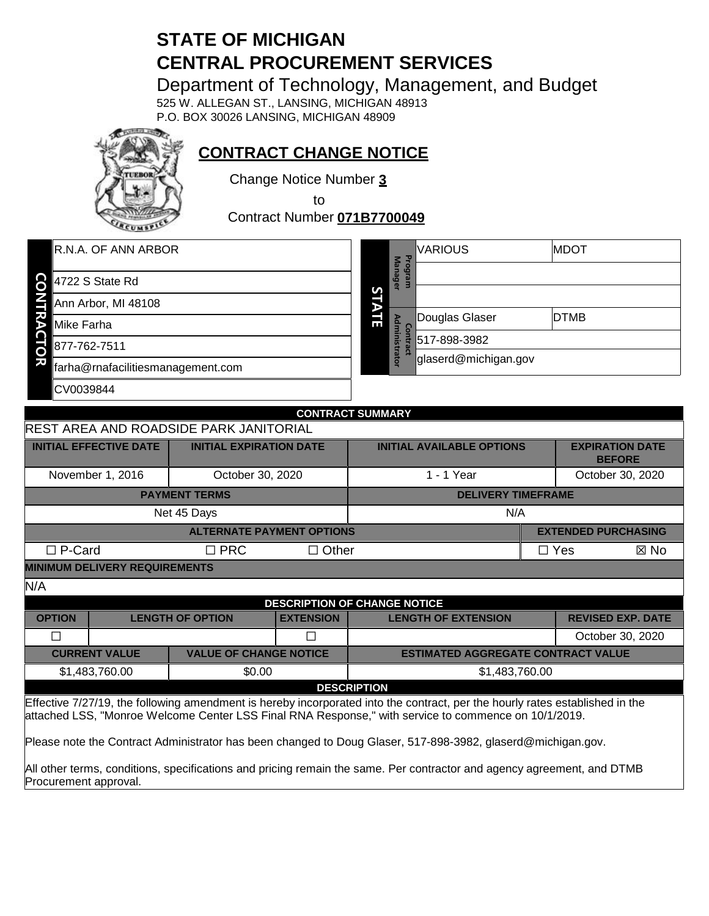# **STATE OF MICHIGAN CENTRAL PROCUREMENT SERVICES**

Department of Technology, Management, and Budget

525 W. ALLEGAN ST., LANSING, MICHIGAN 48913 P.O. BOX 30026 LANSING, MICHIGAN 48909



**CONTRACT CHANGE NOTICE**

Change Notice Number **3**

to

Contract Number **071B7700049**

| R.N.A. OF ANN ARBOR                     |        | Pro                    | <b>VARIOUS</b>       | <b>MDOT</b> |
|-----------------------------------------|--------|------------------------|----------------------|-------------|
| CO<br>4722 S State Rd                   |        | <b>Manager</b>         |                      |             |
| Ann Arbor, MI 48108                     | S<br>D |                        |                      |             |
| z<br>Mike Farha<br>в                    | 긂      |                        | Douglas Glaser       | <b>DTMB</b> |
| 877-762-7511<br>$\overline{\mathsf{d}}$ |        | Administra<br>$\omega$ | 517-898-3982         |             |
| 灭<br>farha@rnafacilitiesmanagement.com  |        | ā                      | glaserd@michigan.gov |             |
| CV0039844                               |        |                        |                      |             |
|                                         |        |                        |                      |             |

|                                                                                                                                                                                                                                      | <b>CONTRACT SUMMARY</b>                                                                                                                         |                                        |                  |                                           |            |                                         |                            |
|--------------------------------------------------------------------------------------------------------------------------------------------------------------------------------------------------------------------------------------|-------------------------------------------------------------------------------------------------------------------------------------------------|----------------------------------------|------------------|-------------------------------------------|------------|-----------------------------------------|----------------------------|
|                                                                                                                                                                                                                                      |                                                                                                                                                 | REST AREA AND ROADSIDE PARK JANITORIAL |                  |                                           |            |                                         |                            |
|                                                                                                                                                                                                                                      | <b>INITIAL EFFECTIVE DATE</b>                                                                                                                   | <b>INITIAL EXPIRATION DATE</b>         |                  | <b>INITIAL AVAILABLE OPTIONS</b>          |            | <b>EXPIRATION DATE</b><br><b>BEFORE</b> |                            |
|                                                                                                                                                                                                                                      | November 1, 2016                                                                                                                                | October 30, 2020                       |                  | 1 - 1 Year                                |            | October 30, 2020                        |                            |
|                                                                                                                                                                                                                                      |                                                                                                                                                 | <b>PAYMENT TERMS</b>                   |                  | <b>DELIVERY TIMEFRAME</b>                 |            |                                         |                            |
|                                                                                                                                                                                                                                      |                                                                                                                                                 | Net 45 Days                            |                  | N/A                                       |            |                                         |                            |
|                                                                                                                                                                                                                                      |                                                                                                                                                 | <b>ALTERNATE PAYMENT OPTIONS</b>       |                  |                                           |            |                                         | <b>EXTENDED PURCHASING</b> |
| $\Box$ P-Card                                                                                                                                                                                                                        |                                                                                                                                                 | $\Box$ PRC                             | $\Box$ Other     |                                           | $\Box$ Yes |                                         | $\boxtimes$ No             |
| <b>MINIMUM DELIVERY REQUIREMENTS</b>                                                                                                                                                                                                 |                                                                                                                                                 |                                        |                  |                                           |            |                                         |                            |
| N/A                                                                                                                                                                                                                                  |                                                                                                                                                 |                                        |                  |                                           |            |                                         |                            |
| <b>DESCRIPTION OF CHANGE NOTICE</b>                                                                                                                                                                                                  |                                                                                                                                                 |                                        |                  |                                           |            |                                         |                            |
| <b>OPTION</b>                                                                                                                                                                                                                        |                                                                                                                                                 | <b>LENGTH OF OPTION</b>                | <b>EXTENSION</b> | <b>LENGTH OF EXTENSION</b>                |            |                                         | <b>REVISED EXP. DATE</b>   |
| П                                                                                                                                                                                                                                    |                                                                                                                                                 |                                        | П                |                                           |            |                                         | October 30, 2020           |
|                                                                                                                                                                                                                                      | <b>CURRENT VALUE</b>                                                                                                                            | <b>VALUE OF CHANGE NOTICE</b>          |                  | <b>ESTIMATED AGGREGATE CONTRACT VALUE</b> |            |                                         |                            |
|                                                                                                                                                                                                                                      | \$1,483,760.00                                                                                                                                  | \$0.00                                 |                  | \$1,483,760.00                            |            |                                         |                            |
|                                                                                                                                                                                                                                      |                                                                                                                                                 |                                        |                  | <b>DESCRIPTION</b>                        |            |                                         |                            |
| Effective 7/27/19, the following amendment is hereby incorporated into the contract, per the hourly rates established in the<br>attached LSS, "Monroe Welcome Center LSS Final RNA Response," with service to commence on 10/1/2019. |                                                                                                                                                 |                                        |                  |                                           |            |                                         |                            |
| Please note the Contract Administrator has been changed to Doug Glaser, 517-898-3982, glaserd@michigan.gov.                                                                                                                          |                                                                                                                                                 |                                        |                  |                                           |            |                                         |                            |
|                                                                                                                                                                                                                                      | All other terms, conditions, specifications and pricing remain the same. Per contractor and agency agreement, and DTMB<br>Procurement approval. |                                        |                  |                                           |            |                                         |                            |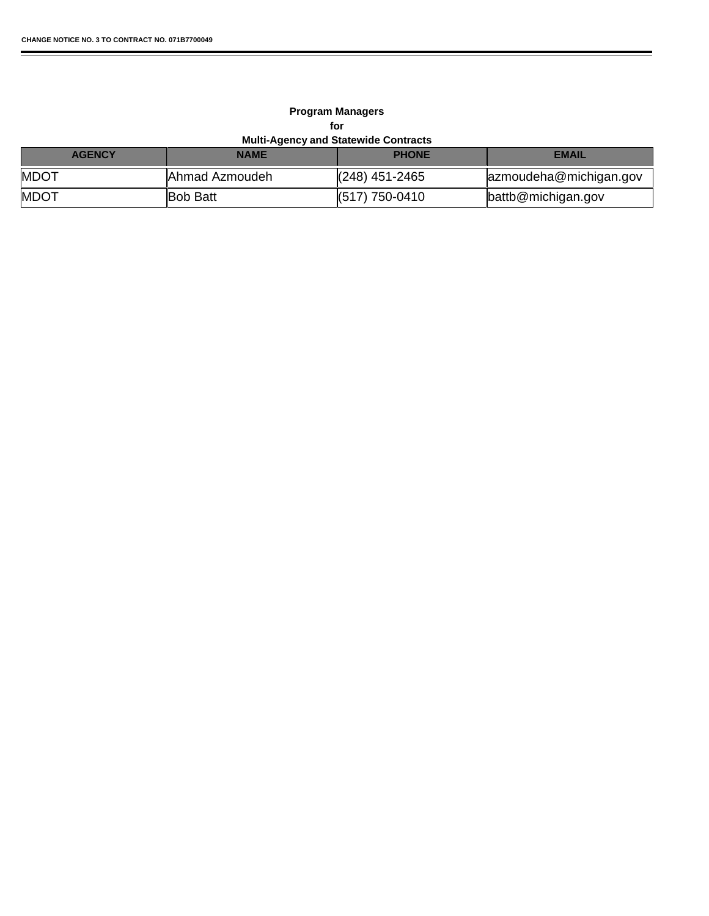r

#### **Multi-Agency and Statewide Contracts Program Managers for**

▬

| <b>AGENCY</b> | <b>NAME</b>    | <b>PHONE</b>               | <b>EMAIL</b>           |
|---------------|----------------|----------------------------|------------------------|
| <b>MDOT</b>   | Ahmad Azmoudeh | $\parallel$ (248) 451-2465 | azmoudeha@michigan.gov |
| <b>MDOT</b>   | ∥Bob Batt      | $\parallel$ (517) 750-0410 | battb@michigan.gov     |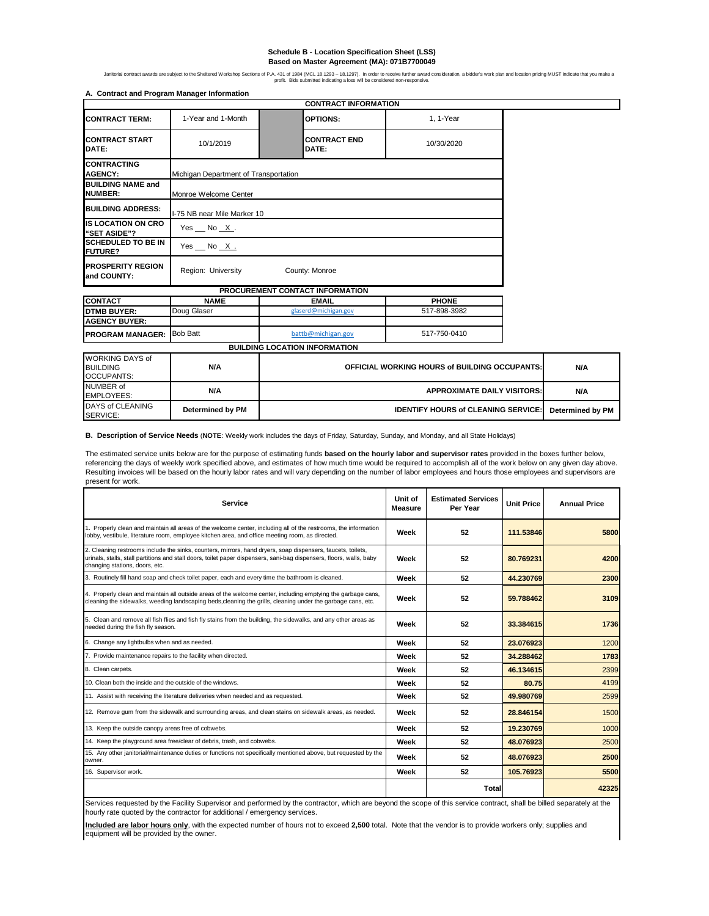#### **Schedule B - Location Specification Sheet (LSS) Based on Master Agreement (MA): 071B7700049**

Jantonal contract awards are subject to the Sheltered Workshop Sections of P.A. 431 of 1943 (MCL 18.1297). In order to receive to three award consideration, a bidder's work plan and location prioring MUS1 indicate that you

| A. Contract and Program Manager Information |                                       | <b>CONTRACT INFORMATION</b>          |              |  |  |
|---------------------------------------------|---------------------------------------|--------------------------------------|--------------|--|--|
| <b>CONTRACT TERM:</b>                       | 1-Year and 1-Month                    |                                      | $1.1$ -Year  |  |  |
|                                             |                                       | <b>OPTIONS:</b>                      |              |  |  |
| <b>CONTRACT START</b><br>DATE:              | 10/1/2019                             | <b>CONTRACT END</b><br>DATE:         | 10/30/2020   |  |  |
| <b>CONTRACTING</b><br><b>AGENCY:</b>        | Michigan Department of Transportation |                                      |              |  |  |
| <b>BUILDING NAME and</b><br><b>NUMBER:</b>  | Monroe Welcome Center                 |                                      |              |  |  |
| <b>BUILDING ADDRESS:</b>                    | I-75 NB near Mile Marker 10           |                                      |              |  |  |
| <b>IS LOCATION ON CRO</b><br>"SET ASIDE"?   | Yes $No X.$                           |                                      |              |  |  |
| <b>SCHEDULED TO BE IN</b><br><b>FUTURE?</b> | Yes No X.                             |                                      |              |  |  |
| <b>PROSPERITY REGION</b><br>and COUNTY:     | Region: University                    | County: Monroe                       |              |  |  |
|                                             |                                       | PROCUREMENT CONTACT INFORMATION      |              |  |  |
| <b>CONTACT</b>                              | <b>NAME</b>                           | <b>EMAIL</b>                         | <b>PHONE</b> |  |  |
| <b>DTMB BUYER:</b>                          | Doug Glaser                           | glaserd@michigan.gov                 | 517-898-3982 |  |  |
| <b>AGENCY BUYER:</b>                        |                                       |                                      |              |  |  |
| <b>PROGRAM MANAGER:</b>                     | <b>Bob Batt</b>                       | battb@michigan.gov                   | 517-750-0410 |  |  |
|                                             |                                       | <b>BUILDING LOCATION INFORMATION</b> |              |  |  |
|                                             |                                       |                                      |              |  |  |

| DAYS of CLEANING<br>SERVICE:                             | Determined by PM | <b>IDENTIFY HOURS of CLEANING SERVICE:</b>           | Determined by PM |
|----------------------------------------------------------|------------------|------------------------------------------------------|------------------|
| NUMBER of<br><b>EMPLOYEES:</b>                           | N/A              | <b>APPROXIMATE DAILY VISITORS:</b>                   | N/A              |
| IWORKING DAYS of<br><b>BUILDING</b><br><b>OCCUPANTS:</b> | N/A              | <b>OFFICIAL WORKING HOURS of BUILDING OCCUPANTS:</b> | N/A              |

**B. Description of Service Needs** (**NOTE**: Weekly work includes the days of Friday, Saturday, Sunday, and Monday, and all State Holidays)

The estimated service units below are for the purpose of estimating funds **based on the hourly labor and supervisor rates** provided in the boxes further below, referencing the days of weekly work specified above, and estimates of how much time would be required to accomplish all of the work below on any given day above. Resulting invoices will be based on the hourly labor rates and will vary depending on the number of labor employees and hours those employees and supervisors are present for work.

| Service                                                                                                                                                                                                                                                               | Unit of<br><b>Measure</b> | <b>Estimated Services</b><br>Per Year | <b>Unit Price</b> | <b>Annual Price</b> |
|-----------------------------------------------------------------------------------------------------------------------------------------------------------------------------------------------------------------------------------------------------------------------|---------------------------|---------------------------------------|-------------------|---------------------|
| 1. Properly clean and maintain all areas of the welcome center, including all of the restrooms, the information<br>lobby, vestibule, literature room, employee kitchen area, and office meeting room, as directed.                                                    | Week                      | 52                                    | 111.53846         | 5800                |
| 2. Cleaning restrooms include the sinks, counters, mirrors, hand dryers, soap dispensers, faucets, toilets,<br>urinals, stalls, stall partitions and stall doors, toilet paper dispensers, sani-bag dispensers, floors, walls, baby<br>changing stations, doors, etc. | Week                      | 52                                    | 80.769231         | 4200                |
| 3. Routinely fill hand soap and check toilet paper, each and every time the bathroom is cleaned.                                                                                                                                                                      | Week                      | 52                                    | 44.230769         | 2300                |
| 4. Properly clean and maintain all outside areas of the welcome center, including emptying the garbage cans,<br>cleaning the sidewalks, weeding landscaping beds, cleaning the grills, cleaning under the garbage cans, etc.                                          | Week                      | 52                                    | 59.788462         | 3109                |
| 5. Clean and remove all fish flies and fish fly stains from the building, the sidewalks, and any other areas as<br>needed during the fish fly season.                                                                                                                 | Week                      | 52                                    | 33.384615         | 1736                |
| 6. Change any lightbulbs when and as needed.                                                                                                                                                                                                                          | Week                      | 52                                    | 23.076923         | 1200                |
| 7. Provide maintenance repairs to the facility when directed.                                                                                                                                                                                                         | Week                      | 52                                    | 34.288462         | 1783                |
| 8. Clean carpets.                                                                                                                                                                                                                                                     | Week                      | 52                                    | 46.134615         | 2399                |
| 10. Clean both the inside and the outside of the windows.                                                                                                                                                                                                             | Week                      | 52                                    | 80.75             | 4199                |
| 11. Assist with receiving the literature deliveries when needed and as requested.                                                                                                                                                                                     | Week                      | 52                                    | 49.980769         | 2599                |
| 12. Remove gum from the sidewalk and surrounding areas, and clean stains on sidewalk areas, as needed.                                                                                                                                                                | Week                      | 52                                    | 28.846154         | 1500                |
| 13. Keep the outside canopy areas free of cobwebs.                                                                                                                                                                                                                    | Week                      | 52                                    | 19.230769         | 1000                |
| 14. Keep the playground area free/clear of debris, trash, and cobwebs.                                                                                                                                                                                                | Week                      | 52                                    | 48.076923         | 2500                |
| 15. Any other janitorial/maintenance duties or functions not specifically mentioned above, but requested by the<br>owner.                                                                                                                                             | Week                      | 52                                    | 48.076923         | 2500                |
| 16. Supervisor work.                                                                                                                                                                                                                                                  | Week                      | 52                                    | 105.76923         | 5500                |
|                                                                                                                                                                                                                                                                       |                           | <b>Total</b>                          |                   | 42325               |

Services requested by the Facility Supervisor and performed by the contractor, which are beyond the scope of this service contract, shall be billed separately at the hourly rate quoted by the contractor for additional / emergency services.

**Included are labor hours only**, with the expected number of hours not to exceed **2,500** total. Note that the vendor is to provide workers only; supplies and equipment will be provided by the owner.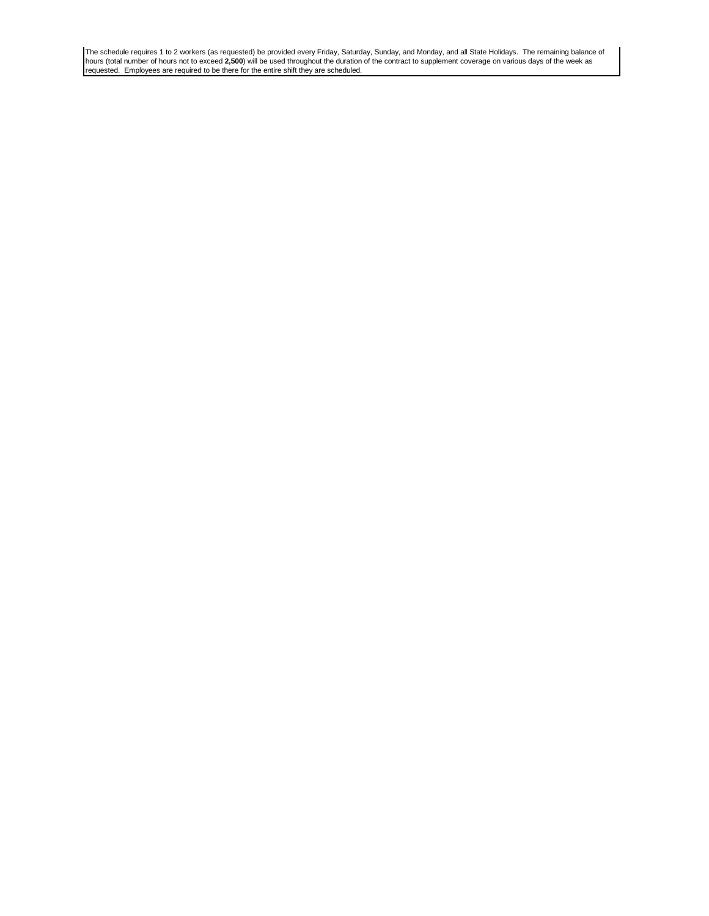The schedule requires 1 to 2 workers (as requested) be provided every Friday, Saturday, Sunday, and Monday, and all State Holidays. The remaining balance of hours (total number of hours not to exceed **2,500**) will be used throughout the duration of the contract to supplement coverage on various days of the week as<br>requested. Employees are required to be there for the entire sh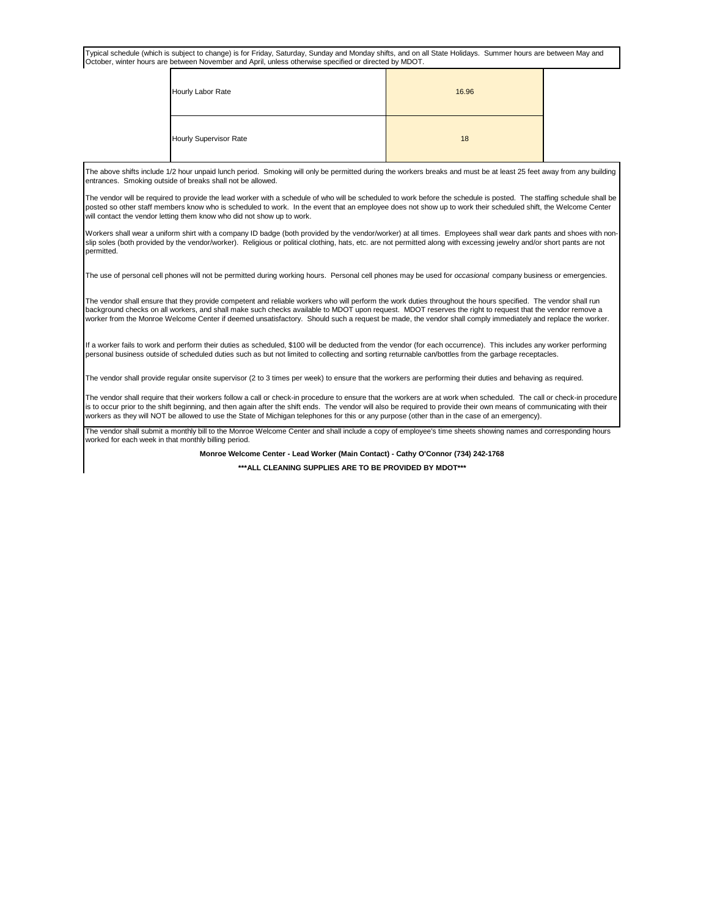Typical schedule (which is subject to change) is for Friday, Saturday, Sunday and Monday shifts, and on all State Holidays. Summer hours are between May and October, winter hours are between November and April, unless otherwise specified or directed by MDOT.

| Hourly Labor Rate      | 16.96 |
|------------------------|-------|
| Hourly Supervisor Rate | 18    |

The above shifts include 1/2 hour unpaid lunch period. Smoking will only be permitted during the workers breaks and must be at least 25 feet away from any building entrances. Smoking outside of breaks shall not be allowed.

The vendor will be required to provide the lead worker with a schedule of who will be scheduled to work before the schedule is posted. The staffing schedule shall be posted so other staff members know who is scheduled to work. In the event that an employee does not show up to work their scheduled shift, the Welcome Center will contact the vendor letting them know who did not show up to work.

Workers shall wear a uniform shirt with a company ID badge (both provided by the vendor/worker) at all times. Employees shall wear dark pants and shoes with nonslip soles (both provided by the vendor/worker). Religious or political clothing, hats, etc. are not permitted along with excessing jewelry and/or short pants are not permitted.

The use of personal cell phones will not be permitted during working hours. Personal cell phones may be used for *occasional* company business or emergencies.

The vendor shall ensure that they provide competent and reliable workers who will perform the work duties throughout the hours specified. The vendor shall run background checks on all workers, and shall make such checks available to MDOT upon request. MDOT reserves the right to request that the vendor remove a worker from the Monroe Welcome Center if deemed unsatisfactory. Should such a request be made, the vendor shall comply immediately and replace the worker.

If a worker fails to work and perform their duties as scheduled, \$100 will be deducted from the vendor (for each occurrence). This includes any worker performing personal business outside of scheduled duties such as but not limited to collecting and sorting returnable can/bottles from the garbage receptacles.

The vendor shall provide regular onsite supervisor (2 to 3 times per week) to ensure that the workers are performing their duties and behaving as required.

The vendor shall require that their workers follow a call or check-in procedure to ensure that the workers are at work when scheduled. The call or check-in procedure is to occur prior to the shift beginning, and then again after the shift ends. The vendor will also be required to provide their own means of communicating with their workers as they will NOT be allowed to use the State of Michigan telephones for this or any purpose (other than in the case of an emergency).

The vendor shall submit a monthly bill to the Monroe Welcome Center and shall include a copy of employee's time sheets showing names and corresponding hours worked for each week in that monthly billing period.

**Monroe Welcome Center - Lead Worker (Main Contact) - Cathy O'Connor (734) 242-1768**

**\*\*\*ALL CLEANING SUPPLIES ARE TO BE PROVIDED BY MDOT\*\*\***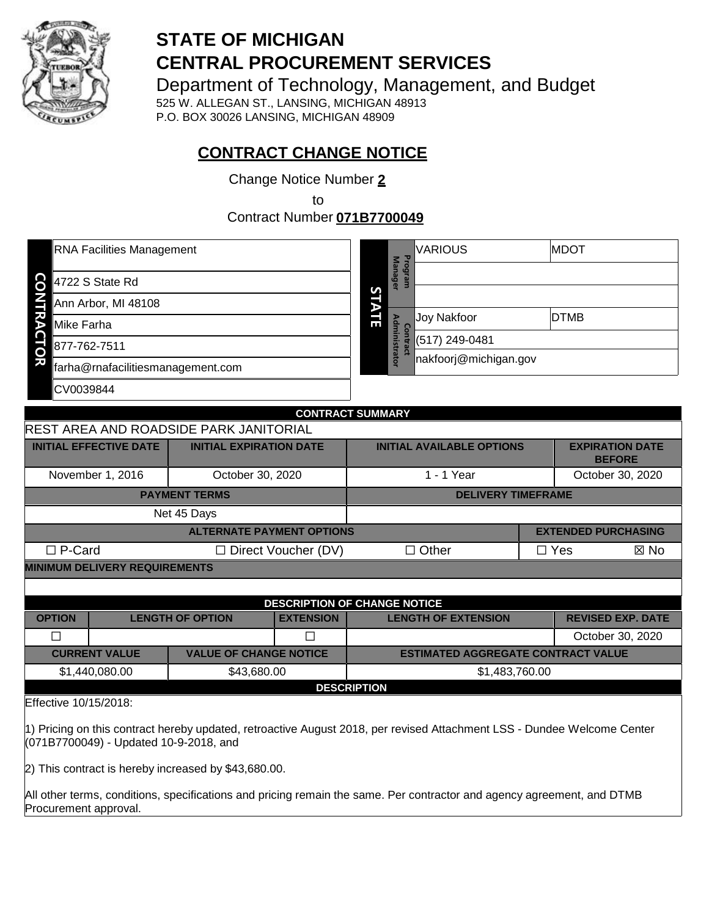

# **STATE OF MICHIGAN CENTRAL PROCUREMENT SERVICES**

Department of Technology, Management, and Budget

525 W. ALLEGAN ST., LANSING, MICHIGAN 48913 P.O. BOX 30026 LANSING, MICHIGAN 48909

# **CONTRACT CHANGE NOTICE**

Change Notice Number **2**

to

Contract Number **071B7700049**

| RNA Facilities Management              |                          | <b>VARIOUS</b>        | <b>MDOT</b> |
|----------------------------------------|--------------------------|-----------------------|-------------|
|                                        | <b>Mana</b>              | Program               |             |
| 8 4722 S State Rd                      | <u>Ge</u><br>S           |                       |             |
| Ann Arbor, MI 48108                    |                          |                       |             |
| ኛ<br>Mike Farha                        | $\frac{2}{10}$<br>å<br>Б | Joy Nakfoor           | <b>DTMB</b> |
| 877-762-7511<br>ටි                     | inistrator               | (517) 249-0481        |             |
| w<br>farha@rnafacilitiesmanagement.com |                          | nakfoorj@michigan.gov |             |
| CV0039844                              |                          |                       |             |
|                                        |                          |                       |             |

| <b>CONTRACT SUMMARY</b>                                                                                                                                           |                                  |                            |                                           |  |                                         |      |
|-------------------------------------------------------------------------------------------------------------------------------------------------------------------|----------------------------------|----------------------------|-------------------------------------------|--|-----------------------------------------|------|
| <b>REST AREA AND ROADSIDE PARK JANITORIAL</b>                                                                                                                     |                                  |                            |                                           |  |                                         |      |
| <b>INITIAL EFFECTIVE DATE</b>                                                                                                                                     | <b>INITIAL EXPIRATION DATE</b>   |                            | <b>INITIAL AVAILABLE OPTIONS</b>          |  | <b>EXPIRATION DATE</b><br><b>BEFORE</b> |      |
| November 1, 2016                                                                                                                                                  | October 30, 2020                 |                            | 1 - 1 Year                                |  | October 30, 2020                        |      |
|                                                                                                                                                                   | <b>PAYMENT TERMS</b>             |                            | <b>DELIVERY TIMEFRAME</b>                 |  |                                         |      |
| Net 45 Days                                                                                                                                                       |                                  |                            |                                           |  |                                         |      |
|                                                                                                                                                                   | <b>ALTERNATE PAYMENT OPTIONS</b> |                            |                                           |  | <b>EXTENDED PURCHASING</b>              |      |
| $\Box$ P-Card                                                                                                                                                     |                                  | $\Box$ Direct Voucher (DV) | $\Box$ Other                              |  | $\Box$ Yes                              | ⊠ No |
| <b>MINIMUM DELIVERY REQUIREMENTS</b>                                                                                                                              |                                  |                            |                                           |  |                                         |      |
|                                                                                                                                                                   |                                  |                            |                                           |  |                                         |      |
|                                                                                                                                                                   |                                  |                            | <b>DESCRIPTION OF CHANGE NOTICE</b>       |  |                                         |      |
| <b>OPTION</b>                                                                                                                                                     | <b>LENGTH OF OPTION</b>          | <b>EXTENSION</b>           | <b>LENGTH OF EXTENSION</b>                |  | <b>REVISED EXP. DATE</b>                |      |
| $\Box$                                                                                                                                                            |                                  | $\Box$                     |                                           |  | October 30, 2020                        |      |
| <b>CURRENT VALUE</b>                                                                                                                                              | <b>VALUE OF CHANGE NOTICE</b>    |                            | <b>ESTIMATED AGGREGATE CONTRACT VALUE</b> |  |                                         |      |
| \$1,440,080.00<br>\$43,680.00<br>\$1,483,760.00                                                                                                                   |                                  |                            |                                           |  |                                         |      |
| <b>DESCRIPTION</b>                                                                                                                                                |                                  |                            |                                           |  |                                         |      |
| Effective 10/15/2018:                                                                                                                                             |                                  |                            |                                           |  |                                         |      |
| 1) Pricing on this contract hereby updated, retroactive August 2018, per revised Attachment LSS - Dundee Welcome Center<br>$(074D7700040)$ Undeted 10.0.2019, and |                                  |                            |                                           |  |                                         |      |

(071B7700049) - Updated 10-9-2018, and

2) This contract is hereby increased by \$43,680.00.

All other terms, conditions, specifications and pricing remain the same. Per contractor and agency agreement, and DTMB Procurement approval.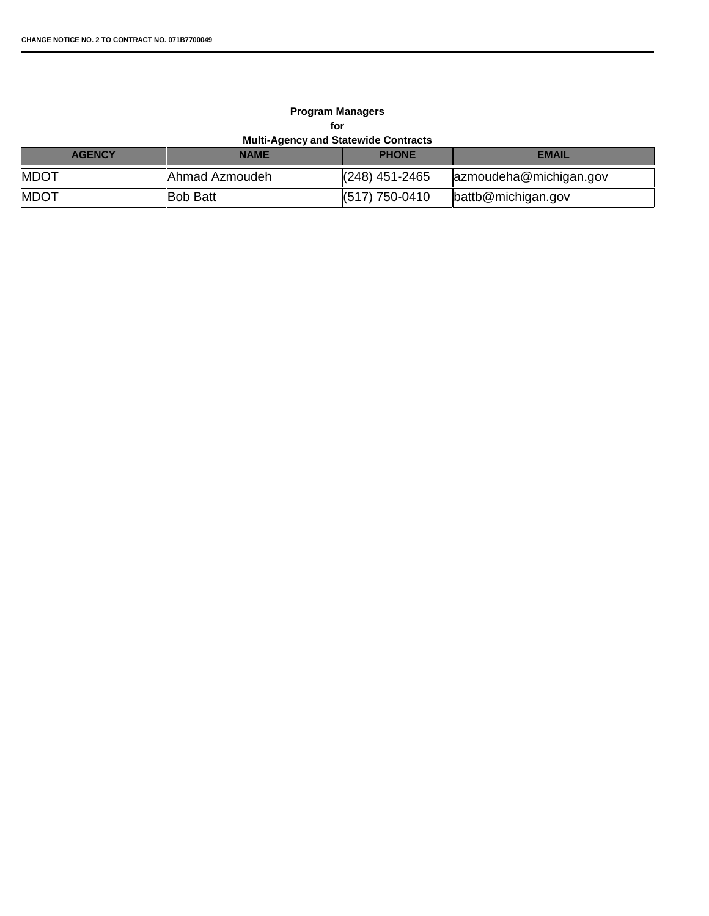r

#### **Multi-Agency and Statewide Contracts Program Managers for**

| <b>AGENCY</b> | <b>NAME</b>     | <b>PHONE</b>               | <b>EMAIL</b>           |
|---------------|-----------------|----------------------------|------------------------|
| <b>MDOT</b>   | Ahmad Azmoudeh  | $\parallel$ (248) 451-2465 | azmoudeha@michigan.gov |
| <b>MDOT</b>   | <b>Bob Batt</b> | $\parallel$ (517) 750-0410 | battb@michigan.gov     |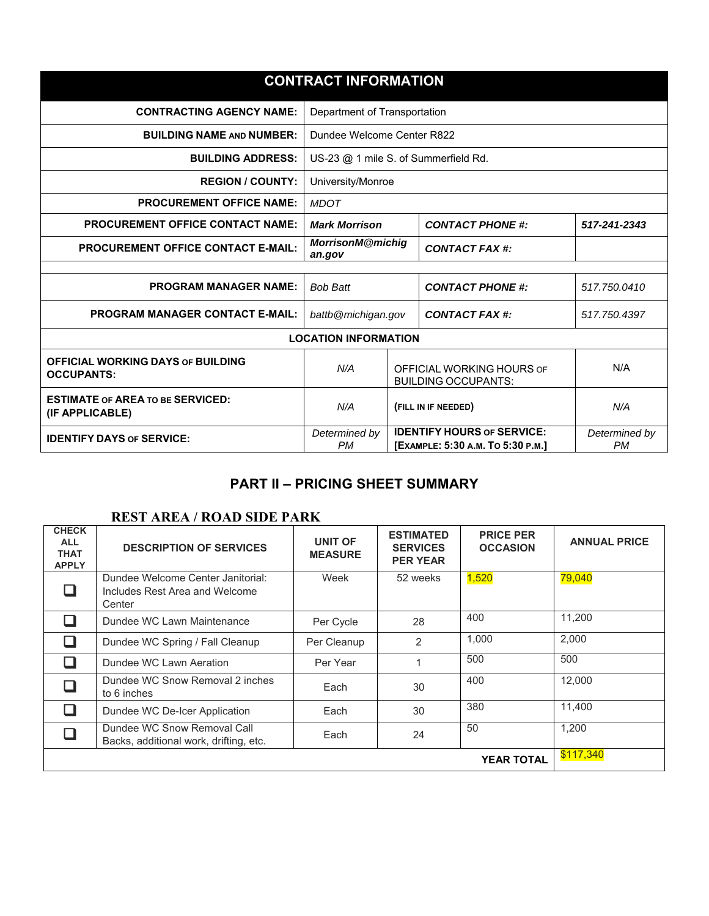| <b>CONTRACT INFORMATION</b>                                   |                                                                |  |                                                                        |                            |
|---------------------------------------------------------------|----------------------------------------------------------------|--|------------------------------------------------------------------------|----------------------------|
| <b>CONTRACTING AGENCY NAME:</b>                               | Department of Transportation                                   |  |                                                                        |                            |
| <b>BUILDING NAME AND NUMBER:</b>                              | Dundee Welcome Center R822                                     |  |                                                                        |                            |
| <b>BUILDING ADDRESS:</b>                                      | US-23 @ 1 mile S. of Summerfield Rd.                           |  |                                                                        |                            |
| <b>REGION / COUNTY:</b>                                       | University/Monroe                                              |  |                                                                        |                            |
| <b>PROCUREMENT OFFICE NAME:</b>                               | <b>MDOT</b>                                                    |  |                                                                        |                            |
| <b>PROCUREMENT OFFICE CONTACT NAME:</b>                       | <b>Mark Morrison</b>                                           |  | <b>CONTACT PHONE #:</b>                                                | 517-241-2343               |
| <b>PROCUREMENT OFFICE CONTACT E-MAIL:</b>                     | <b>MorrisonM@michig</b><br>an.gov                              |  | CONTACT FAX #:                                                         |                            |
|                                                               |                                                                |  |                                                                        |                            |
| <b>PROGRAM MANAGER NAME:</b>                                  | <b>Bob Batt</b>                                                |  | <b>CONTACT PHONE #:</b>                                                | 517.750.0410               |
| <b>PROGRAM MANAGER CONTACT E-MAIL:</b>                        | battb@michigan.gov                                             |  | CONTACT FAX #:                                                         | 517.750.4397               |
|                                                               | <b>LOCATION INFORMATION</b>                                    |  |                                                                        |                            |
| <b>OFFICIAL WORKING DAYS OF BUILDING</b><br><b>OCCUPANTS:</b> | N/A<br>OFFICIAL WORKING HOURS OF<br><b>BUILDING OCCUPANTS:</b> |  | N/A                                                                    |                            |
| <b>ESTIMATE OF AREA TO BE SERVICED:</b><br>(IF APPLICABLE)    | N/A<br>(FILL IN IF NEEDED)                                     |  | N/A                                                                    |                            |
| <b>IDENTIFY DAYS OF SERVICE:</b>                              | Determined by<br><b>PM</b>                                     |  | <b>IDENTIFY HOURS OF SERVICE:</b><br>[EXAMPLE: 5:30 A.M. TO 5:30 P.M.] | Determined by<br><b>PM</b> |

## **PART II – PRICING SHEET SUMMARY**

## **REST AREA / ROAD SIDE PARK**

| <b>CHECK</b><br><b>ALL</b><br><b>THAT</b><br><b>APPLY</b> | <b>DESCRIPTION OF SERVICES</b>                                                | UNIT OF<br><b>MEASURE</b> | <b>ESTIMATED</b><br><b>SERVICES</b><br><b>PER YEAR</b> | <b>PRICE PER</b><br><b>OCCASION</b> | <b>ANNUAL PRICE</b> |
|-----------------------------------------------------------|-------------------------------------------------------------------------------|---------------------------|--------------------------------------------------------|-------------------------------------|---------------------|
|                                                           | Dundee Welcome Center Janitorial:<br>Includes Rest Area and Welcome<br>Center | Week                      | 52 weeks                                               | 1,520                               | 79,040              |
|                                                           | Dundee WC Lawn Maintenance                                                    | Per Cycle                 | 28                                                     | 400                                 | 11,200              |
|                                                           | Dundee WC Spring / Fall Cleanup                                               | Per Cleanup               | 2                                                      | 1,000                               | 2,000               |
|                                                           | Dundee WC Lawn Aeration                                                       | Per Year                  |                                                        | 500                                 | 500                 |
|                                                           | Dundee WC Snow Removal 2 inches<br>to 6 inches                                | Each                      | 30                                                     | 400                                 | 12.000              |
|                                                           | Dundee WC De-Icer Application                                                 | Each                      | 30                                                     | 380                                 | 11.400              |
|                                                           | Dundee WC Snow Removal Call<br>Backs, additional work, drifting, etc.         | Each                      | 24                                                     | 50                                  | 1,200               |
|                                                           | \$117,340                                                                     |                           |                                                        |                                     |                     |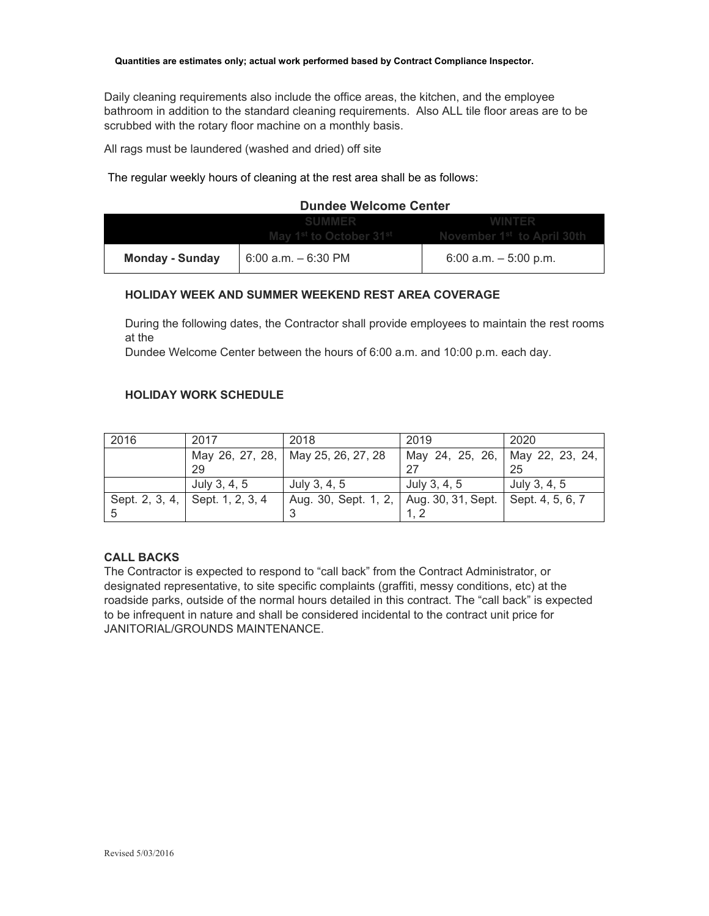Daily cleaning requirements also include the office areas, the kitchen, and the employee bathroom in addition to the standard cleaning requirements. Also ALL tile floor areas are to be scrubbed with the rotary floor machine on a monthly basis.

All rags must be laundered (washed and dried) off site

The regular weekly hours of cleaning at the rest area shall be as follows:

#### **Dundee Welcome Center**

|                        |                        | May 1 <sup>st</sup> to October 31 <sup>st</sup> Movember 1 <sup>st</sup> to April 30th |
|------------------------|------------------------|----------------------------------------------------------------------------------------|
| <b>Monday - Sunday</b> | $6:00$ a.m. $-6:30$ PM | 6:00 a.m. $-5:00$ p.m.                                                                 |

#### **HOLIDAY WEEK AND SUMMER WEEKEND REST AREA COVERAGE**

During the following dates, the Contractor shall provide employees to maintain the rest rooms at the

Dundee Welcome Center between the hours of 6:00 a.m. and 10:00 p.m. each day.

#### **HOLIDAY WORK SCHEDULE**

| 2016           | 2017             | 2018                               | 2019                            | 2020             |
|----------------|------------------|------------------------------------|---------------------------------|------------------|
|                |                  | May 26, 27, 28, May 25, 26, 27, 28 | May 24, 25, 26, May 22, 23, 24, |                  |
|                | 29               |                                    |                                 | 25               |
|                | July 3, 4, 5     | July 3, 4, 5                       | July 3, 4, 5                    | July 3, 4, 5     |
| Sept. 2, 3, 4, | Sept. 1, 2, 3, 4 | Aug. 30, Sept. 1, 2,               | Aug. 30, 31, Sept.              | Sept. 4, 5, 6, 7 |
|                |                  |                                    |                                 |                  |

#### **CALL BACKS**

The Contractor is expected to respond to "call back" from the Contract Administrator, or designated representative, to site specific complaints (graffiti, messy conditions, etc) at the roadside parks, outside of the normal hours detailed in this contract. The "call back" is expected to be infrequent in nature and shall be considered incidental to the contract unit price for JANITORIAL/GROUNDS MAINTENANCE.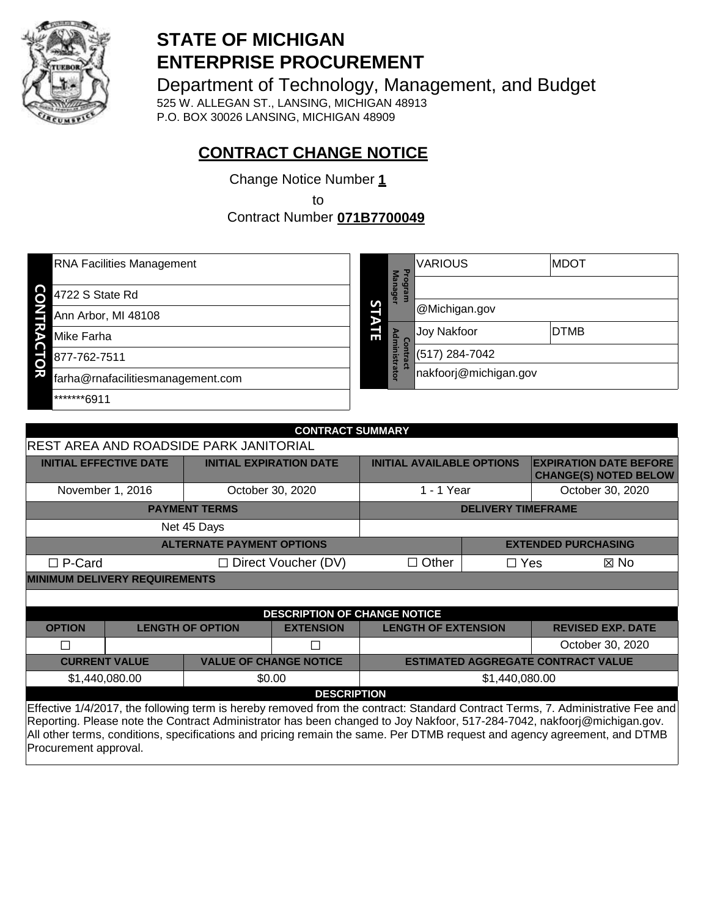

# **STATE OF MICHIGAN ENTERPRISE PROCUREMENT**

Department of Technology, Management, and Budget

525 W. ALLEGAN ST., LANSING, MICHIGAN 48913 P.O. BOX 30026 LANSING, MICHIGAN 48909

# **CONTRACT CHANGE NOTICE**

Change Notice Number **1**

to

Contract Number **071B7700049**

| <b>RNA Facilities Management</b>        |   |                          | <b>VARIOUS</b>        | <b>MDOT</b> |
|-----------------------------------------|---|--------------------------|-----------------------|-------------|
| င်<br>4722 S State Rd                   |   | Progra<br><b>Manager</b> |                       |             |
| Ann Arbor, MI 48108                     | S |                          | <b>@Michigan.gov</b>  |             |
| る<br>Mike Farha                         | 딂 | Σ<br>င္မ                 | Joy Nakfoor           | <b>DTMB</b> |
| 877-762-7511<br>Ö                       |   | ministrator<br>ntract    | (517) 284-7042        |             |
| ਸ਼<br>farha@rnafacilitiesmanagement.com |   |                          | nakfoorj@michigan.gov |             |
| *******6911                             |   |                          |                       |             |
|                                         |   |                          |                       |             |

| <b>CONTRACT SUMMARY</b>                                                                            |                                                                                                                                                                                                                                                         |                                  |                                     |                                    |                           |                                                               |
|----------------------------------------------------------------------------------------------------|---------------------------------------------------------------------------------------------------------------------------------------------------------------------------------------------------------------------------------------------------------|----------------------------------|-------------------------------------|------------------------------------|---------------------------|---------------------------------------------------------------|
| REST AREA AND ROADSIDE PARK JANITORIAL                                                             |                                                                                                                                                                                                                                                         |                                  |                                     |                                    |                           |                                                               |
|                                                                                                    | <b>INITIAL EFFECTIVE DATE</b>                                                                                                                                                                                                                           |                                  | <b>INITIAL EXPIRATION DATE</b>      | <b>INITIAL AVAILABLE OPTIONS</b>   |                           | <b>EXPIRATION DATE BEFORE</b><br><b>CHANGE(S) NOTED BELOW</b> |
|                                                                                                    | November 1, 2016                                                                                                                                                                                                                                        |                                  | October 30, 2020                    | 1 - 1 Year                         |                           | October 30, 2020                                              |
|                                                                                                    |                                                                                                                                                                                                                                                         | <b>PAYMENT TERMS</b>             |                                     |                                    | <b>DELIVERY TIMEFRAME</b> |                                                               |
|                                                                                                    | Net 45 Days                                                                                                                                                                                                                                             |                                  |                                     |                                    |                           |                                                               |
|                                                                                                    |                                                                                                                                                                                                                                                         | <b>ALTERNATE PAYMENT OPTIONS</b> |                                     |                                    |                           | <b>EXTENDED PURCHASING</b>                                    |
| $\Box$ P-Card                                                                                      |                                                                                                                                                                                                                                                         |                                  | $\Box$ Direct Voucher (DV)          | $\Box$ Other<br>$\Box$ Yes<br>⊠ No |                           |                                                               |
|                                                                                                    | <b>MINIMUM DELIVERY REQUIREMENTS</b>                                                                                                                                                                                                                    |                                  |                                     |                                    |                           |                                                               |
|                                                                                                    |                                                                                                                                                                                                                                                         |                                  |                                     |                                    |                           |                                                               |
|                                                                                                    |                                                                                                                                                                                                                                                         |                                  | <b>DESCRIPTION OF CHANGE NOTICE</b> |                                    |                           |                                                               |
| <b>OPTION</b>                                                                                      |                                                                                                                                                                                                                                                         | <b>LENGTH OF OPTION</b>          | <b>EXTENSION</b>                    | <b>LENGTH OF EXTENSION</b>         |                           | <b>REVISED EXP. DATE</b>                                      |
|                                                                                                    |                                                                                                                                                                                                                                                         |                                  |                                     |                                    |                           | October 30, 2020                                              |
| <b>CURRENT VALUE</b><br><b>VALUE OF CHANGE NOTICE</b><br><b>ESTIMATED AGGREGATE CONTRACT VALUE</b> |                                                                                                                                                                                                                                                         |                                  |                                     |                                    |                           |                                                               |
|                                                                                                    | \$1,440,080.00                                                                                                                                                                                                                                          |                                  | \$0.00                              | \$1,440,080.00                     |                           |                                                               |
| <b>DESCRIPTION</b>                                                                                 |                                                                                                                                                                                                                                                         |                                  |                                     |                                    |                           |                                                               |
|                                                                                                    | Effective 1/4/2017, the following term is hereby removed from the contract: Standard Contract Terms, 7. Administrative Fee and<br>Reporting Please note the Contract Administrator has been changed to Joy Nakfoor, 517-284-7042, nakfoori@michigan.gov |                                  |                                     |                                    |                           |                                                               |

leporting. Please note the Contract Administrator has been changed to Joy Nakfoor, 517-284-7042, nakfoorj@michigan.gov. All other terms, conditions, specifications and pricing remain the same. Per DTMB request and agency agreement, and DTMB Procurement approval.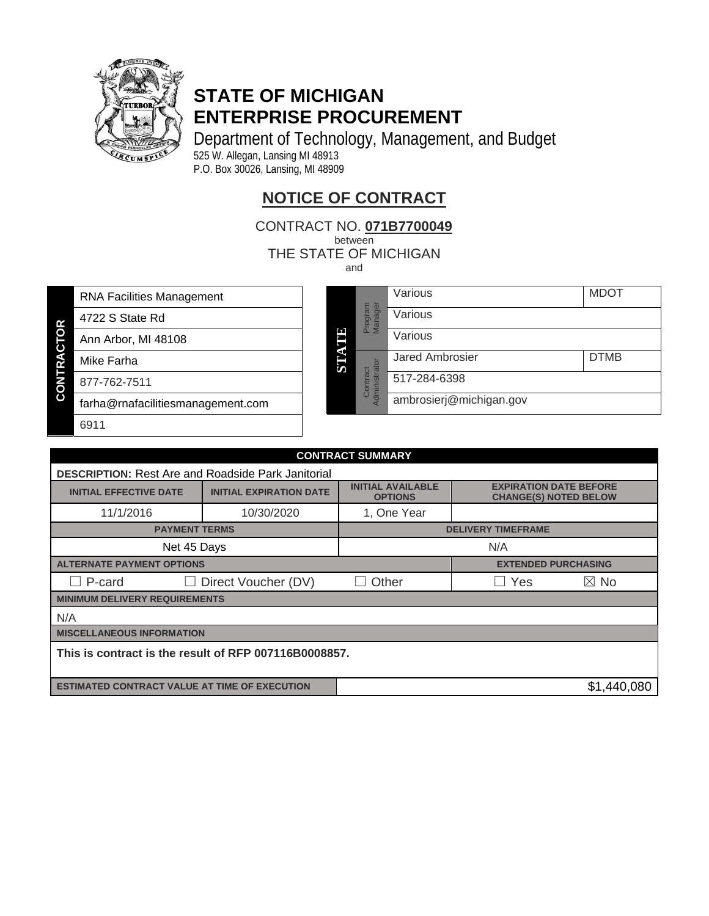

# **STATE OF MICHIGAN ENTERPRISE PROCUREMENT**

Department of Technology, Management, and Budget 525 W. Allegan, Lansing MI 48913 P.O. Box 30026, Lansing, MI 48909

# **NOTICE OF CONTRACT**

CONTRACT NO. **071B7700049**. between

THE STATE OF MICHIGAN

and

RNA Facilities Management

- 4722 S State Rd
- Ann Arbor, MI 48108
- Mike Farha

**CONTRACTOR**

**CONTRACTOR** 

877-762-7511

6911

farha@rnafacilitiesmanagement.com

|       |                           | Various                 | <b>MDOT</b> |
|-------|---------------------------|-------------------------|-------------|
|       | Program<br>Manager        | Various                 |             |
| STATE |                           | Various                 |             |
|       |                           | <b>Jared Ambrosier</b>  | <b>DTMB</b> |
|       | Administrator<br>Contract | 517-284-6398            |             |
|       |                           | ambrosierj@michigan.gov |             |

| <b>CONTRACT SUMMARY</b>                                   |                                |                                            |                                                               |                |  |  |
|-----------------------------------------------------------|--------------------------------|--------------------------------------------|---------------------------------------------------------------|----------------|--|--|
| <b>DESCRIPTION: Rest Are and Roadside Park Janitorial</b> |                                |                                            |                                                               |                |  |  |
| <b>INITIAL EFFECTIVE DATE</b>                             | <b>INITIAL EXPIRATION DATE</b> | <b>INITIAL AVAILABLE</b><br><b>OPTIONS</b> | <b>EXPIRATION DATE BEFORE</b><br><b>CHANGE(S) NOTED BELOW</b> |                |  |  |
| 11/1/2016                                                 | 10/30/2020                     | 1, One Year                                |                                                               |                |  |  |
| <b>PAYMENT TERMS</b>                                      |                                | <b>DELIVERY TIMEFRAME</b>                  |                                                               |                |  |  |
| Net 45 Days                                               |                                | N/A                                        |                                                               |                |  |  |
| <b>ALTERNATE PAYMENT OPTIONS</b>                          |                                |                                            | <b>EXTENDED PURCHASING</b>                                    |                |  |  |
| $\Box$ P-card<br>Direct Voucher (DV)<br>$\mathsf{L}$      |                                | Other                                      | Yes                                                           | $\boxtimes$ No |  |  |
| <b>MINIMUM DELIVERY REQUIREMENTS</b>                      |                                |                                            |                                                               |                |  |  |
| N/A                                                       |                                |                                            |                                                               |                |  |  |
| <b>MISCELLANEOUS INFORMATION</b>                          |                                |                                            |                                                               |                |  |  |
| This is contract is the result of RFP 007116B0008857.     |                                |                                            |                                                               |                |  |  |

**ESTIMATED CONTRACT VALUE AT TIME OF EXECUTION** \$1,440,080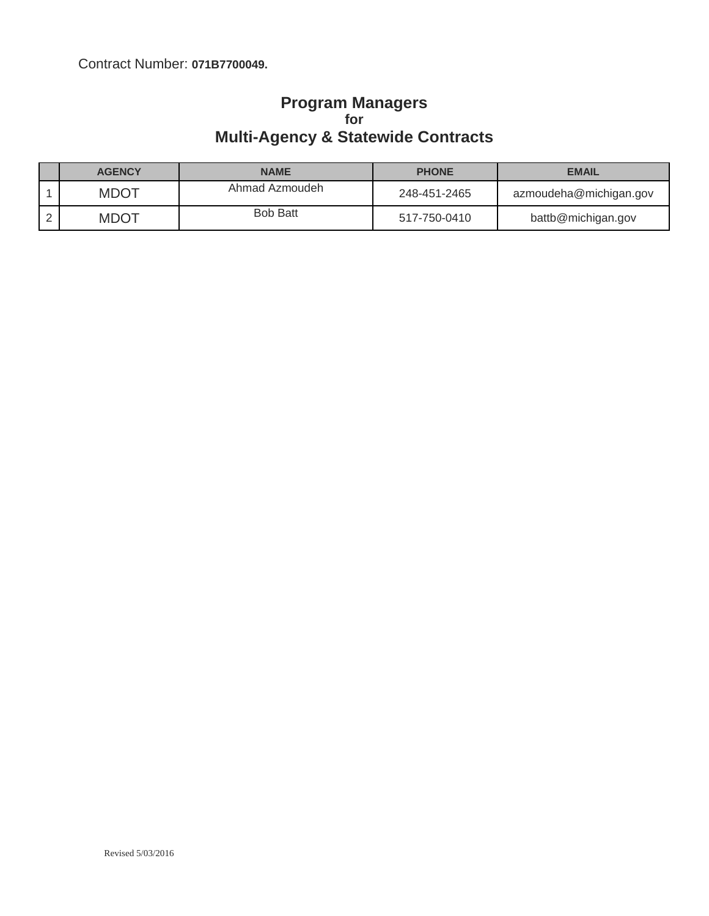## Contract Number: **071B7700049.**

### **Program Managers for Multi-Agency & Statewide Contracts**

| <b>AGENCY</b> | <b>NAME</b>     | <b>PHONE</b> | <b>EMAIL</b>           |
|---------------|-----------------|--------------|------------------------|
| <b>MDOT</b>   | Ahmad Azmoudeh  | 248-451-2465 | azmoudeha@michigan.gov |
| <b>MDOT</b>   | <b>Bob Batt</b> | 517-750-0410 | battb@michigan.gov     |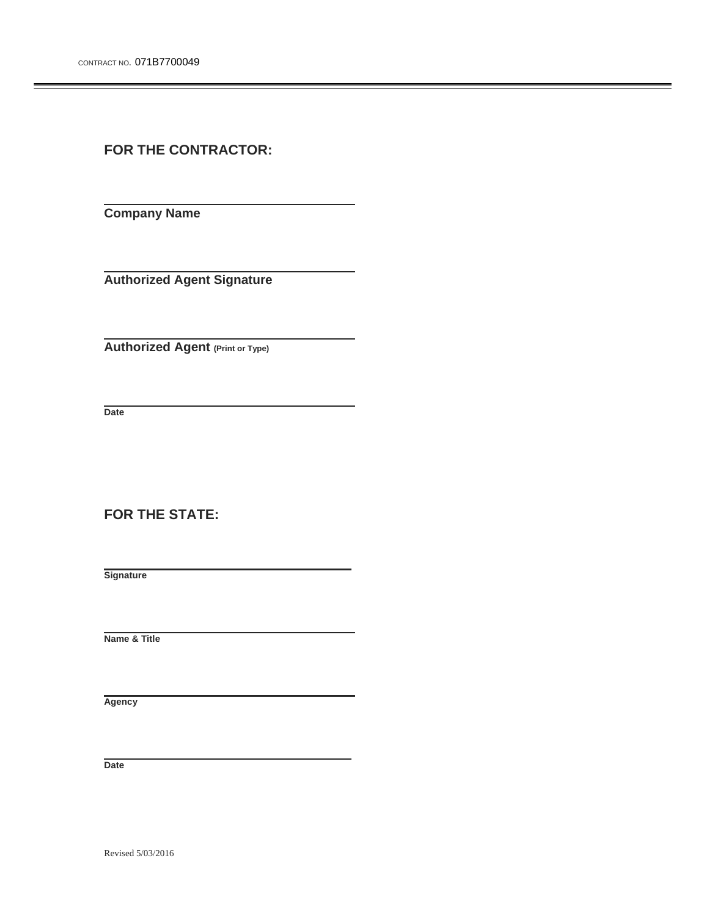**FOR THE CONTRACTOR:** 

**Company Name** 

**Authorized Agent Signature** 

**Authorized Agent (Print or Type)**

 **Date** 

**FOR THE STATE:** 

 **Signature** 

 **Name & Title** 

 **Agency** 

 **Date** 

Revised 5/03/2016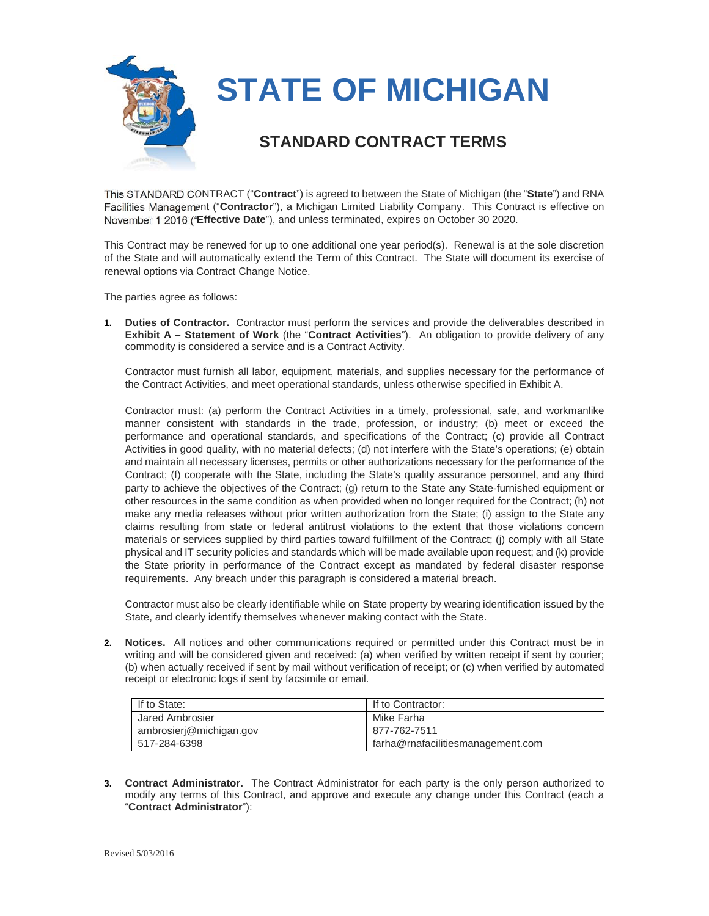

This STANDARD CONTRACT ("**Contract**") is agreed to between the State of Michigan (the "**State**") and RNA Facilities Management ("**Contractor**"), a Michigan Limited Liability Company. This Contract is effective on November 1 2016 ("**Effective Date**"), and unless terminated, expires on October 30 2020.

This Contract may be renewed for up to one additional one year period(s). Renewal is at the sole discretion of the State and will automatically extend the Term of this Contract. The State will document its exercise of renewal options via Contract Change Notice.

The parties agree as follows:

**1. Duties of Contractor.** Contractor must perform the services and provide the deliverables described in **Exhibit A – Statement of Work** (the "**Contract Activities**"). An obligation to provide delivery of any commodity is considered a service and is a Contract Activity.

Contractor must furnish all labor, equipment, materials, and supplies necessary for the performance of the Contract Activities, and meet operational standards, unless otherwise specified in Exhibit A.

Contractor must: (a) perform the Contract Activities in a timely, professional, safe, and workmanlike manner consistent with standards in the trade, profession, or industry; (b) meet or exceed the performance and operational standards, and specifications of the Contract; (c) provide all Contract Activities in good quality, with no material defects; (d) not interfere with the State's operations; (e) obtain and maintain all necessary licenses, permits or other authorizations necessary for the performance of the Contract; (f) cooperate with the State, including the State's quality assurance personnel, and any third party to achieve the objectives of the Contract; (g) return to the State any State-furnished equipment or other resources in the same condition as when provided when no longer required for the Contract; (h) not make any media releases without prior written authorization from the State; (i) assign to the State any claims resulting from state or federal antitrust violations to the extent that those violations concern materials or services supplied by third parties toward fulfillment of the Contract; (j) comply with all State physical and IT security policies and standards which will be made available upon request; and (k) provide the State priority in performance of the Contract except as mandated by federal disaster response requirements. Any breach under this paragraph is considered a material breach.

Contractor must also be clearly identifiable while on State property by wearing identification issued by the State, and clearly identify themselves whenever making contact with the State.

**2. Notices.** All notices and other communications required or permitted under this Contract must be in writing and will be considered given and received: (a) when verified by written receipt if sent by courier; (b) when actually received if sent by mail without verification of receipt; or (c) when verified by automated receipt or electronic logs if sent by facsimile or email.

| If to State:            | If to Contractor:                 |
|-------------------------|-----------------------------------|
| Jared Ambrosier         | Mike Farha                        |
| ambrosierj@michigan.gov | 877-762-7511                      |
| 517-284-6398            | farha@rnafacilitiesmanagement.com |

**3. Contract Administrator.** The Contract Administrator for each party is the only person authorized to modify any terms of this Contract, and approve and execute any change under this Contract (each a "**Contract Administrator**"):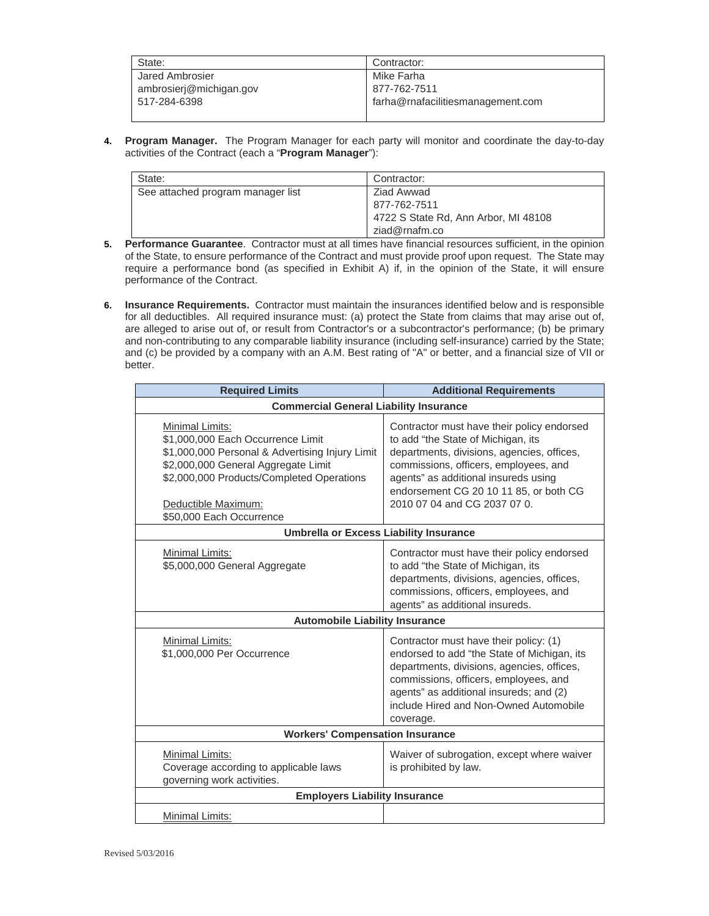| State:                  | Contractor:                       |
|-------------------------|-----------------------------------|
| Jared Ambrosier         | Mike Farha                        |
| ambrosieri@michigan.gov | 877-762-7511                      |
| 517-284-6398            | farha@rnafacilitiesmanagement.com |
|                         |                                   |

**4. Program Manager.** The Program Manager for each party will monitor and coordinate the day-to-day activities of the Contract (each a "**Program Manager**"):

| State:                            | Contractor:                          |
|-----------------------------------|--------------------------------------|
| See attached program manager list | Ziad Awwad                           |
|                                   | 877-762-7511                         |
|                                   | 4722 S State Rd, Ann Arbor, MI 48108 |
|                                   | ziad@rnafm.co                        |

- **5. Performance Guarantee**. Contractor must at all times have financial resources sufficient, in the opinion of the State, to ensure performance of the Contract and must provide proof upon request. The State may require a performance bond (as specified in Exhibit A) if, in the opinion of the State, it will ensure performance of the Contract.
- **6. Insurance Requirements.** Contractor must maintain the insurances identified below and is responsible for all deductibles. All required insurance must: (a) protect the State from claims that may arise out of, are alleged to arise out of, or result from Contractor's or a subcontractor's performance; (b) be primary and non-contributing to any comparable liability insurance (including self-insurance) carried by the State; and (c) be provided by a company with an A.M. Best rating of "A" or better, and a financial size of VII or better.

| <b>Required Limits</b>                                                                                                                                                                                                                                | <b>Additional Requirements</b>                                                                                                                                                                                                                                                            |  |  |  |
|-------------------------------------------------------------------------------------------------------------------------------------------------------------------------------------------------------------------------------------------------------|-------------------------------------------------------------------------------------------------------------------------------------------------------------------------------------------------------------------------------------------------------------------------------------------|--|--|--|
| <b>Commercial General Liability Insurance</b>                                                                                                                                                                                                         |                                                                                                                                                                                                                                                                                           |  |  |  |
| <b>Minimal Limits:</b><br>\$1,000,000 Each Occurrence Limit<br>\$1,000,000 Personal & Advertising Injury Limit<br>\$2,000,000 General Aggregate Limit<br>\$2,000,000 Products/Completed Operations<br>Deductible Maximum:<br>\$50,000 Each Occurrence | Contractor must have their policy endorsed<br>to add "the State of Michigan, its<br>departments, divisions, agencies, offices,<br>commissions, officers, employees, and<br>agents" as additional insureds using<br>endorsement CG 20 10 11 85, or both CG<br>2010 07 04 and CG 2037 07 0. |  |  |  |
| <b>Umbrella or Excess Liability Insurance</b>                                                                                                                                                                                                         |                                                                                                                                                                                                                                                                                           |  |  |  |
| Minimal Limits:<br>\$5,000,000 General Aggregate                                                                                                                                                                                                      | Contractor must have their policy endorsed<br>to add "the State of Michigan, its<br>departments, divisions, agencies, offices,<br>commissions, officers, employees, and<br>agents" as additional insureds.                                                                                |  |  |  |
| <b>Automobile Liability Insurance</b>                                                                                                                                                                                                                 |                                                                                                                                                                                                                                                                                           |  |  |  |
| Minimal Limits:<br>\$1,000,000 Per Occurrence                                                                                                                                                                                                         | Contractor must have their policy: (1)<br>endorsed to add "the State of Michigan, its<br>departments, divisions, agencies, offices,<br>commissions, officers, employees, and<br>agents" as additional insureds; and (2)<br>include Hired and Non-Owned Automobile<br>coverage.            |  |  |  |
| <b>Workers' Compensation Insurance</b>                                                                                                                                                                                                                |                                                                                                                                                                                                                                                                                           |  |  |  |
| Minimal Limits:<br>Coverage according to applicable laws<br>governing work activities.                                                                                                                                                                | Waiver of subrogation, except where waiver<br>is prohibited by law.                                                                                                                                                                                                                       |  |  |  |
| <b>Employers Liability Insurance</b>                                                                                                                                                                                                                  |                                                                                                                                                                                                                                                                                           |  |  |  |
| Minimal Limits:                                                                                                                                                                                                                                       |                                                                                                                                                                                                                                                                                           |  |  |  |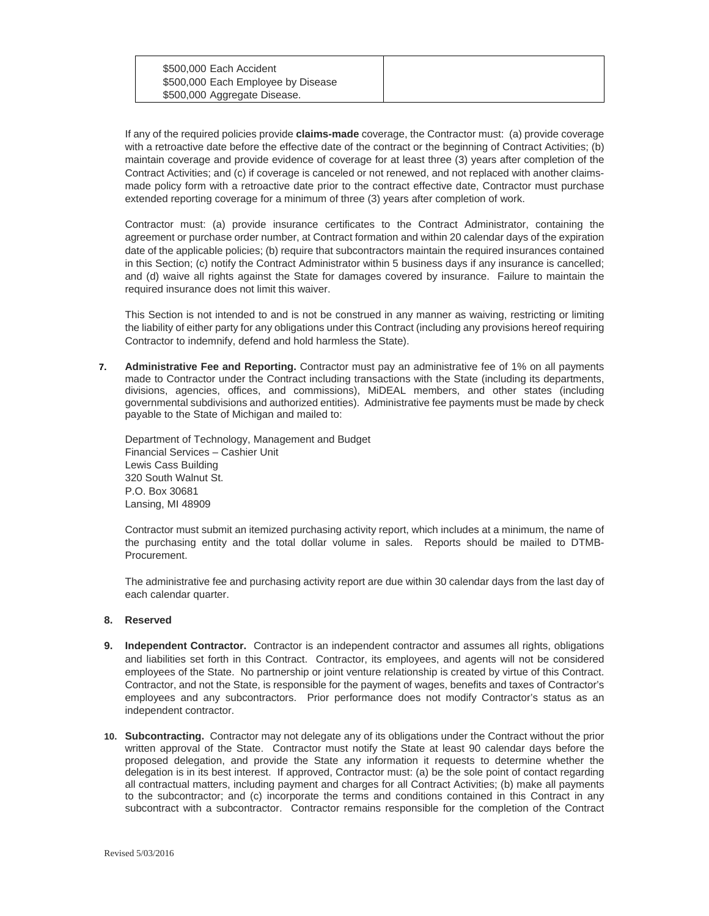| \$500,000 Each Accident            |  |
|------------------------------------|--|
| \$500,000 Each Employee by Disease |  |
| \$500,000 Aggregate Disease.       |  |

If any of the required policies provide **claims-made** coverage, the Contractor must: (a) provide coverage with a retroactive date before the effective date of the contract or the beginning of Contract Activities; (b) maintain coverage and provide evidence of coverage for at least three (3) years after completion of the Contract Activities; and (c) if coverage is canceled or not renewed, and not replaced with another claimsmade policy form with a retroactive date prior to the contract effective date, Contractor must purchase extended reporting coverage for a minimum of three (3) years after completion of work.

Contractor must: (a) provide insurance certificates to the Contract Administrator, containing the agreement or purchase order number, at Contract formation and within 20 calendar days of the expiration date of the applicable policies; (b) require that subcontractors maintain the required insurances contained in this Section; (c) notify the Contract Administrator within 5 business days if any insurance is cancelled; and (d) waive all rights against the State for damages covered by insurance. Failure to maintain the required insurance does not limit this waiver.

This Section is not intended to and is not be construed in any manner as waiving, restricting or limiting the liability of either party for any obligations under this Contract (including any provisions hereof requiring Contractor to indemnify, defend and hold harmless the State).

**7. Administrative Fee and Reporting.** Contractor must pay an administrative fee of 1% on all payments made to Contractor under the Contract including transactions with the State (including its departments, divisions, agencies, offices, and commissions), MiDEAL members, and other states (including governmental subdivisions and authorized entities). Administrative fee payments must be made by check payable to the State of Michigan and mailed to:

Department of Technology, Management and Budget Financial Services – Cashier Unit Lewis Cass Building 320 South Walnut St. P.O. Box 30681 Lansing, MI 48909

Contractor must submit an itemized purchasing activity report, which includes at a minimum, the name of the purchasing entity and the total dollar volume in sales. Reports should be mailed to DTMB-Procurement.

The administrative fee and purchasing activity report are due within 30 calendar days from the last day of each calendar quarter.

#### **8. Reserved**

- **9. Independent Contractor.** Contractor is an independent contractor and assumes all rights, obligations and liabilities set forth in this Contract. Contractor, its employees, and agents will not be considered employees of the State. No partnership or joint venture relationship is created by virtue of this Contract. Contractor, and not the State, is responsible for the payment of wages, benefits and taxes of Contractor's employees and any subcontractors. Prior performance does not modify Contractor's status as an independent contractor.
- **10. Subcontracting.** Contractor may not delegate any of its obligations under the Contract without the prior written approval of the State. Contractor must notify the State at least 90 calendar days before the proposed delegation, and provide the State any information it requests to determine whether the delegation is in its best interest. If approved, Contractor must: (a) be the sole point of contact regarding all contractual matters, including payment and charges for all Contract Activities; (b) make all payments to the subcontractor; and (c) incorporate the terms and conditions contained in this Contract in any subcontract with a subcontractor. Contractor remains responsible for the completion of the Contract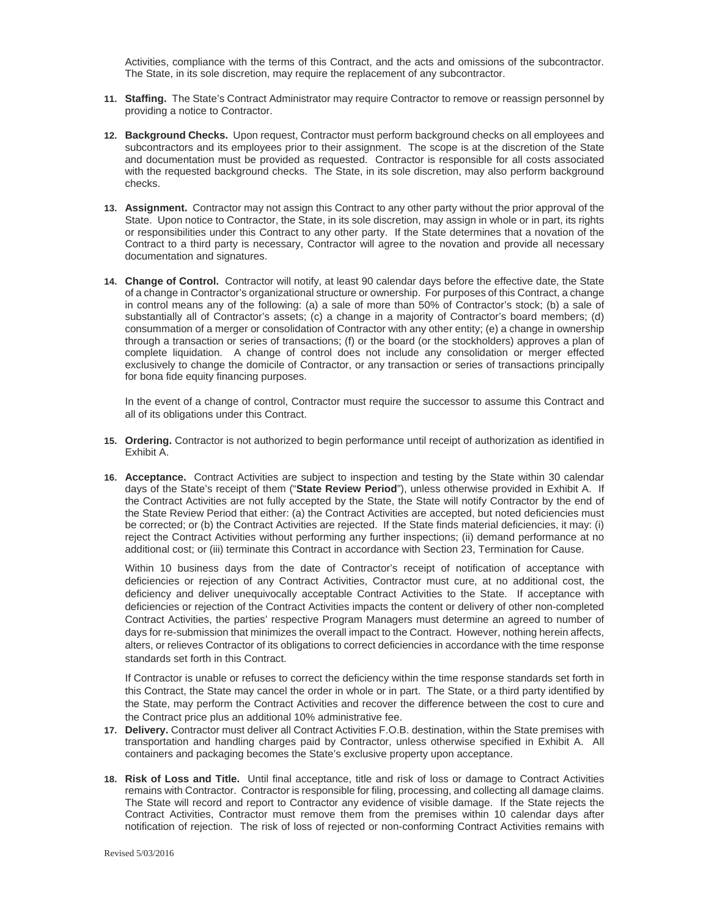Activities, compliance with the terms of this Contract, and the acts and omissions of the subcontractor. The State, in its sole discretion, may require the replacement of any subcontractor.

- **11. Staffing.** The State's Contract Administrator may require Contractor to remove or reassign personnel by providing a notice to Contractor.
- **12. Background Checks.** Upon request, Contractor must perform background checks on all employees and subcontractors and its employees prior to their assignment. The scope is at the discretion of the State and documentation must be provided as requested. Contractor is responsible for all costs associated with the requested background checks. The State, in its sole discretion, may also perform background checks.
- **13. Assignment.** Contractor may not assign this Contract to any other party without the prior approval of the State. Upon notice to Contractor, the State, in its sole discretion, may assign in whole or in part, its rights or responsibilities under this Contract to any other party. If the State determines that a novation of the Contract to a third party is necessary, Contractor will agree to the novation and provide all necessary documentation and signatures.
- **14. Change of Control.** Contractor will notify, at least 90 calendar days before the effective date, the State of a change in Contractor's organizational structure or ownership. For purposes of this Contract, a change in control means any of the following: (a) a sale of more than 50% of Contractor's stock; (b) a sale of substantially all of Contractor's assets; (c) a change in a majority of Contractor's board members; (d) consummation of a merger or consolidation of Contractor with any other entity; (e) a change in ownership through a transaction or series of transactions; (f) or the board (or the stockholders) approves a plan of complete liquidation. A change of control does not include any consolidation or merger effected exclusively to change the domicile of Contractor, or any transaction or series of transactions principally for bona fide equity financing purposes.

In the event of a change of control, Contractor must require the successor to assume this Contract and all of its obligations under this Contract.

- **15. Ordering.** Contractor is not authorized to begin performance until receipt of authorization as identified in Exhibit A.
- **16. Acceptance.** Contract Activities are subject to inspection and testing by the State within 30 calendar days of the State's receipt of them ("**State Review Period**"), unless otherwise provided in Exhibit A. If the Contract Activities are not fully accepted by the State, the State will notify Contractor by the end of the State Review Period that either: (a) the Contract Activities are accepted, but noted deficiencies must be corrected; or (b) the Contract Activities are rejected. If the State finds material deficiencies, it may: (i) reject the Contract Activities without performing any further inspections; (ii) demand performance at no additional cost; or (iii) terminate this Contract in accordance with Section 23, Termination for Cause.

Within 10 business days from the date of Contractor's receipt of notification of acceptance with deficiencies or rejection of any Contract Activities, Contractor must cure, at no additional cost, the deficiency and deliver unequivocally acceptable Contract Activities to the State. If acceptance with deficiencies or rejection of the Contract Activities impacts the content or delivery of other non-completed Contract Activities, the parties' respective Program Managers must determine an agreed to number of days for re-submission that minimizes the overall impact to the Contract. However, nothing herein affects, alters, or relieves Contractor of its obligations to correct deficiencies in accordance with the time response standards set forth in this Contract.

If Contractor is unable or refuses to correct the deficiency within the time response standards set forth in this Contract, the State may cancel the order in whole or in part. The State, or a third party identified by the State, may perform the Contract Activities and recover the difference between the cost to cure and the Contract price plus an additional 10% administrative fee.

- **17. Delivery.** Contractor must deliver all Contract Activities F.O.B. destination, within the State premises with transportation and handling charges paid by Contractor, unless otherwise specified in Exhibit A. All containers and packaging becomes the State's exclusive property upon acceptance.
- **18. Risk of Loss and Title.** Until final acceptance, title and risk of loss or damage to Contract Activities remains with Contractor. Contractor is responsible for filing, processing, and collecting all damage claims. The State will record and report to Contractor any evidence of visible damage. If the State rejects the Contract Activities, Contractor must remove them from the premises within 10 calendar days after notification of rejection. The risk of loss of rejected or non-conforming Contract Activities remains with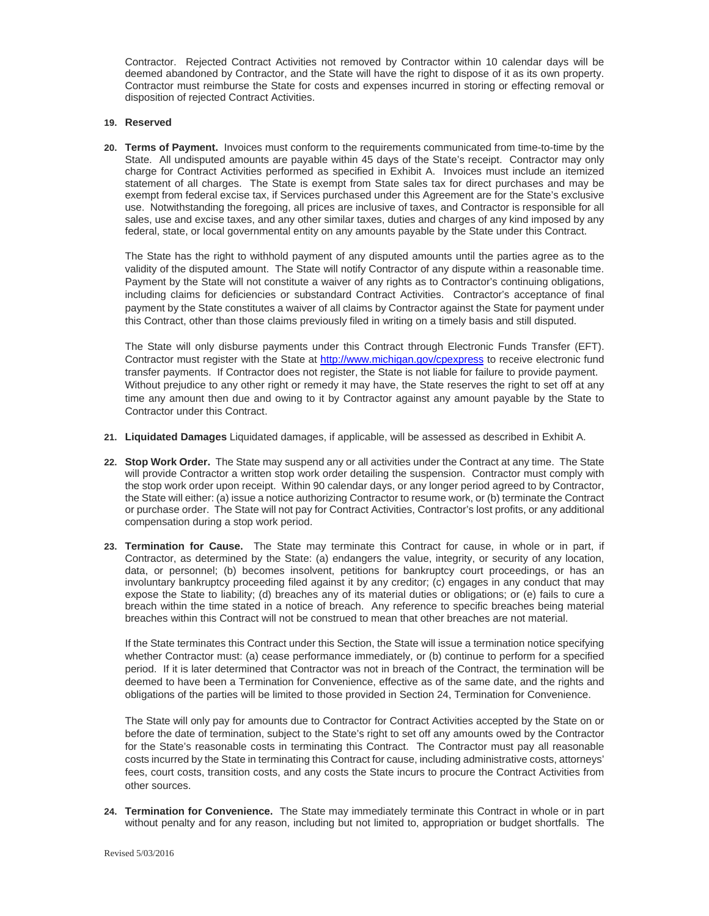Contractor. Rejected Contract Activities not removed by Contractor within 10 calendar days will be deemed abandoned by Contractor, and the State will have the right to dispose of it as its own property. Contractor must reimburse the State for costs and expenses incurred in storing or effecting removal or disposition of rejected Contract Activities.

#### **19. Reserved**

**20. Terms of Payment.** Invoices must conform to the requirements communicated from time-to-time by the State. All undisputed amounts are payable within 45 days of the State's receipt. Contractor may only charge for Contract Activities performed as specified in Exhibit A. Invoices must include an itemized statement of all charges. The State is exempt from State sales tax for direct purchases and may be exempt from federal excise tax, if Services purchased under this Agreement are for the State's exclusive use. Notwithstanding the foregoing, all prices are inclusive of taxes, and Contractor is responsible for all sales, use and excise taxes, and any other similar taxes, duties and charges of any kind imposed by any federal, state, or local governmental entity on any amounts payable by the State under this Contract.

The State has the right to withhold payment of any disputed amounts until the parties agree as to the validity of the disputed amount. The State will notify Contractor of any dispute within a reasonable time. Payment by the State will not constitute a waiver of any rights as to Contractor's continuing obligations, including claims for deficiencies or substandard Contract Activities. Contractor's acceptance of final payment by the State constitutes a waiver of all claims by Contractor against the State for payment under this Contract, other than those claims previously filed in writing on a timely basis and still disputed.

The State will only disburse payments under this Contract through Electronic Funds Transfer (EFT). Contractor must register with the State at http://www.michigan.gov/cpexpress to receive electronic fund transfer payments. If Contractor does not register, the State is not liable for failure to provide payment. Without prejudice to any other right or remedy it may have, the State reserves the right to set off at any time any amount then due and owing to it by Contractor against any amount payable by the State to Contractor under this Contract.

- **21. Liquidated Damages** Liquidated damages, if applicable, will be assessed as described in Exhibit A.
- **22. Stop Work Order.** The State may suspend any or all activities under the Contract at any time. The State will provide Contractor a written stop work order detailing the suspension. Contractor must comply with the stop work order upon receipt. Within 90 calendar days, or any longer period agreed to by Contractor, the State will either: (a) issue a notice authorizing Contractor to resume work, or (b) terminate the Contract or purchase order. The State will not pay for Contract Activities, Contractor's lost profits, or any additional compensation during a stop work period.
- **23. Termination for Cause.** The State may terminate this Contract for cause, in whole or in part, if Contractor, as determined by the State: (a) endangers the value, integrity, or security of any location, data, or personnel; (b) becomes insolvent, petitions for bankruptcy court proceedings, or has an involuntary bankruptcy proceeding filed against it by any creditor; (c) engages in any conduct that may expose the State to liability; (d) breaches any of its material duties or obligations; or (e) fails to cure a breach within the time stated in a notice of breach. Any reference to specific breaches being material breaches within this Contract will not be construed to mean that other breaches are not material.

If the State terminates this Contract under this Section, the State will issue a termination notice specifying whether Contractor must: (a) cease performance immediately, or (b) continue to perform for a specified period. If it is later determined that Contractor was not in breach of the Contract, the termination will be deemed to have been a Termination for Convenience, effective as of the same date, and the rights and obligations of the parties will be limited to those provided in Section 24, Termination for Convenience.

The State will only pay for amounts due to Contractor for Contract Activities accepted by the State on or before the date of termination, subject to the State's right to set off any amounts owed by the Contractor for the State's reasonable costs in terminating this Contract. The Contractor must pay all reasonable costs incurred by the State in terminating this Contract for cause, including administrative costs, attorneys' fees, court costs, transition costs, and any costs the State incurs to procure the Contract Activities from other sources.

**24. Termination for Convenience.** The State may immediately terminate this Contract in whole or in part without penalty and for any reason, including but not limited to, appropriation or budget shortfalls. The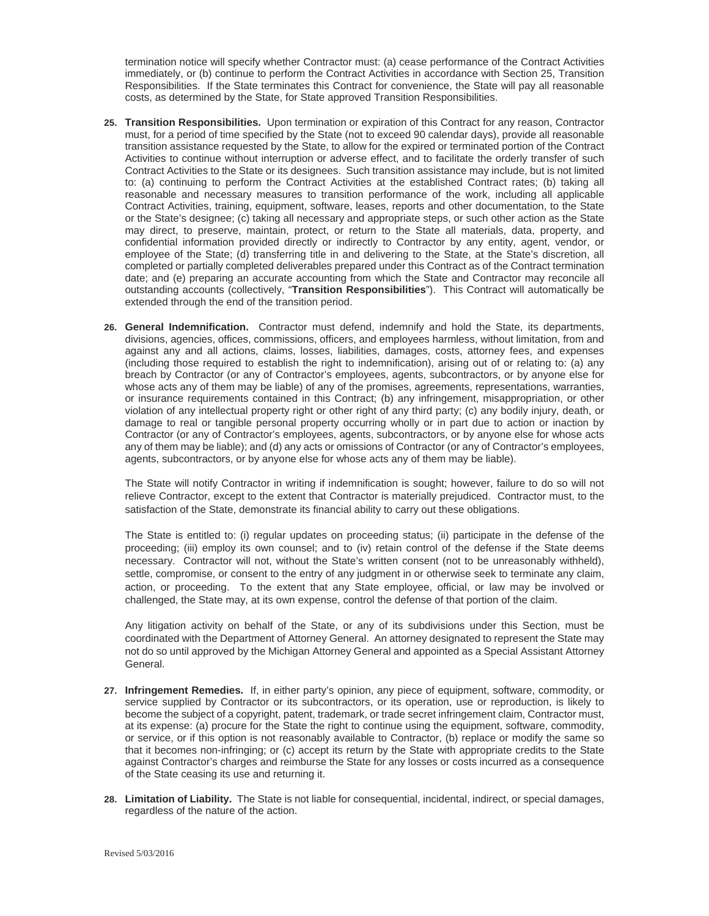termination notice will specify whether Contractor must: (a) cease performance of the Contract Activities immediately, or (b) continue to perform the Contract Activities in accordance with Section 25, Transition Responsibilities. If the State terminates this Contract for convenience, the State will pay all reasonable costs, as determined by the State, for State approved Transition Responsibilities.

- **25. Transition Responsibilities.** Upon termination or expiration of this Contract for any reason, Contractor must, for a period of time specified by the State (not to exceed 90 calendar days), provide all reasonable transition assistance requested by the State, to allow for the expired or terminated portion of the Contract Activities to continue without interruption or adverse effect, and to facilitate the orderly transfer of such Contract Activities to the State or its designees. Such transition assistance may include, but is not limited to: (a) continuing to perform the Contract Activities at the established Contract rates; (b) taking all reasonable and necessary measures to transition performance of the work, including all applicable Contract Activities, training, equipment, software, leases, reports and other documentation, to the State or the State's designee; (c) taking all necessary and appropriate steps, or such other action as the State may direct, to preserve, maintain, protect, or return to the State all materials, data, property, and confidential information provided directly or indirectly to Contractor by any entity, agent, vendor, or employee of the State; (d) transferring title in and delivering to the State, at the State's discretion, all completed or partially completed deliverables prepared under this Contract as of the Contract termination date; and (e) preparing an accurate accounting from which the State and Contractor may reconcile all outstanding accounts (collectively, "**Transition Responsibilities**"). This Contract will automatically be extended through the end of the transition period.
- **26. General Indemnification.** Contractor must defend, indemnify and hold the State, its departments, divisions, agencies, offices, commissions, officers, and employees harmless, without limitation, from and against any and all actions, claims, losses, liabilities, damages, costs, attorney fees, and expenses (including those required to establish the right to indemnification), arising out of or relating to: (a) any breach by Contractor (or any of Contractor's employees, agents, subcontractors, or by anyone else for whose acts any of them may be liable) of any of the promises, agreements, representations, warranties, or insurance requirements contained in this Contract; (b) any infringement, misappropriation, or other violation of any intellectual property right or other right of any third party; (c) any bodily injury, death, or damage to real or tangible personal property occurring wholly or in part due to action or inaction by Contractor (or any of Contractor's employees, agents, subcontractors, or by anyone else for whose acts any of them may be liable); and (d) any acts or omissions of Contractor (or any of Contractor's employees, agents, subcontractors, or by anyone else for whose acts any of them may be liable).

The State will notify Contractor in writing if indemnification is sought; however, failure to do so will not relieve Contractor, except to the extent that Contractor is materially prejudiced. Contractor must, to the satisfaction of the State, demonstrate its financial ability to carry out these obligations.

The State is entitled to: (i) regular updates on proceeding status; (ii) participate in the defense of the proceeding; (iii) employ its own counsel; and to (iv) retain control of the defense if the State deems necessary. Contractor will not, without the State's written consent (not to be unreasonably withheld), settle, compromise, or consent to the entry of any judgment in or otherwise seek to terminate any claim, action, or proceeding. To the extent that any State employee, official, or law may be involved or challenged, the State may, at its own expense, control the defense of that portion of the claim.

Any litigation activity on behalf of the State, or any of its subdivisions under this Section, must be coordinated with the Department of Attorney General. An attorney designated to represent the State may not do so until approved by the Michigan Attorney General and appointed as a Special Assistant Attorney General.

- **27. Infringement Remedies.** If, in either party's opinion, any piece of equipment, software, commodity, or service supplied by Contractor or its subcontractors, or its operation, use or reproduction, is likely to become the subject of a copyright, patent, trademark, or trade secret infringement claim, Contractor must, at its expense: (a) procure for the State the right to continue using the equipment, software, commodity, or service, or if this option is not reasonably available to Contractor, (b) replace or modify the same so that it becomes non-infringing; or (c) accept its return by the State with appropriate credits to the State against Contractor's charges and reimburse the State for any losses or costs incurred as a consequence of the State ceasing its use and returning it.
- **28. Limitation of Liability.** The State is not liable for consequential, incidental, indirect, or special damages, regardless of the nature of the action.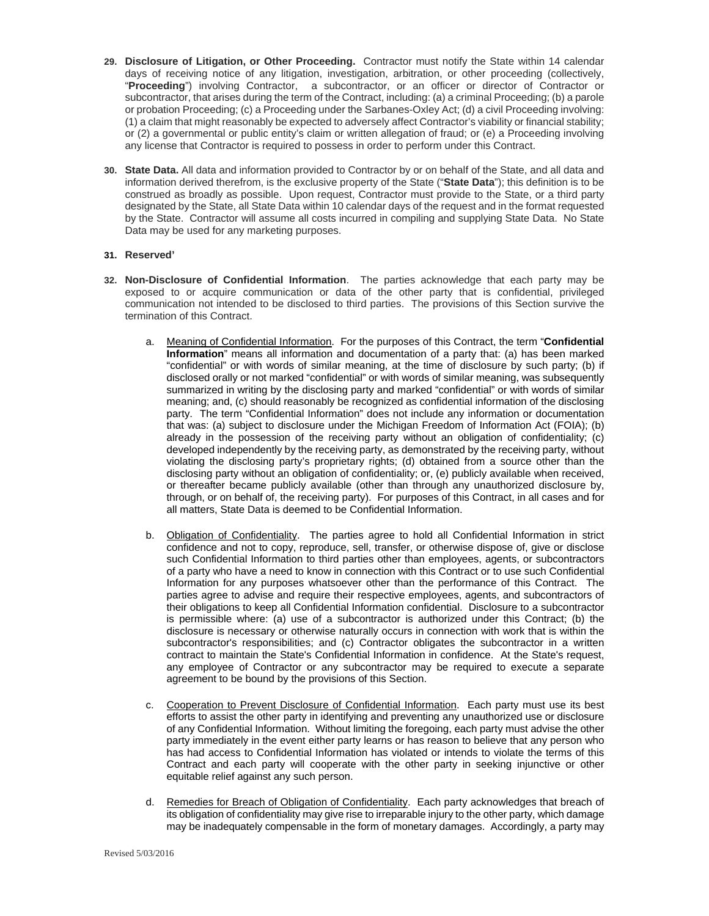- **29. Disclosure of Litigation, or Other Proceeding.** Contractor must notify the State within 14 calendar days of receiving notice of any litigation, investigation, arbitration, or other proceeding (collectively, "**Proceeding**") involving Contractor, a subcontractor, or an officer or director of Contractor or subcontractor, that arises during the term of the Contract, including: (a) a criminal Proceeding; (b) a parole or probation Proceeding; (c) a Proceeding under the Sarbanes-Oxley Act; (d) a civil Proceeding involving: (1) a claim that might reasonably be expected to adversely affect Contractor's viability or financial stability; or (2) a governmental or public entity's claim or written allegation of fraud; or (e) a Proceeding involving any license that Contractor is required to possess in order to perform under this Contract.
- **30. State Data.** All data and information provided to Contractor by or on behalf of the State, and all data and information derived therefrom, is the exclusive property of the State ("**State Data**"); this definition is to be construed as broadly as possible. Upon request, Contractor must provide to the State, or a third party designated by the State, all State Data within 10 calendar days of the request and in the format requested by the State. Contractor will assume all costs incurred in compiling and supplying State Data. No State Data may be used for any marketing purposes.

#### **31. Reserved'**

- **32. Non-Disclosure of Confidential Information**. The parties acknowledge that each party may be exposed to or acquire communication or data of the other party that is confidential, privileged communication not intended to be disclosed to third parties. The provisions of this Section survive the termination of this Contract.
	- a. Meaning of Confidential Information. For the purposes of this Contract, the term "**Confidential Information**" means all information and documentation of a party that: (a) has been marked "confidential" or with words of similar meaning, at the time of disclosure by such party; (b) if disclosed orally or not marked "confidential" or with words of similar meaning, was subsequently summarized in writing by the disclosing party and marked "confidential" or with words of similar meaning; and, (c) should reasonably be recognized as confidential information of the disclosing party. The term "Confidential Information" does not include any information or documentation that was: (a) subject to disclosure under the Michigan Freedom of Information Act (FOIA); (b) already in the possession of the receiving party without an obligation of confidentiality; (c) developed independently by the receiving party, as demonstrated by the receiving party, without violating the disclosing party's proprietary rights; (d) obtained from a source other than the disclosing party without an obligation of confidentiality; or, (e) publicly available when received, or thereafter became publicly available (other than through any unauthorized disclosure by, through, or on behalf of, the receiving party). For purposes of this Contract, in all cases and for all matters, State Data is deemed to be Confidential Information.
	- b. Obligation of Confidentiality. The parties agree to hold all Confidential Information in strict confidence and not to copy, reproduce, sell, transfer, or otherwise dispose of, give or disclose such Confidential Information to third parties other than employees, agents, or subcontractors of a party who have a need to know in connection with this Contract or to use such Confidential Information for any purposes whatsoever other than the performance of this Contract. The parties agree to advise and require their respective employees, agents, and subcontractors of their obligations to keep all Confidential Information confidential. Disclosure to a subcontractor is permissible where: (a) use of a subcontractor is authorized under this Contract; (b) the disclosure is necessary or otherwise naturally occurs in connection with work that is within the subcontractor's responsibilities; and (c) Contractor obligates the subcontractor in a written contract to maintain the State's Confidential Information in confidence. At the State's request, any employee of Contractor or any subcontractor may be required to execute a separate agreement to be bound by the provisions of this Section.
	- c. Cooperation to Prevent Disclosure of Confidential Information. Each party must use its best efforts to assist the other party in identifying and preventing any unauthorized use or disclosure of any Confidential Information. Without limiting the foregoing, each party must advise the other party immediately in the event either party learns or has reason to believe that any person who has had access to Confidential Information has violated or intends to violate the terms of this Contract and each party will cooperate with the other party in seeking injunctive or other equitable relief against any such person.
	- d. Remedies for Breach of Obligation of Confidentiality. Each party acknowledges that breach of its obligation of confidentiality may give rise to irreparable injury to the other party, which damage may be inadequately compensable in the form of monetary damages. Accordingly, a party may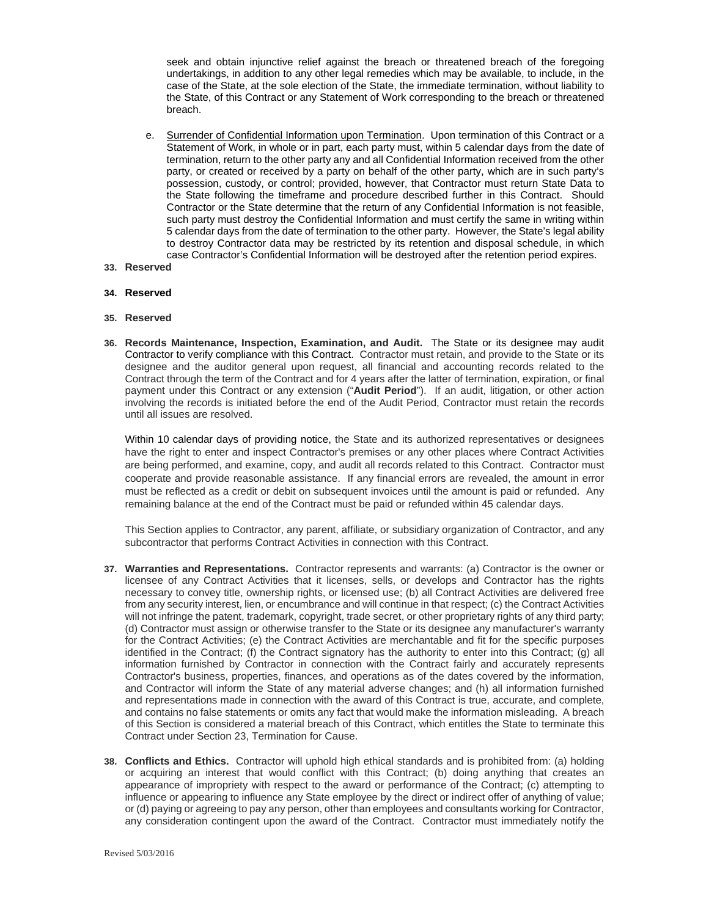seek and obtain injunctive relief against the breach or threatened breach of the foregoing undertakings, in addition to any other legal remedies which may be available, to include, in the case of the State, at the sole election of the State, the immediate termination, without liability to the State, of this Contract or any Statement of Work corresponding to the breach or threatened breach.

- e. Surrender of Confidential Information upon Termination. Upon termination of this Contract or a Statement of Work, in whole or in part, each party must, within 5 calendar days from the date of termination, return to the other party any and all Confidential Information received from the other party, or created or received by a party on behalf of the other party, which are in such party's possession, custody, or control; provided, however, that Contractor must return State Data to the State following the timeframe and procedure described further in this Contract. Should Contractor or the State determine that the return of any Confidential Information is not feasible, such party must destroy the Confidential Information and must certify the same in writing within 5 calendar days from the date of termination to the other party. However, the State's legal ability to destroy Contractor data may be restricted by its retention and disposal schedule, in which case Contractor's Confidential Information will be destroyed after the retention period expires.
- **33. Reserved**

#### **34. Reserved**

#### **35. Reserved**

**36. Records Maintenance, Inspection, Examination, and Audit.** The State or its designee may audit Contractor to verify compliance with this Contract. Contractor must retain, and provide to the State or its designee and the auditor general upon request, all financial and accounting records related to the Contract through the term of the Contract and for 4 years after the latter of termination, expiration, or final payment under this Contract or any extension ("**Audit Period**"). If an audit, litigation, or other action involving the records is initiated before the end of the Audit Period, Contractor must retain the records until all issues are resolved.

Within 10 calendar days of providing notice, the State and its authorized representatives or designees have the right to enter and inspect Contractor's premises or any other places where Contract Activities are being performed, and examine, copy, and audit all records related to this Contract. Contractor must cooperate and provide reasonable assistance. If any financial errors are revealed, the amount in error must be reflected as a credit or debit on subsequent invoices until the amount is paid or refunded. Any remaining balance at the end of the Contract must be paid or refunded within 45 calendar days.

This Section applies to Contractor, any parent, affiliate, or subsidiary organization of Contractor, and any subcontractor that performs Contract Activities in connection with this Contract.

- **37. Warranties and Representations.** Contractor represents and warrants: (a) Contractor is the owner or licensee of any Contract Activities that it licenses, sells, or develops and Contractor has the rights necessary to convey title, ownership rights, or licensed use; (b) all Contract Activities are delivered free from any security interest, lien, or encumbrance and will continue in that respect; (c) the Contract Activities will not infringe the patent, trademark, copyright, trade secret, or other proprietary rights of any third party; (d) Contractor must assign or otherwise transfer to the State or its designee any manufacturer's warranty for the Contract Activities; (e) the Contract Activities are merchantable and fit for the specific purposes identified in the Contract; (f) the Contract signatory has the authority to enter into this Contract; (g) all information furnished by Contractor in connection with the Contract fairly and accurately represents Contractor's business, properties, finances, and operations as of the dates covered by the information, and Contractor will inform the State of any material adverse changes; and (h) all information furnished and representations made in connection with the award of this Contract is true, accurate, and complete, and contains no false statements or omits any fact that would make the information misleading. A breach of this Section is considered a material breach of this Contract, which entitles the State to terminate this Contract under Section 23, Termination for Cause.
- **38. Conflicts and Ethics.** Contractor will uphold high ethical standards and is prohibited from: (a) holding or acquiring an interest that would conflict with this Contract; (b) doing anything that creates an appearance of impropriety with respect to the award or performance of the Contract; (c) attempting to influence or appearing to influence any State employee by the direct or indirect offer of anything of value; or (d) paying or agreeing to pay any person, other than employees and consultants working for Contractor, any consideration contingent upon the award of the Contract. Contractor must immediately notify the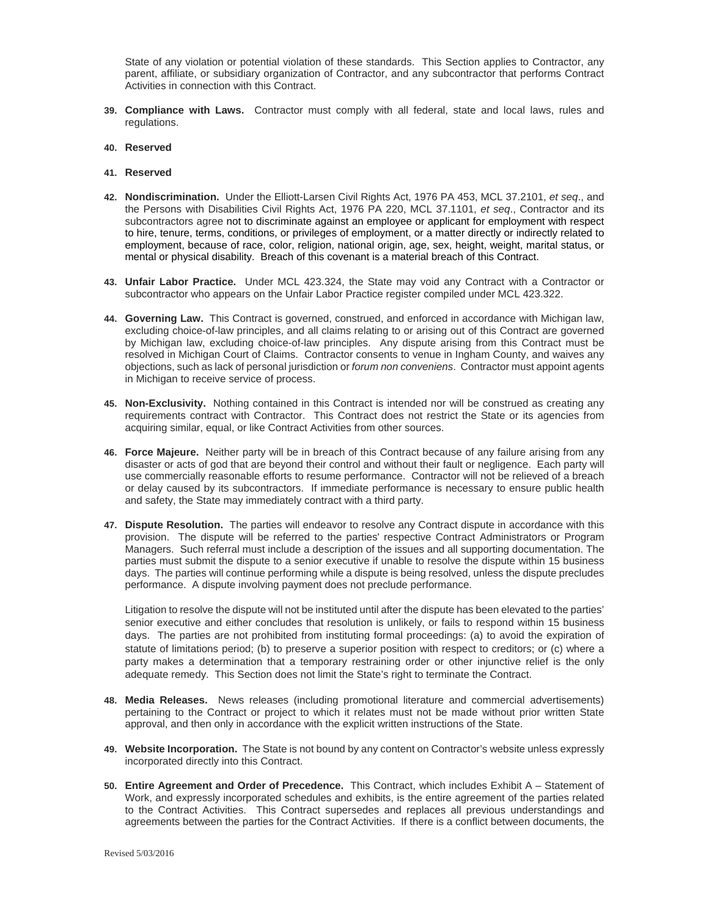State of any violation or potential violation of these standards. This Section applies to Contractor, any parent, affiliate, or subsidiary organization of Contractor, and any subcontractor that performs Contract Activities in connection with this Contract.

- **39. Compliance with Laws.** Contractor must comply with all federal, state and local laws, rules and regulations.
- **40. Reserved**
- **41. Reserved**
- **42. Nondiscrimination.** Under the Elliott-Larsen Civil Rights Act, 1976 PA 453, MCL 37.2101, *et seq*., and the Persons with Disabilities Civil Rights Act, 1976 PA 220, MCL 37.1101, *et seq*., Contractor and its subcontractors agree not to discriminate against an employee or applicant for employment with respect to hire, tenure, terms, conditions, or privileges of employment, or a matter directly or indirectly related to employment, because of race, color, religion, national origin, age, sex, height, weight, marital status, or mental or physical disability. Breach of this covenant is a material breach of this Contract.
- **43. Unfair Labor Practice.** Under MCL 423.324, the State may void any Contract with a Contractor or subcontractor who appears on the Unfair Labor Practice register compiled under MCL 423.322.
- **44. Governing Law.** This Contract is governed, construed, and enforced in accordance with Michigan law, excluding choice-of-law principles, and all claims relating to or arising out of this Contract are governed by Michigan law, excluding choice-of-law principles. Any dispute arising from this Contract must be resolved in Michigan Court of Claims. Contractor consents to venue in Ingham County, and waives any objections, such as lack of personal jurisdiction or *forum non conveniens*. Contractor must appoint agents in Michigan to receive service of process.
- **45. Non-Exclusivity.** Nothing contained in this Contract is intended nor will be construed as creating any requirements contract with Contractor. This Contract does not restrict the State or its agencies from acquiring similar, equal, or like Contract Activities from other sources.
- **46. Force Majeure.** Neither party will be in breach of this Contract because of any failure arising from any disaster or acts of god that are beyond their control and without their fault or negligence. Each party will use commercially reasonable efforts to resume performance. Contractor will not be relieved of a breach or delay caused by its subcontractors. If immediate performance is necessary to ensure public health and safety, the State may immediately contract with a third party.
- **47. Dispute Resolution.** The parties will endeavor to resolve any Contract dispute in accordance with this provision. The dispute will be referred to the parties' respective Contract Administrators or Program Managers. Such referral must include a description of the issues and all supporting documentation. The parties must submit the dispute to a senior executive if unable to resolve the dispute within 15 business days. The parties will continue performing while a dispute is being resolved, unless the dispute precludes performance. A dispute involving payment does not preclude performance.

Litigation to resolve the dispute will not be instituted until after the dispute has been elevated to the parties' senior executive and either concludes that resolution is unlikely, or fails to respond within 15 business days. The parties are not prohibited from instituting formal proceedings: (a) to avoid the expiration of statute of limitations period; (b) to preserve a superior position with respect to creditors; or (c) where a party makes a determination that a temporary restraining order or other injunctive relief is the only adequate remedy. This Section does not limit the State's right to terminate the Contract.

- **48. Media Releases.** News releases (including promotional literature and commercial advertisements) pertaining to the Contract or project to which it relates must not be made without prior written State approval, and then only in accordance with the explicit written instructions of the State.
- **49. Website Incorporation.** The State is not bound by any content on Contractor's website unless expressly incorporated directly into this Contract.
- **50. Entire Agreement and Order of Precedence.** This Contract, which includes Exhibit A Statement of Work, and expressly incorporated schedules and exhibits, is the entire agreement of the parties related to the Contract Activities. This Contract supersedes and replaces all previous understandings and agreements between the parties for the Contract Activities. If there is a conflict between documents, the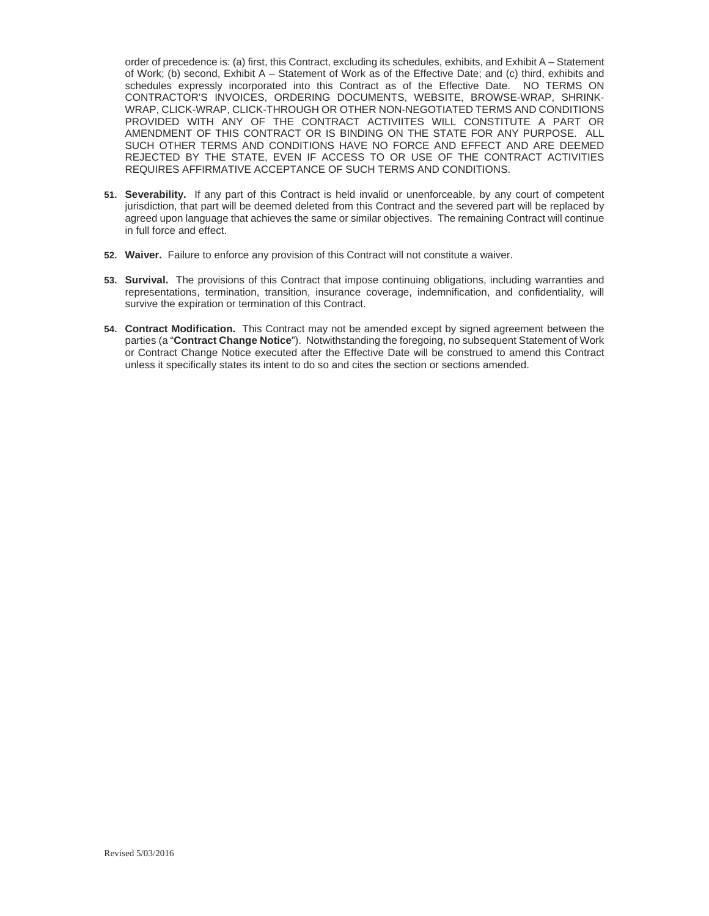order of precedence is: (a) first, this Contract, excluding its schedules, exhibits, and Exhibit A – Statement of Work; (b) second, Exhibit A – Statement of Work as of the Effective Date; and (c) third, exhibits and schedules expressly incorporated into this Contract as of the Effective Date. NO TERMS ON CONTRACTOR'S INVOICES, ORDERING DOCUMENTS, WEBSITE, BROWSE-WRAP, SHRINK-WRAP, CLICK-WRAP, CLICK-THROUGH OR OTHER NON-NEGOTIATED TERMS AND CONDITIONS PROVIDED WITH ANY OF THE CONTRACT ACTIVIITES WILL CONSTITUTE A PART OR AMENDMENT OF THIS CONTRACT OR IS BINDING ON THE STATE FOR ANY PURPOSE. ALL SUCH OTHER TERMS AND CONDITIONS HAVE NO FORCE AND EFFECT AND ARE DEEMED REJECTED BY THE STATE, EVEN IF ACCESS TO OR USE OF THE CONTRACT ACTIVITIES REQUIRES AFFIRMATIVE ACCEPTANCE OF SUCH TERMS AND CONDITIONS.

- **51. Severability.** If any part of this Contract is held invalid or unenforceable, by any court of competent jurisdiction, that part will be deemed deleted from this Contract and the severed part will be replaced by agreed upon language that achieves the same or similar objectives. The remaining Contract will continue in full force and effect.
- **52. Waiver.** Failure to enforce any provision of this Contract will not constitute a waiver.
- **53. Survival.** The provisions of this Contract that impose continuing obligations, including warranties and representations, termination, transition, insurance coverage, indemnification, and confidentiality, will survive the expiration or termination of this Contract.
- **54. Contract Modification.** This Contract may not be amended except by signed agreement between the parties (a "**Contract Change Notice**"). Notwithstanding the foregoing, no subsequent Statement of Work or Contract Change Notice executed after the Effective Date will be construed to amend this Contract unless it specifically states its intent to do so and cites the section or sections amended.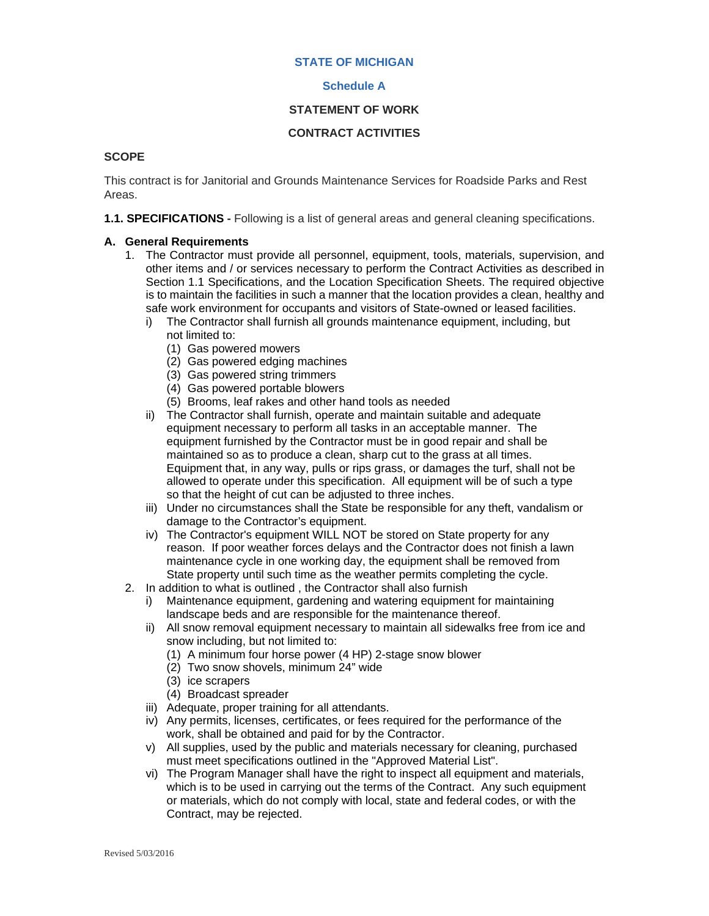#### **STATE OF MICHIGAN**

#### **Schedule A**

#### **STATEMENT OF WORK**

#### **CONTRACT ACTIVITIES**

#### **SCOPE**

This contract is for Janitorial and Grounds Maintenance Services for Roadside Parks and Rest Areas.

**1.1. SPECIFICATIONS -** Following is a list of general areas and general cleaning specifications.

#### **A. General Requirements**

- 1. The Contractor must provide all personnel, equipment, tools, materials, supervision, and other items and / or services necessary to perform the Contract Activities as described in Section 1.1 Specifications, and the Location Specification Sheets. The required objective is to maintain the facilities in such a manner that the location provides a clean, healthy and safe work environment for occupants and visitors of State-owned or leased facilities.
	- i) The Contractor shall furnish all grounds maintenance equipment, including, but not limited to:
		- (1) Gas powered mowers
		- (2) Gas powered edging machines
		- (3) Gas powered string trimmers
		- (4) Gas powered portable blowers
		- (5) Brooms, leaf rakes and other hand tools as needed
	- ii) The Contractor shall furnish, operate and maintain suitable and adequate equipment necessary to perform all tasks in an acceptable manner. The equipment furnished by the Contractor must be in good repair and shall be maintained so as to produce a clean, sharp cut to the grass at all times. Equipment that, in any way, pulls or rips grass, or damages the turf, shall not be allowed to operate under this specification. All equipment will be of such a type so that the height of cut can be adjusted to three inches.
	- iii) Under no circumstances shall the State be responsible for any theft, vandalism or damage to the Contractor's equipment.
	- iv) The Contractor's equipment WILL NOT be stored on State property for any reason. If poor weather forces delays and the Contractor does not finish a lawn maintenance cycle in one working day, the equipment shall be removed from State property until such time as the weather permits completing the cycle.
- 2. In addition to what is outlined , the Contractor shall also furnish
	- i) Maintenance equipment, gardening and watering equipment for maintaining landscape beds and are responsible for the maintenance thereof.
	- ii) All snow removal equipment necessary to maintain all sidewalks free from ice and snow including, but not limited to:
		- (1) A minimum four horse power (4 HP) 2-stage snow blower
		- (2) Two snow shovels, minimum 24" wide
		- (3) ice scrapers
		- (4) Broadcast spreader
	- iii) Adequate, proper training for all attendants.
	- iv) Any permits, licenses, certificates, or fees required for the performance of the work, shall be obtained and paid for by the Contractor.
	- v) All supplies, used by the public and materials necessary for cleaning, purchased must meet specifications outlined in the "Approved Material List".
	- vi) The Program Manager shall have the right to inspect all equipment and materials, which is to be used in carrying out the terms of the Contract. Any such equipment or materials, which do not comply with local, state and federal codes, or with the Contract, may be rejected.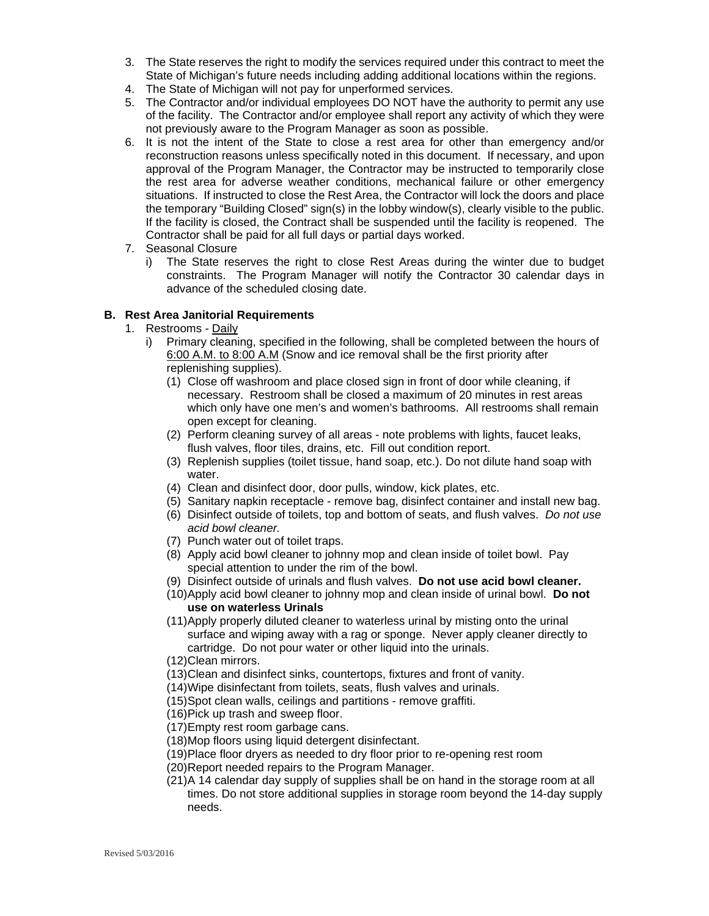- 3. The State reserves the right to modify the services required under this contract to meet the State of Michigan's future needs including adding additional locations within the regions.
- 4. The State of Michigan will not pay for unperformed services.
- 5. The Contractor and/or individual employees DO NOT have the authority to permit any use of the facility. The Contractor and/or employee shall report any activity of which they were not previously aware to the Program Manager as soon as possible.
- 6. It is not the intent of the State to close a rest area for other than emergency and/or reconstruction reasons unless specifically noted in this document. If necessary, and upon approval of the Program Manager, the Contractor may be instructed to temporarily close the rest area for adverse weather conditions, mechanical failure or other emergency situations. If instructed to close the Rest Area, the Contractor will lock the doors and place the temporary "Building Closed" sign(s) in the lobby window(s), clearly visible to the public. If the facility is closed, the Contract shall be suspended until the facility is reopened. The Contractor shall be paid for all full days or partial days worked.
- 7. Seasonal Closure
	- i) The State reserves the right to close Rest Areas during the winter due to budget constraints. The Program Manager will notify the Contractor 30 calendar days in advance of the scheduled closing date.

#### **B. Rest Area Janitorial Requirements**

- 1. Restrooms Daily
	- i) Primary cleaning, specified in the following, shall be completed between the hours of 6:00 A.M. to 8:00 A.M (Snow and ice removal shall be the first priority after replenishing supplies).
		- (1) Close off washroom and place closed sign in front of door while cleaning, if necessary. Restroom shall be closed a maximum of 20 minutes in rest areas which only have one men's and women's bathrooms. All restrooms shall remain open except for cleaning.
		- (2) Perform cleaning survey of all areas note problems with lights, faucet leaks, flush valves, floor tiles, drains, etc. Fill out condition report.
		- (3) Replenish supplies (toilet tissue, hand soap, etc.). Do not dilute hand soap with water.
		- (4) Clean and disinfect door, door pulls, window, kick plates, etc.
		- (5) Sanitary napkin receptacle remove bag, disinfect container and install new bag.
		- (6) Disinfect outside of toilets, top and bottom of seats, and flush valves. *Do not use acid bowl cleaner.*
		- (7) Punch water out of toilet traps.
		- (8) Apply acid bowl cleaner to johnny mop and clean inside of toilet bowl. Pay special attention to under the rim of the bowl.
		- (9) Disinfect outside of urinals and flush valves. **Do not use acid bowl cleaner.**
		- (10) Apply acid bowl cleaner to johnny mop and clean inside of urinal bowl. **Do not use on waterless Urinals**
		- (11) Apply properly diluted cleaner to waterless urinal by misting onto the urinal surface and wiping away with a rag or sponge. Never apply cleaner directly to cartridge. Do not pour water or other liquid into the urinals.
		- (12) Clean mirrors.
		- (13) Clean and disinfect sinks, countertops, fixtures and front of vanity.
		- (14) Wipe disinfectant from toilets, seats, flush valves and urinals.
		- (15) Spot clean walls, ceilings and partitions remove graffiti.
		- (16) Pick up trash and sweep floor.
		- (17) Empty rest room garbage cans.
		- (18) Mop floors using liquid detergent disinfectant.
		- (19) Place floor dryers as needed to dry floor prior to re-opening rest room
		- (20) Report needed repairs to the Program Manager.
		- (21) A 14 calendar day supply of supplies shall be on hand in the storage room at all times. Do not store additional supplies in storage room beyond the 14-day supply needs.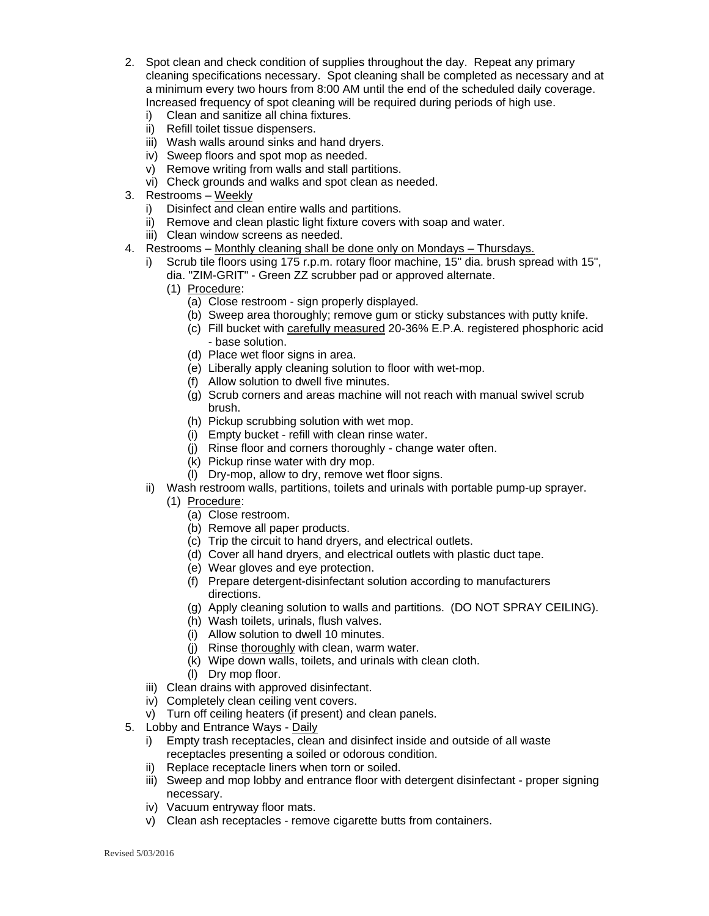- 2. Spot clean and check condition of supplies throughout the day. Repeat any primary cleaning specifications necessary. Spot cleaning shall be completed as necessary and at a minimum every two hours from 8:00 AM until the end of the scheduled daily coverage. Increased frequency of spot cleaning will be required during periods of high use.
	- i) Clean and sanitize all china fixtures.
	- ii) Refill toilet tissue dispensers.
	- iii) Wash walls around sinks and hand dryers.
	- iv) Sweep floors and spot mop as needed.
	- v) Remove writing from walls and stall partitions.
	- vi) Check grounds and walks and spot clean as needed.
- 3. Restrooms Weekly
	- i) Disinfect and clean entire walls and partitions.
	- ii) Remove and clean plastic light fixture covers with soap and water.
	- iii) Clean window screens as needed.
- 4. Restrooms Monthly cleaning shall be done only on Mondays Thursdays.
	- Scrub tile floors using 175 r.p.m. rotary floor machine, 15" dia. brush spread with 15", dia. "ZIM-GRIT" - Green ZZ scrubber pad or approved alternate.
		- (1) Procedure:
			- (a) Close restroom sign properly displayed.
			- (b) Sweep area thoroughly; remove gum or sticky substances with putty knife.
			- (c) Fill bucket with carefully measured 20-36% E.P.A. registered phosphoric acid - base solution.
			- (d) Place wet floor signs in area.
			- (e) Liberally apply cleaning solution to floor with wet-mop.
			- (f) Allow solution to dwell five minutes.
			- (g) Scrub corners and areas machine will not reach with manual swivel scrub brush.
			- (h) Pickup scrubbing solution with wet mop.
			- (i) Empty bucket refill with clean rinse water.
			- (j) Rinse floor and corners thoroughly change water often.
			- (k) Pickup rinse water with dry mop.
			- (l) Dry-mop, allow to dry, remove wet floor signs.
	- ii) Wash restroom walls, partitions, toilets and urinals with portable pump-up sprayer.
		- (1) Procedure:
			- (a) Close restroom.
			- (b) Remove all paper products.
			- (c) Trip the circuit to hand dryers, and electrical outlets.
			- (d) Cover all hand dryers, and electrical outlets with plastic duct tape.
			- (e) Wear gloves and eye protection.
			- (f) Prepare detergent-disinfectant solution according to manufacturers directions.
			- (g) Apply cleaning solution to walls and partitions. (DO NOT SPRAY CEILING).
			- (h) Wash toilets, urinals, flush valves.
			- (i) Allow solution to dwell 10 minutes.
			- (j) Rinse thoroughly with clean, warm water.
			- (k) Wipe down walls, toilets, and urinals with clean cloth.
			- (l) Dry mop floor.
	- iii) Clean drains with approved disinfectant.
	- iv) Completely clean ceiling vent covers.
	- v) Turn off ceiling heaters (if present) and clean panels.
- 5. Lobby and Entrance Ways Daily
	- i) Empty trash receptacles, clean and disinfect inside and outside of all waste receptacles presenting a soiled or odorous condition.
	- ii) Replace receptacle liners when torn or soiled.
	- iii) Sweep and mop lobby and entrance floor with detergent disinfectant proper signing necessary.
	- iv) Vacuum entryway floor mats.
	- v) Clean ash receptacles remove cigarette butts from containers.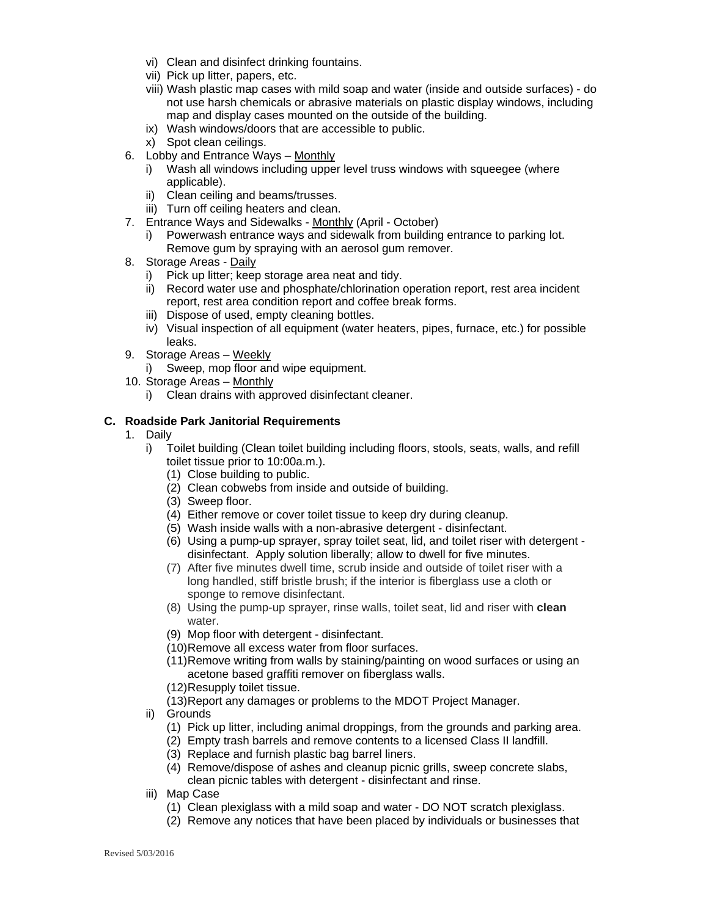- vi) Clean and disinfect drinking fountains.
- vii) Pick up litter, papers, etc.
- viii) Wash plastic map cases with mild soap and water (inside and outside surfaces) do not use harsh chemicals or abrasive materials on plastic display windows, including map and display cases mounted on the outside of the building.
- ix) Wash windows/doors that are accessible to public.
- x) Spot clean ceilings.
- 6. Lobby and Entrance Ways Monthly
	- i) Wash all windows including upper level truss windows with squeegee (where applicable).
	- ii) Clean ceiling and beams/trusses.
	- iii) Turn off ceiling heaters and clean.
- 7. Entrance Ways and Sidewalks Monthly (April October)
	- i) Powerwash entrance ways and sidewalk from building entrance to parking lot. Remove gum by spraying with an aerosol gum remover.
- 8. Storage Areas Daily
	- i) Pick up litter; keep storage area neat and tidy.
	- ii) Record water use and phosphate/chlorination operation report, rest area incident report, rest area condition report and coffee break forms.
	- iii) Dispose of used, empty cleaning bottles.
	- iv) Visual inspection of all equipment (water heaters, pipes, furnace, etc.) for possible leaks.
- 9. Storage Areas Weekly
	- i) Sweep, mop floor and wipe equipment.
- 10. Storage Areas Monthly
	- i) Clean drains with approved disinfectant cleaner.

#### **C. Roadside Park Janitorial Requirements**

- 1. Daily
	- i) Toilet building (Clean toilet building including floors, stools, seats, walls, and refill toilet tissue prior to 10:00a.m.).
		- (1) Close building to public.
		- (2) Clean cobwebs from inside and outside of building.
		- (3) Sweep floor.
		- (4) Either remove or cover toilet tissue to keep dry during cleanup.
		- (5) Wash inside walls with a non-abrasive detergent disinfectant.
		- (6) Using a pump-up sprayer, spray toilet seat, lid, and toilet riser with detergent disinfectant. Apply solution liberally; allow to dwell for five minutes.
		- (7) After five minutes dwell time, scrub inside and outside of toilet riser with a long handled, stiff bristle brush; if the interior is fiberglass use a cloth or sponge to remove disinfectant.
		- (8) Using the pump-up sprayer, rinse walls, toilet seat, lid and riser with **clean** water.
		- (9) Mop floor with detergent disinfectant.
		- (10) Remove all excess water from floor surfaces.
		- (11) Remove writing from walls by staining/painting on wood surfaces or using an acetone based graffiti remover on fiberglass walls.
		- (12) Resupply toilet tissue.
		- (13) Report any damages or problems to the MDOT Project Manager.
	- ii) Grounds
		- (1) Pick up litter, including animal droppings, from the grounds and parking area.
		- (2) Empty trash barrels and remove contents to a licensed Class II landfill.
		- (3) Replace and furnish plastic bag barrel liners.
		- (4) Remove/dispose of ashes and cleanup picnic grills, sweep concrete slabs, clean picnic tables with detergent - disinfectant and rinse.
	- iii) Map Case
		- (1) Clean plexiglass with a mild soap and water DO NOT scratch plexiglass.
		- (2) Remove any notices that have been placed by individuals or businesses that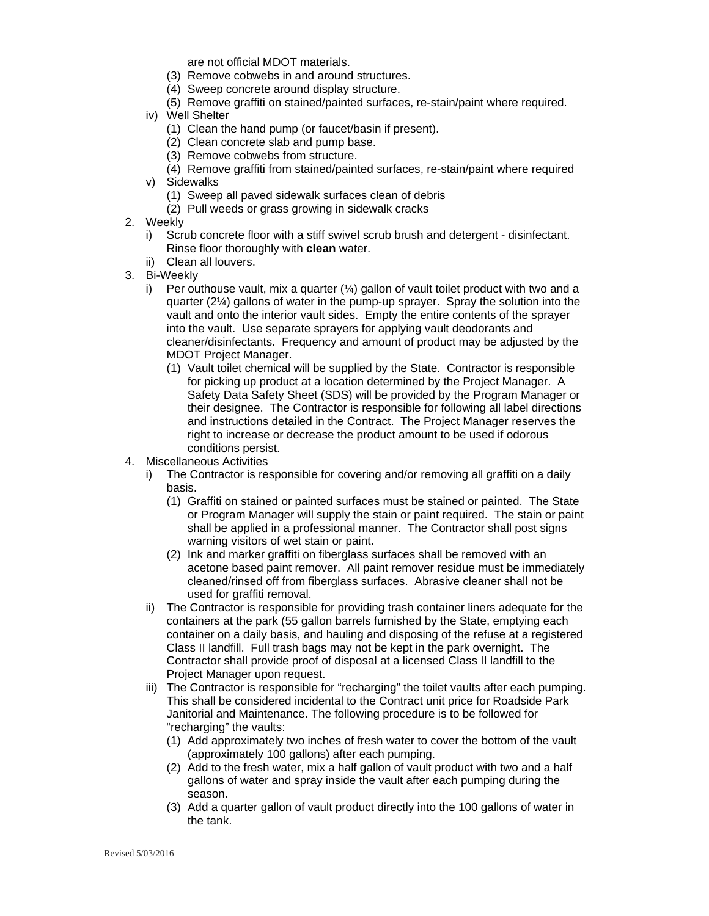are not official MDOT materials.

- (3) Remove cobwebs in and around structures.
- (4) Sweep concrete around display structure.
- (5) Remove graffiti on stained/painted surfaces, re-stain/paint where required.
- iv) Well Shelter
	- (1) Clean the hand pump (or faucet/basin if present).
	- (2) Clean concrete slab and pump base.
	- (3) Remove cobwebs from structure.
	- (4) Remove graffiti from stained/painted surfaces, re-stain/paint where required
- v) Sidewalks
	- (1) Sweep all paved sidewalk surfaces clean of debris
	- (2) Pull weeds or grass growing in sidewalk cracks
- 2. Weekly
	- i) Scrub concrete floor with a stiff swivel scrub brush and detergent disinfectant. Rinse floor thoroughly with **clean** water.
	- ii) Clean all louvers.
- 3. Bi-Weekly
	- i) Per outhouse vault, mix a quarter  $(\frac{1}{4})$  gallon of vault toilet product with two and a quarter (2¼) gallons of water in the pump-up sprayer. Spray the solution into the vault and onto the interior vault sides. Empty the entire contents of the sprayer into the vault. Use separate sprayers for applying vault deodorants and cleaner/disinfectants. Frequency and amount of product may be adjusted by the MDOT Project Manager.
		- (1) Vault toilet chemical will be supplied by the State. Contractor is responsible for picking up product at a location determined by the Project Manager. A Safety Data Safety Sheet (SDS) will be provided by the Program Manager or their designee. The Contractor is responsible for following all label directions and instructions detailed in the Contract. The Project Manager reserves the right to increase or decrease the product amount to be used if odorous conditions persist.
- 4. Miscellaneous Activities
	- i) The Contractor is responsible for covering and/or removing all graffiti on a daily basis.
		- (1) Graffiti on stained or painted surfaces must be stained or painted. The State or Program Manager will supply the stain or paint required. The stain or paint shall be applied in a professional manner. The Contractor shall post signs warning visitors of wet stain or paint.
		- (2) Ink and marker graffiti on fiberglass surfaces shall be removed with an acetone based paint remover. All paint remover residue must be immediately cleaned/rinsed off from fiberglass surfaces. Abrasive cleaner shall not be used for graffiti removal.
	- ii) The Contractor is responsible for providing trash container liners adequate for the containers at the park (55 gallon barrels furnished by the State, emptying each container on a daily basis, and hauling and disposing of the refuse at a registered Class II landfill. Full trash bags may not be kept in the park overnight. The Contractor shall provide proof of disposal at a licensed Class II landfill to the Project Manager upon request.
	- iii) The Contractor is responsible for "recharging" the toilet vaults after each pumping. This shall be considered incidental to the Contract unit price for Roadside Park Janitorial and Maintenance. The following procedure is to be followed for "recharging" the vaults:
		- (1) Add approximately two inches of fresh water to cover the bottom of the vault (approximately 100 gallons) after each pumping.
		- (2) Add to the fresh water, mix a half gallon of vault product with two and a half gallons of water and spray inside the vault after each pumping during the season.
		- (3) Add a quarter gallon of vault product directly into the 100 gallons of water in the tank.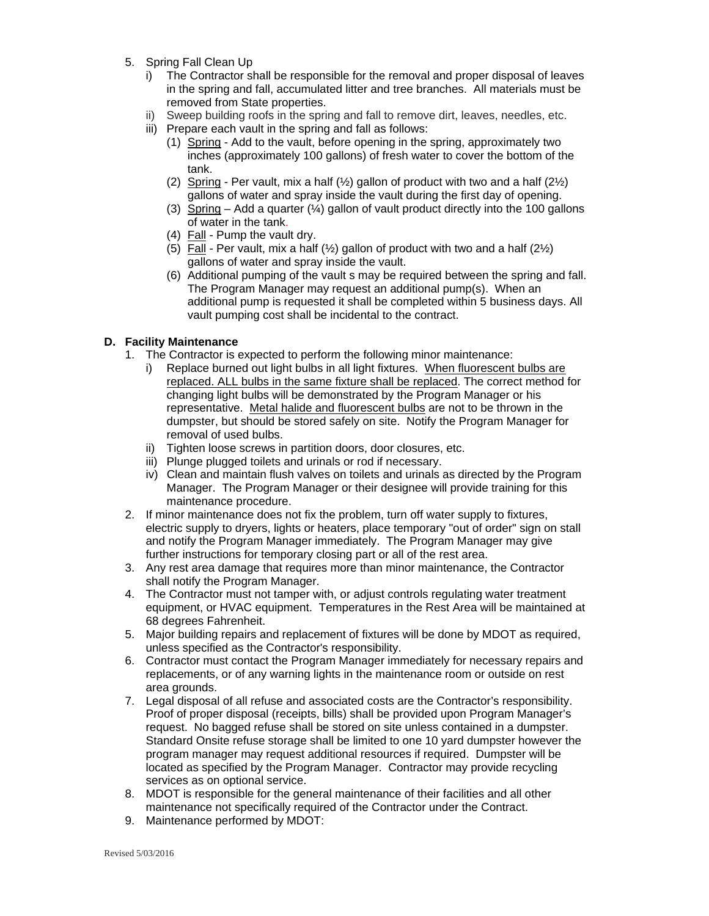- 5. Spring Fall Clean Up
	- i) The Contractor shall be responsible for the removal and proper disposal of leaves in the spring and fall, accumulated litter and tree branches. All materials must be removed from State properties.
	- ii) Sweep building roofs in the spring and fall to remove dirt, leaves, needles, etc.
	- iii) Prepare each vault in the spring and fall as follows:
		- (1) Spring Add to the vault, before opening in the spring, approximately two inches (approximately 100 gallons) of fresh water to cover the bottom of the tank.
		- (2) Spring Per vault, mix a half  $(\frac{1}{2})$  gallon of product with two and a half  $(2\frac{1}{2})$ gallons of water and spray inside the vault during the first day of opening.
		- (3) Spring Add a quarter  $(½)$  gallon of vault product directly into the 100 gallons of water in the tank.
		- (4) Fall Pump the vault dry.
		- (5) Fall Per vault, mix a half  $(\frac{1}{2})$  gallon of product with two and a half (2 $\frac{1}{2}$ ) gallons of water and spray inside the vault.
		- (6) Additional pumping of the vault s may be required between the spring and fall. The Program Manager may request an additional pump(s). When an additional pump is requested it shall be completed within 5 business days. All vault pumping cost shall be incidental to the contract.

#### **D. Facility Maintenance**

- 1. The Contractor is expected to perform the following minor maintenance:
	- i) Replace burned out light bulbs in all light fixtures. When fluorescent bulbs are replaced. ALL bulbs in the same fixture shall be replaced. The correct method for changing light bulbs will be demonstrated by the Program Manager or his representative. Metal halide and fluorescent bulbs are not to be thrown in the dumpster, but should be stored safely on site. Notify the Program Manager for removal of used bulbs.
	- ii) Tighten loose screws in partition doors, door closures, etc.
	- iii) Plunge plugged toilets and urinals or rod if necessary.
	- iv) Clean and maintain flush valves on toilets and urinals as directed by the Program Manager. The Program Manager or their designee will provide training for this maintenance procedure.
- 2. If minor maintenance does not fix the problem, turn off water supply to fixtures, electric supply to dryers, lights or heaters, place temporary "out of order" sign on stall and notify the Program Manager immediately. The Program Manager may give further instructions for temporary closing part or all of the rest area.
- 3. Any rest area damage that requires more than minor maintenance, the Contractor shall notify the Program Manager.
- 4. The Contractor must not tamper with, or adjust controls regulating water treatment equipment, or HVAC equipment. Temperatures in the Rest Area will be maintained at 68 degrees Fahrenheit.
- 5. Major building repairs and replacement of fixtures will be done by MDOT as required, unless specified as the Contractor's responsibility.
- 6. Contractor must contact the Program Manager immediately for necessary repairs and replacements, or of any warning lights in the maintenance room or outside on rest area grounds.
- 7. Legal disposal of all refuse and associated costs are the Contractor's responsibility. Proof of proper disposal (receipts, bills) shall be provided upon Program Manager's request. No bagged refuse shall be stored on site unless contained in a dumpster. Standard Onsite refuse storage shall be limited to one 10 yard dumpster however the program manager may request additional resources if required. Dumpster will be located as specified by the Program Manager. Contractor may provide recycling services as on optional service.
- 8. MDOT is responsible for the general maintenance of their facilities and all other maintenance not specifically required of the Contractor under the Contract.
- 9. Maintenance performed by MDOT: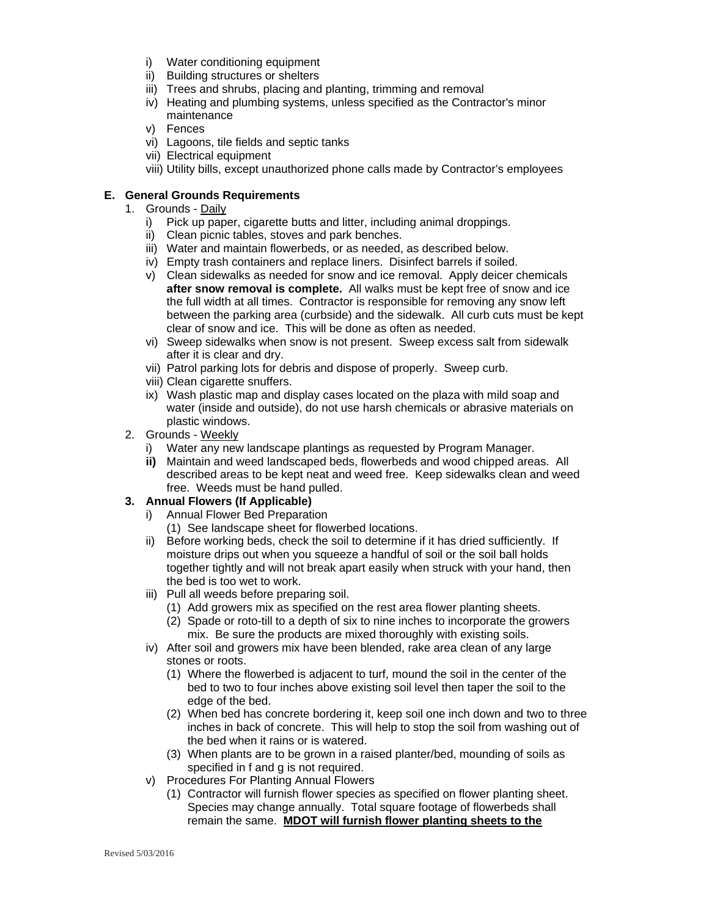- i) Water conditioning equipment
- ii) Building structures or shelters
- iii) Trees and shrubs, placing and planting, trimming and removal
- iv) Heating and plumbing systems, unless specified as the Contractor's minor maintenance
- v) Fences
- vi) Lagoons, tile fields and septic tanks
- vii) Electrical equipment
- viii) Utility bills, except unauthorized phone calls made by Contractor's employees

#### **E. General Grounds Requirements**

- 1. Grounds Daily
	- i) Pick up paper, cigarette butts and litter, including animal droppings.
	- ii) Clean picnic tables, stoves and park benches.
	- iii) Water and maintain flowerbeds, or as needed, as described below.
	- iv) Empty trash containers and replace liners. Disinfect barrels if soiled.
	- v) Clean sidewalks as needed for snow and ice removal. Apply deicer chemicals **after snow removal is complete.** All walks must be kept free of snow and ice the full width at all times. Contractor is responsible for removing any snow left between the parking area (curbside) and the sidewalk. All curb cuts must be kept clear of snow and ice. This will be done as often as needed.
	- vi) Sweep sidewalks when snow is not present. Sweep excess salt from sidewalk after it is clear and dry.
	- vii) Patrol parking lots for debris and dispose of properly. Sweep curb.
	- viii) Clean cigarette snuffers.
	- ix) Wash plastic map and display cases located on the plaza with mild soap and water (inside and outside), do not use harsh chemicals or abrasive materials on plastic windows.
- 2. Grounds Weekly
	- i) Water any new landscape plantings as requested by Program Manager.
	- **ii)** Maintain and weed landscaped beds, flowerbeds and wood chipped areas. All described areas to be kept neat and weed free. Keep sidewalks clean and weed free. Weeds must be hand pulled.

#### **3. Annual Flowers (If Applicable)**

- i) Annual Flower Bed Preparation
	- (1) See landscape sheet for flowerbed locations.
- ii) Before working beds, check the soil to determine if it has dried sufficiently. If moisture drips out when you squeeze a handful of soil or the soil ball holds together tightly and will not break apart easily when struck with your hand, then the bed is too wet to work.
- iii) Pull all weeds before preparing soil.
	- (1) Add growers mix as specified on the rest area flower planting sheets.
	- (2) Spade or roto-till to a depth of six to nine inches to incorporate the growers mix. Be sure the products are mixed thoroughly with existing soils.
- iv) After soil and growers mix have been blended, rake area clean of any large stones or roots.
	- (1) Where the flowerbed is adjacent to turf, mound the soil in the center of the bed to two to four inches above existing soil level then taper the soil to the edge of the bed.
	- (2) When bed has concrete bordering it, keep soil one inch down and two to three inches in back of concrete. This will help to stop the soil from washing out of the bed when it rains or is watered.
	- (3) When plants are to be grown in a raised planter/bed, mounding of soils as specified in f and g is not required.
- v) Procedures For Planting Annual Flowers
	- (1) Contractor will furnish flower species as specified on flower planting sheet. Species may change annually. Total square footage of flowerbeds shall remain the same. **MDOT will furnish flower planting sheets to the**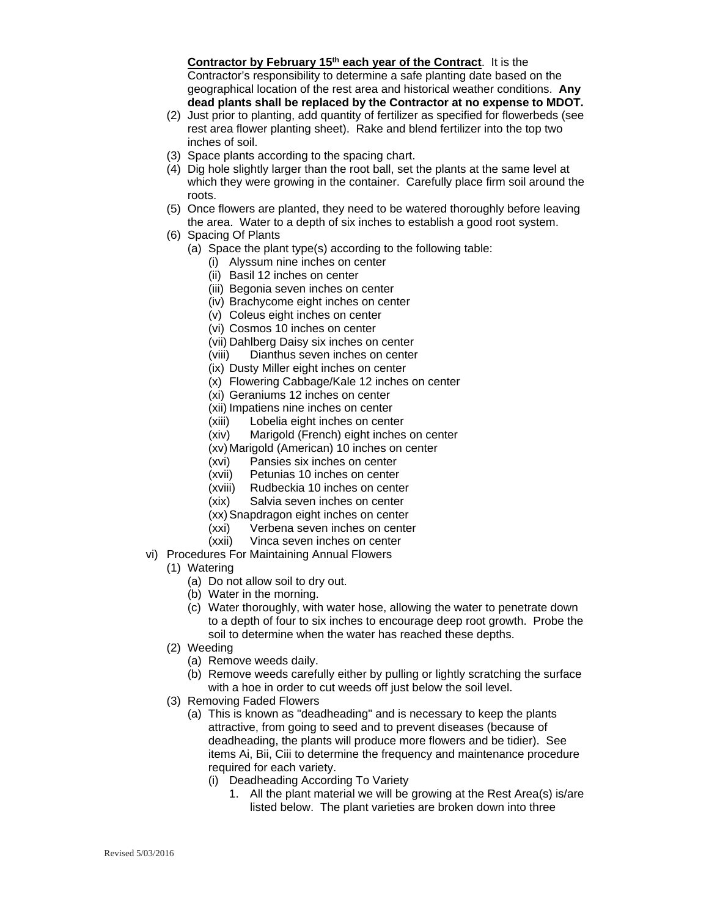**Contractor by February 15<sup>th</sup> each year of the Contract.** It is the Contractor's responsibility to determine a safe planting date based on the geographical location of the rest area and historical weather conditions. **Any dead plants shall be replaced by the Contractor at no expense to MDOT.**

- (2) Just prior to planting, add quantity of fertilizer as specified for flowerbeds (see rest area flower planting sheet). Rake and blend fertilizer into the top two inches of soil.
- (3) Space plants according to the spacing chart.
- (4) Dig hole slightly larger than the root ball, set the plants at the same level at which they were growing in the container. Carefully place firm soil around the roots.
- (5) Once flowers are planted, they need to be watered thoroughly before leaving the area. Water to a depth of six inches to establish a good root system.
- (6) Spacing Of Plants
	- (a) Space the plant type(s) according to the following table:
		- (i) Alyssum nine inches on center
		- (ii) Basil 12 inches on center
		- (iii) Begonia seven inches on center
		- (iv) Brachycome eight inches on center
		- (v) Coleus eight inches on center
		- (vi) Cosmos 10 inches on center
		- (vii) Dahlberg Daisy six inches on center
		- (viii) Dianthus seven inches on center
		- (ix) Dusty Miller eight inches on center
		- (x) Flowering Cabbage/Kale 12 inches on center
		- (xi) Geraniums 12 inches on center
		- (xii) Impatiens nine inches on center
		- (xiii) Lobelia eight inches on center
		- (xiv) Marigold (French) eight inches on center
		- (xv) Marigold (American) 10 inches on center
		- (xvi) Pansies six inches on center
		- (xvii) Petunias 10 inches on center
		- (xviii) Rudbeckia 10 inches on center
		- (xix) Salvia seven inches on center
		- (xx) Snapdragon eight inches on center
		- (xxi) Verbena seven inches on center
		- (xxii) Vinca seven inches on center
- vi) Procedures For Maintaining Annual Flowers
	- (1) Watering
		- (a) Do not allow soil to dry out.
		- (b) Water in the morning.
		- (c) Water thoroughly, with water hose, allowing the water to penetrate down to a depth of four to six inches to encourage deep root growth. Probe the soil to determine when the water has reached these depths.
	- (2) Weeding
		- (a) Remove weeds daily.
		- (b) Remove weeds carefully either by pulling or lightly scratching the surface with a hoe in order to cut weeds off just below the soil level.
	- (3) Removing Faded Flowers
		- (a) This is known as "deadheading" and is necessary to keep the plants attractive, from going to seed and to prevent diseases (because of deadheading, the plants will produce more flowers and be tidier). See items Ai, Bii, Ciii to determine the frequency and maintenance procedure required for each variety.
			- (i) Deadheading According To Variety
				- 1. All the plant material we will be growing at the Rest Area(s) is/are listed below. The plant varieties are broken down into three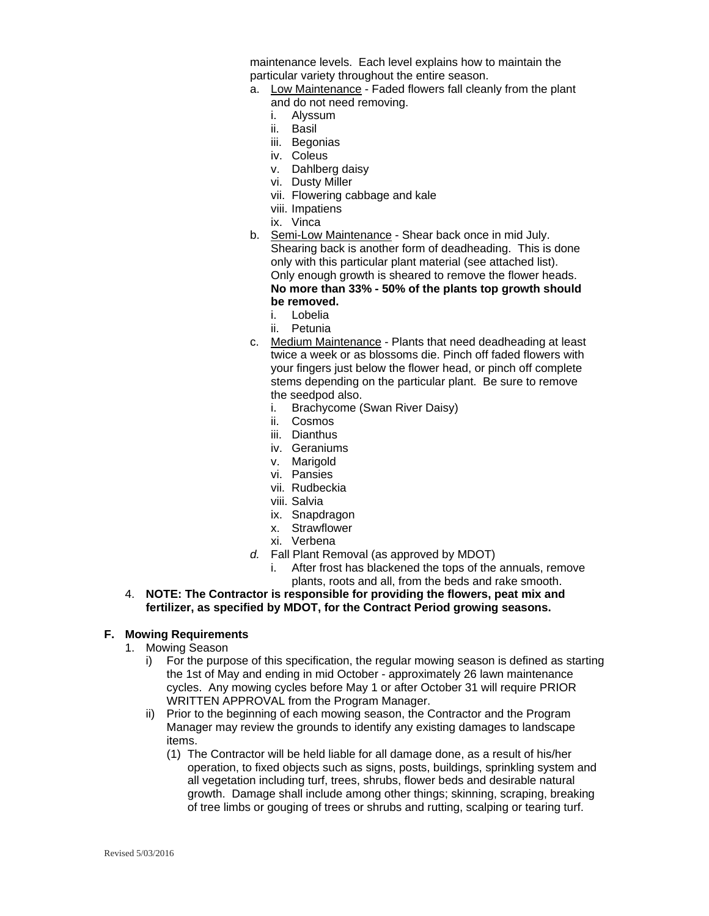maintenance levels. Each level explains how to maintain the particular variety throughout the entire season.

- a. Low Maintenance Faded flowers fall cleanly from the plant and do not need removing.
	- i. Alyssum
	- ii. Basil
	- iii. Begonias
	- iv. Coleus
	- v. Dahlberg daisy
	- vi. Dusty Miller
	- vii. Flowering cabbage and kale
	- viii. Impatiens
	- ix. Vinca
- b. Semi-Low Maintenance Shear back once in mid July. Shearing back is another form of deadheading. This is done only with this particular plant material (see attached list). Only enough growth is sheared to remove the flower heads. **No more than 33% - 50% of the plants top growth should be removed.**
	- i. Lobelia
	- ii. Petunia
- c. Medium Maintenance Plants that need deadheading at least twice a week or as blossoms die. Pinch off faded flowers with your fingers just below the flower head, or pinch off complete stems depending on the particular plant. Be sure to remove the seedpod also.
	- i. Brachycome (Swan River Daisy)
	- ii. Cosmos
	- iii. Dianthus
	- iv. Geraniums
	- v. Marigold
	- vi. Pansies
	- vii. Rudbeckia
	- viii. Salvia
	- ix. Snapdragon
	- x. Strawflower
	- xi. Verbena
- *d.* Fall Plant Removal (as approved by MDOT)
	- i. After frost has blackened the tops of the annuals, remove plants, roots and all, from the beds and rake smooth.
- 4. **NOTE: The Contractor is responsible for providing the flowers, peat mix and fertilizer, as specified by MDOT, for the Contract Period growing seasons.**

#### **F. Mowing Requirements**

- 1. Mowing Season
	- i) For the purpose of this specification, the regular mowing season is defined as starting the 1st of May and ending in mid October - approximately 26 lawn maintenance cycles. Any mowing cycles before May 1 or after October 31 will require PRIOR WRITTEN APPROVAL from the Program Manager.
	- ii) Prior to the beginning of each mowing season, the Contractor and the Program Manager may review the grounds to identify any existing damages to landscape items.
		- (1) The Contractor will be held liable for all damage done, as a result of his/her operation, to fixed objects such as signs, posts, buildings, sprinkling system and all vegetation including turf, trees, shrubs, flower beds and desirable natural growth. Damage shall include among other things; skinning, scraping, breaking of tree limbs or gouging of trees or shrubs and rutting, scalping or tearing turf.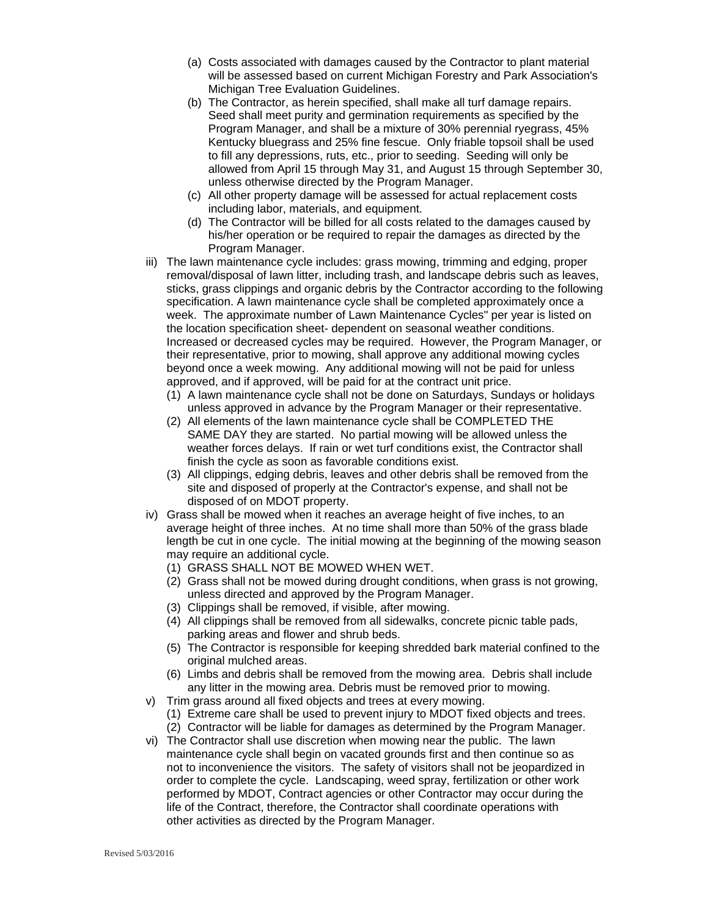- (a) Costs associated with damages caused by the Contractor to plant material will be assessed based on current Michigan Forestry and Park Association's Michigan Tree Evaluation Guidelines.
- (b) The Contractor, as herein specified, shall make all turf damage repairs. Seed shall meet purity and germination requirements as specified by the Program Manager, and shall be a mixture of 30% perennial ryegrass, 45% Kentucky bluegrass and 25% fine fescue. Only friable topsoil shall be used to fill any depressions, ruts, etc., prior to seeding. Seeding will only be allowed from April 15 through May 31, and August 15 through September 30, unless otherwise directed by the Program Manager.
- (c) All other property damage will be assessed for actual replacement costs including labor, materials, and equipment.
- (d) The Contractor will be billed for all costs related to the damages caused by his/her operation or be required to repair the damages as directed by the Program Manager.
- iii) The lawn maintenance cycle includes: grass mowing, trimming and edging, proper removal/disposal of lawn litter, including trash, and landscape debris such as leaves, sticks, grass clippings and organic debris by the Contractor according to the following specification. A lawn maintenance cycle shall be completed approximately once a week. The approximate number of Lawn Maintenance Cycles" per year is listed on the location specification sheet- dependent on seasonal weather conditions. Increased or decreased cycles may be required. However, the Program Manager, or their representative, prior to mowing, shall approve any additional mowing cycles beyond once a week mowing. Any additional mowing will not be paid for unless approved, and if approved, will be paid for at the contract unit price.
	- (1) A lawn maintenance cycle shall not be done on Saturdays, Sundays or holidays unless approved in advance by the Program Manager or their representative.
	- (2) All elements of the lawn maintenance cycle shall be COMPLETED THE SAME DAY they are started. No partial mowing will be allowed unless the weather forces delays. If rain or wet turf conditions exist, the Contractor shall finish the cycle as soon as favorable conditions exist.
	- (3) All clippings, edging debris, leaves and other debris shall be removed from the site and disposed of properly at the Contractor's expense, and shall not be disposed of on MDOT property.
- iv) Grass shall be mowed when it reaches an average height of five inches, to an average height of three inches. At no time shall more than 50% of the grass blade length be cut in one cycle. The initial mowing at the beginning of the mowing season may require an additional cycle.
	- (1) GRASS SHALL NOT BE MOWED WHEN WET.
	- (2) Grass shall not be mowed during drought conditions, when grass is not growing, unless directed and approved by the Program Manager.
	- (3) Clippings shall be removed, if visible, after mowing.
	- (4) All clippings shall be removed from all sidewalks, concrete picnic table pads, parking areas and flower and shrub beds.
	- (5) The Contractor is responsible for keeping shredded bark material confined to the original mulched areas.
	- (6) Limbs and debris shall be removed from the mowing area. Debris shall include any litter in the mowing area. Debris must be removed prior to mowing.
- v) Trim grass around all fixed objects and trees at every mowing.
	- (1) Extreme care shall be used to prevent injury to MDOT fixed objects and trees. (2) Contractor will be liable for damages as determined by the Program Manager.
- vi) The Contractor shall use discretion when mowing near the public. The lawn maintenance cycle shall begin on vacated grounds first and then continue so as not to inconvenience the visitors. The safety of visitors shall not be jeopardized in order to complete the cycle. Landscaping, weed spray, fertilization or other work performed by MDOT, Contract agencies or other Contractor may occur during the life of the Contract, therefore, the Contractor shall coordinate operations with other activities as directed by the Program Manager.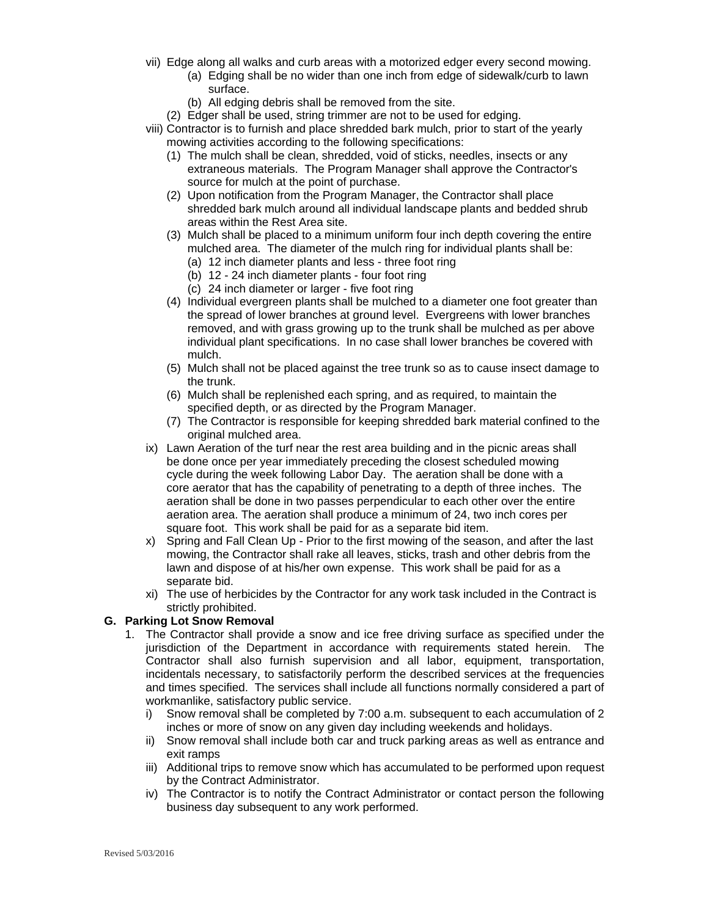- vii) Edge along all walks and curb areas with a motorized edger every second mowing.
	- (a) Edging shall be no wider than one inch from edge of sidewalk/curb to lawn surface.
	- (b) All edging debris shall be removed from the site.
	- (2) Edger shall be used, string trimmer are not to be used for edging.
- viii) Contractor is to furnish and place shredded bark mulch, prior to start of the yearly mowing activities according to the following specifications:
	- (1) The mulch shall be clean, shredded, void of sticks, needles, insects or any extraneous materials. The Program Manager shall approve the Contractor's source for mulch at the point of purchase.
	- (2) Upon notification from the Program Manager, the Contractor shall place shredded bark mulch around all individual landscape plants and bedded shrub areas within the Rest Area site.
	- (3) Mulch shall be placed to a minimum uniform four inch depth covering the entire mulched area. The diameter of the mulch ring for individual plants shall be:
		- (a) 12 inch diameter plants and less three foot ring
		- (b) 12 24 inch diameter plants four foot ring
		- (c) 24 inch diameter or larger five foot ring
	- (4) Individual evergreen plants shall be mulched to a diameter one foot greater than the spread of lower branches at ground level. Evergreens with lower branches removed, and with grass growing up to the trunk shall be mulched as per above individual plant specifications. In no case shall lower branches be covered with mulch.
	- (5) Mulch shall not be placed against the tree trunk so as to cause insect damage to the trunk.
	- (6) Mulch shall be replenished each spring, and as required, to maintain the specified depth, or as directed by the Program Manager.
	- (7) The Contractor is responsible for keeping shredded bark material confined to the original mulched area.
- ix) Lawn Aeration of the turf near the rest area building and in the picnic areas shall be done once per year immediately preceding the closest scheduled mowing cycle during the week following Labor Day. The aeration shall be done with a core aerator that has the capability of penetrating to a depth of three inches. The aeration shall be done in two passes perpendicular to each other over the entire aeration area. The aeration shall produce a minimum of 24, two inch cores per square foot. This work shall be paid for as a separate bid item.
- x) Spring and Fall Clean Up Prior to the first mowing of the season, and after the last mowing, the Contractor shall rake all leaves, sticks, trash and other debris from the lawn and dispose of at his/her own expense. This work shall be paid for as a separate bid.
- xi) The use of herbicides by the Contractor for any work task included in the Contract is strictly prohibited.

#### **G. Parking Lot Snow Removal**

- 1. The Contractor shall provide a snow and ice free driving surface as specified under the jurisdiction of the Department in accordance with requirements stated herein. The Contractor shall also furnish supervision and all labor, equipment, transportation, incidentals necessary, to satisfactorily perform the described services at the frequencies and times specified. The services shall include all functions normally considered a part of workmanlike, satisfactory public service.
	- i) Snow removal shall be completed by 7:00 a.m. subsequent to each accumulation of 2 inches or more of snow on any given day including weekends and holidays.
	- ii) Snow removal shall include both car and truck parking areas as well as entrance and exit ramps
	- iii) Additional trips to remove snow which has accumulated to be performed upon request by the Contract Administrator.
	- iv) The Contractor is to notify the Contract Administrator or contact person the following business day subsequent to any work performed.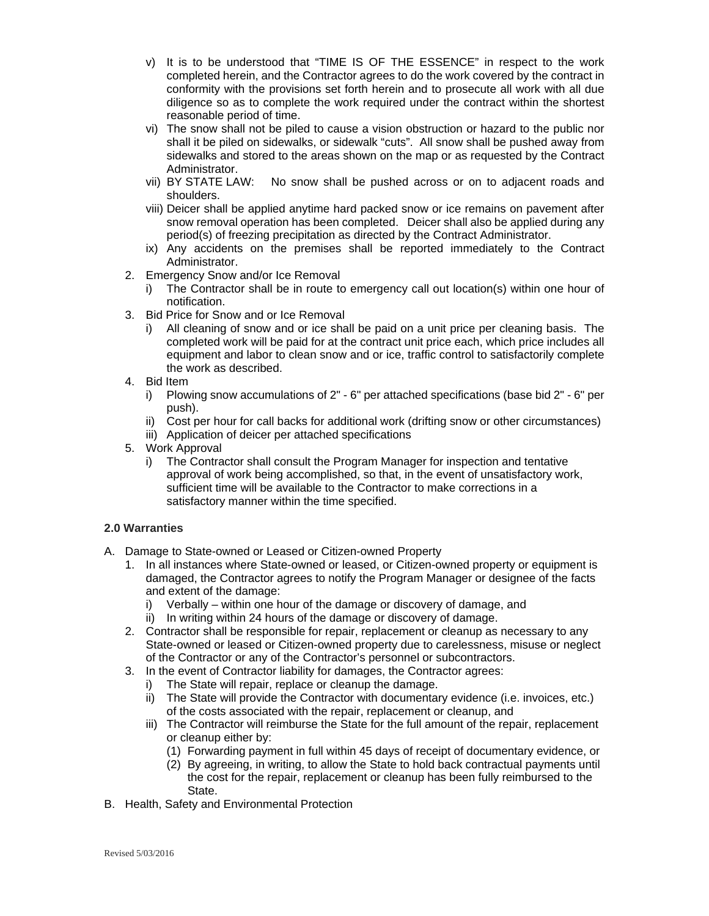- v) It is to be understood that "TIME IS OF THE ESSENCE" in respect to the work completed herein, and the Contractor agrees to do the work covered by the contract in conformity with the provisions set forth herein and to prosecute all work with all due diligence so as to complete the work required under the contract within the shortest reasonable period of time.
- vi) The snow shall not be piled to cause a vision obstruction or hazard to the public nor shall it be piled on sidewalks, or sidewalk "cuts". All snow shall be pushed away from sidewalks and stored to the areas shown on the map or as requested by the Contract Administrator.
- vii) BY STATE LAW: No snow shall be pushed across or on to adjacent roads and shoulders.
- viii) Deicer shall be applied anytime hard packed snow or ice remains on pavement after snow removal operation has been completed. Deicer shall also be applied during any period(s) of freezing precipitation as directed by the Contract Administrator.
- ix) Any accidents on the premises shall be reported immediately to the Contract Administrator.
- 2. Emergency Snow and/or Ice Removal
	- i) The Contractor shall be in route to emergency call out location(s) within one hour of notification.
- 3. Bid Price for Snow and or Ice Removal
	- i) All cleaning of snow and or ice shall be paid on a unit price per cleaning basis. The completed work will be paid for at the contract unit price each, which price includes all equipment and labor to clean snow and or ice, traffic control to satisfactorily complete the work as described.
- 4. Bid Item
	- i) Plowing snow accumulations of 2" 6" per attached specifications (base bid 2" 6" per push).
	- ii) Cost per hour for call backs for additional work (drifting snow or other circumstances)
	- iii) Application of deicer per attached specifications
- 5. Work Approval
	- i) The Contractor shall consult the Program Manager for inspection and tentative approval of work being accomplished, so that, in the event of unsatisfactory work, sufficient time will be available to the Contractor to make corrections in a satisfactory manner within the time specified.

#### **2.0 Warranties**

- A. Damage to State-owned or Leased or Citizen-owned Property
	- 1. In all instances where State-owned or leased, or Citizen-owned property or equipment is damaged, the Contractor agrees to notify the Program Manager or designee of the facts and extent of the damage:
		- i) Verbally within one hour of the damage or discovery of damage, and
		- ii) In writing within 24 hours of the damage or discovery of damage.
	- 2. Contractor shall be responsible for repair, replacement or cleanup as necessary to any State-owned or leased or Citizen-owned property due to carelessness, misuse or neglect of the Contractor or any of the Contractor's personnel or subcontractors.
	- 3. In the event of Contractor liability for damages, the Contractor agrees:
		- i) The State will repair, replace or cleanup the damage.
		- ii) The State will provide the Contractor with documentary evidence (i.e. invoices, etc.) of the costs associated with the repair, replacement or cleanup, and
		- iii) The Contractor will reimburse the State for the full amount of the repair, replacement or cleanup either by:
			- (1) Forwarding payment in full within 45 days of receipt of documentary evidence, or
			- (2) By agreeing, in writing, to allow the State to hold back contractual payments until the cost for the repair, replacement or cleanup has been fully reimbursed to the State.
- B. Health, Safety and Environmental Protection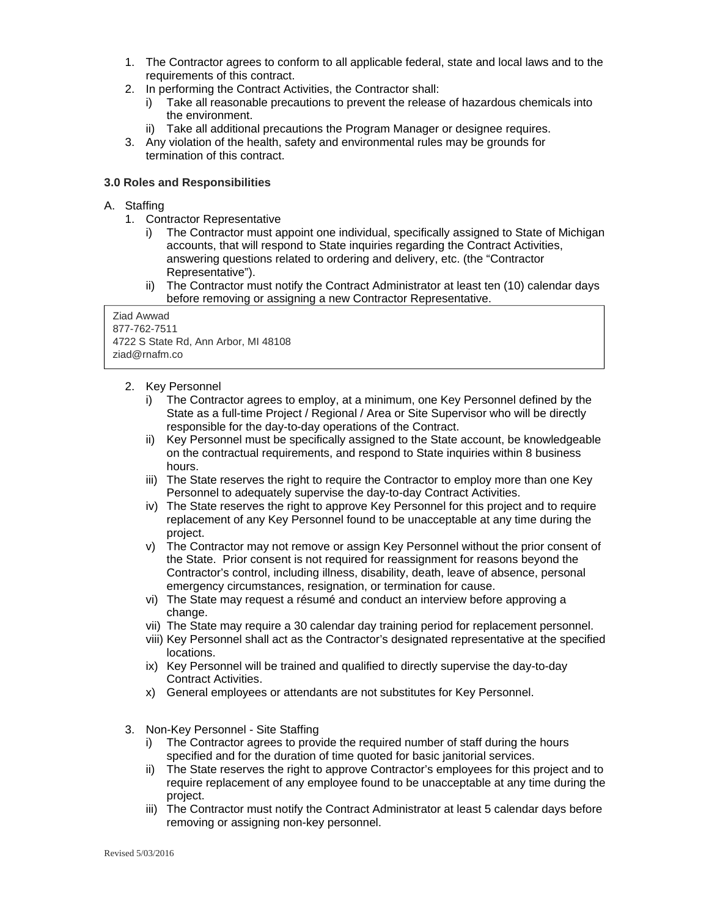- 1. The Contractor agrees to conform to all applicable federal, state and local laws and to the requirements of this contract.
- 2. In performing the Contract Activities, the Contractor shall:
	- i) Take all reasonable precautions to prevent the release of hazardous chemicals into the environment.
	- ii) Take all additional precautions the Program Manager or designee requires.
- 3. Any violation of the health, safety and environmental rules may be grounds for termination of this contract.

#### **3.0 Roles and Responsibilities**

#### A. Staffing

- 1. Contractor Representative
	- i) The Contractor must appoint one individual, specifically assigned to State of Michigan accounts, that will respond to State inquiries regarding the Contract Activities, answering questions related to ordering and delivery, etc. (the "Contractor Representative").
	- ii) The Contractor must notify the Contract Administrator at least ten (10) calendar days before removing or assigning a new Contractor Representative.

Ziad Awwad 877-762-7511 4722 S State Rd, Ann Arbor, MI 48108 ziad@rnafm.co

- 2. Key Personnel
	- i) The Contractor agrees to employ, at a minimum, one Key Personnel defined by the State as a full-time Project / Regional / Area or Site Supervisor who will be directly responsible for the day-to-day operations of the Contract.
	- ii) Key Personnel must be specifically assigned to the State account, be knowledgeable on the contractual requirements, and respond to State inquiries within 8 business hours.
	- iii) The State reserves the right to require the Contractor to employ more than one Key Personnel to adequately supervise the day-to-day Contract Activities.
	- iv) The State reserves the right to approve Key Personnel for this project and to require replacement of any Key Personnel found to be unacceptable at any time during the project.
	- v) The Contractor may not remove or assign Key Personnel without the prior consent of the State. Prior consent is not required for reassignment for reasons beyond the Contractor's control, including illness, disability, death, leave of absence, personal emergency circumstances, resignation, or termination for cause.
	- vi) The State may request a résumé and conduct an interview before approving a change.
	- vii) The State may require a 30 calendar day training period for replacement personnel.
	- viii) Key Personnel shall act as the Contractor's designated representative at the specified locations.
	- ix) Key Personnel will be trained and qualified to directly supervise the day-to-day Contract Activities.
	- x) General employees or attendants are not substitutes for Key Personnel.
- 3. Non-Key Personnel Site Staffing
	- i) The Contractor agrees to provide the required number of staff during the hours specified and for the duration of time quoted for basic janitorial services.
	- ii) The State reserves the right to approve Contractor's employees for this project and to require replacement of any employee found to be unacceptable at any time during the project.
	- iii) The Contractor must notify the Contract Administrator at least 5 calendar days before removing or assigning non-key personnel.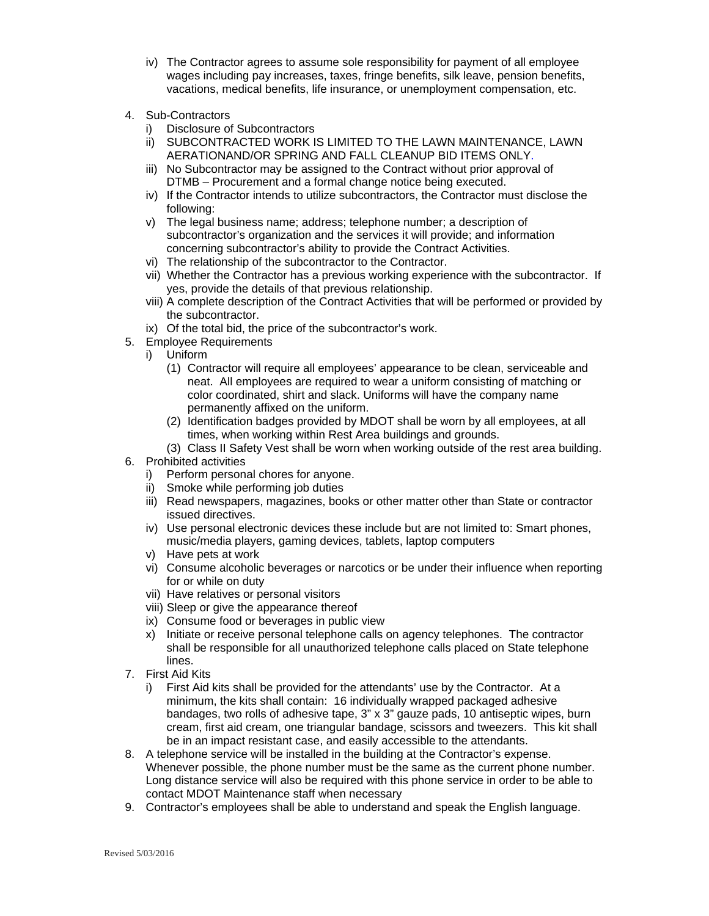- iv) The Contractor agrees to assume sole responsibility for payment of all employee wages including pay increases, taxes, fringe benefits, silk leave, pension benefits, vacations, medical benefits, life insurance, or unemployment compensation, etc.
- 4. Sub-Contractors
	- i) Disclosure of Subcontractors
	- ii) SUBCONTRACTED WORK IS LIMITED TO THE LAWN MAINTENANCE, LAWN AERATIONAND/OR SPRING AND FALL CLEANUP BID ITEMS ONLY.
	- iii) No Subcontractor may be assigned to the Contract without prior approval of DTMB – Procurement and a formal change notice being executed.
	- iv) If the Contractor intends to utilize subcontractors, the Contractor must disclose the following:
	- v) The legal business name; address; telephone number; a description of subcontractor's organization and the services it will provide; and information concerning subcontractor's ability to provide the Contract Activities.
	- vi) The relationship of the subcontractor to the Contractor.
	- vii) Whether the Contractor has a previous working experience with the subcontractor. If yes, provide the details of that previous relationship.
	- viii) A complete description of the Contract Activities that will be performed or provided by the subcontractor.
	- ix) Of the total bid, the price of the subcontractor's work.
- 5. Employee Requirements
	- i) Uniform
		- (1) Contractor will require all employees' appearance to be clean, serviceable and neat. All employees are required to wear a uniform consisting of matching or color coordinated, shirt and slack. Uniforms will have the company name permanently affixed on the uniform.
		- (2) Identification badges provided by MDOT shall be worn by all employees, at all times, when working within Rest Area buildings and grounds.
		- (3) Class II Safety Vest shall be worn when working outside of the rest area building.
- 6. Prohibited activities
	- i) Perform personal chores for anyone.
	- ii) Smoke while performing job duties
	- iii) Read newspapers, magazines, books or other matter other than State or contractor issued directives.
	- iv) Use personal electronic devices these include but are not limited to: Smart phones, music/media players, gaming devices, tablets, laptop computers
	- v) Have pets at work
	- vi) Consume alcoholic beverages or narcotics or be under their influence when reporting for or while on duty
	- vii) Have relatives or personal visitors
	- viii) Sleep or give the appearance thereof
	- ix) Consume food or beverages in public view
	- x) Initiate or receive personal telephone calls on agency telephones. The contractor shall be responsible for all unauthorized telephone calls placed on State telephone lines.
- 7. First Aid Kits
	- i) First Aid kits shall be provided for the attendants' use by the Contractor. At a minimum, the kits shall contain: 16 individually wrapped packaged adhesive bandages, two rolls of adhesive tape, 3" x 3" gauze pads, 10 antiseptic wipes, burn cream, first aid cream, one triangular bandage, scissors and tweezers. This kit shall be in an impact resistant case, and easily accessible to the attendants.
- 8. A telephone service will be installed in the building at the Contractor's expense. Whenever possible, the phone number must be the same as the current phone number. Long distance service will also be required with this phone service in order to be able to contact MDOT Maintenance staff when necessary
- 9. Contractor's employees shall be able to understand and speak the English language.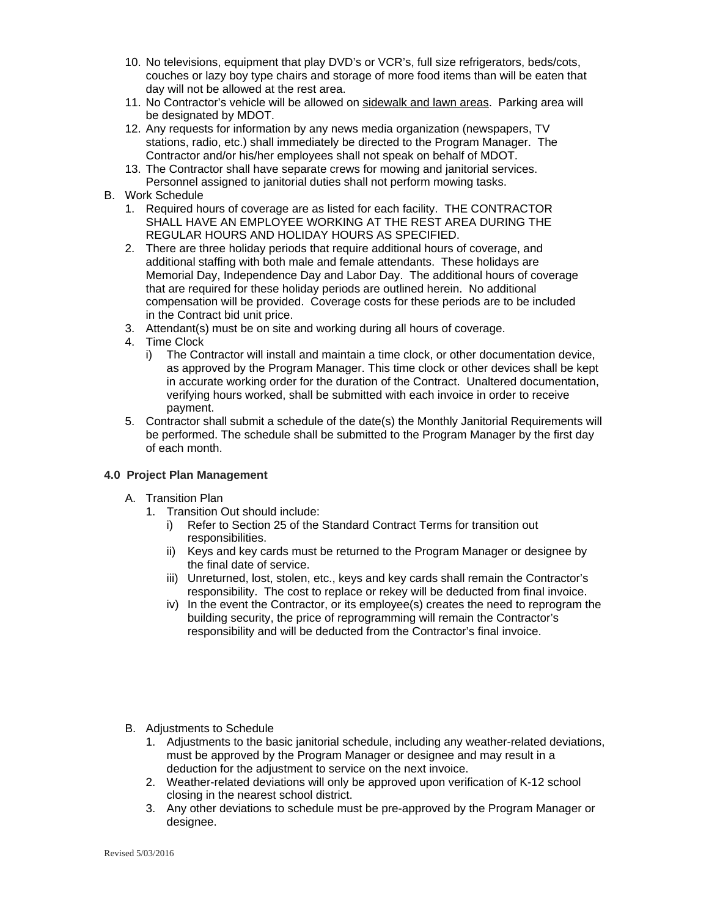- 10. No televisions, equipment that play DVD's or VCR's, full size refrigerators, beds/cots, couches or lazy boy type chairs and storage of more food items than will be eaten that day will not be allowed at the rest area.
- 11. No Contractor's vehicle will be allowed on sidewalk and lawn areas. Parking area will be designated by MDOT.
- 12. Any requests for information by any news media organization (newspapers, TV stations, radio, etc.) shall immediately be directed to the Program Manager. The Contractor and/or his/her employees shall not speak on behalf of MDOT.
- 13. The Contractor shall have separate crews for mowing and janitorial services. Personnel assigned to janitorial duties shall not perform mowing tasks.
- B. Work Schedule
	- 1. Required hours of coverage are as listed for each facility. THE CONTRACTOR SHALL HAVE AN EMPLOYEE WORKING AT THE REST AREA DURING THE REGULAR HOURS AND HOLIDAY HOURS AS SPECIFIED.
	- 2. There are three holiday periods that require additional hours of coverage, and additional staffing with both male and female attendants. These holidays are Memorial Day, Independence Day and Labor Day. The additional hours of coverage that are required for these holiday periods are outlined herein. No additional compensation will be provided. Coverage costs for these periods are to be included in the Contract bid unit price.
	- 3. Attendant(s) must be on site and working during all hours of coverage.
	- 4. Time Clock
		- i) The Contractor will install and maintain a time clock, or other documentation device, as approved by the Program Manager. This time clock or other devices shall be kept in accurate working order for the duration of the Contract. Unaltered documentation, verifying hours worked, shall be submitted with each invoice in order to receive payment.
	- 5. Contractor shall submit a schedule of the date(s) the Monthly Janitorial Requirements will be performed. The schedule shall be submitted to the Program Manager by the first day of each month.

#### **4.0 Project Plan Management**

- A. Transition Plan
	- 1. Transition Out should include:
		- i) Refer to Section 25 of the Standard Contract Terms for transition out responsibilities.
		- ii) Keys and key cards must be returned to the Program Manager or designee by the final date of service.
		- iii) Unreturned, lost, stolen, etc., keys and key cards shall remain the Contractor's responsibility. The cost to replace or rekey will be deducted from final invoice.
		- iv) In the event the Contractor, or its employee(s) creates the need to reprogram the building security, the price of reprogramming will remain the Contractor's responsibility and will be deducted from the Contractor's final invoice.
- B. Adjustments to Schedule
	- 1. Adjustments to the basic janitorial schedule, including any weather-related deviations, must be approved by the Program Manager or designee and may result in a deduction for the adjustment to service on the next invoice.
	- 2. Weather-related deviations will only be approved upon verification of K-12 school closing in the nearest school district.
	- 3. Any other deviations to schedule must be pre-approved by the Program Manager or designee.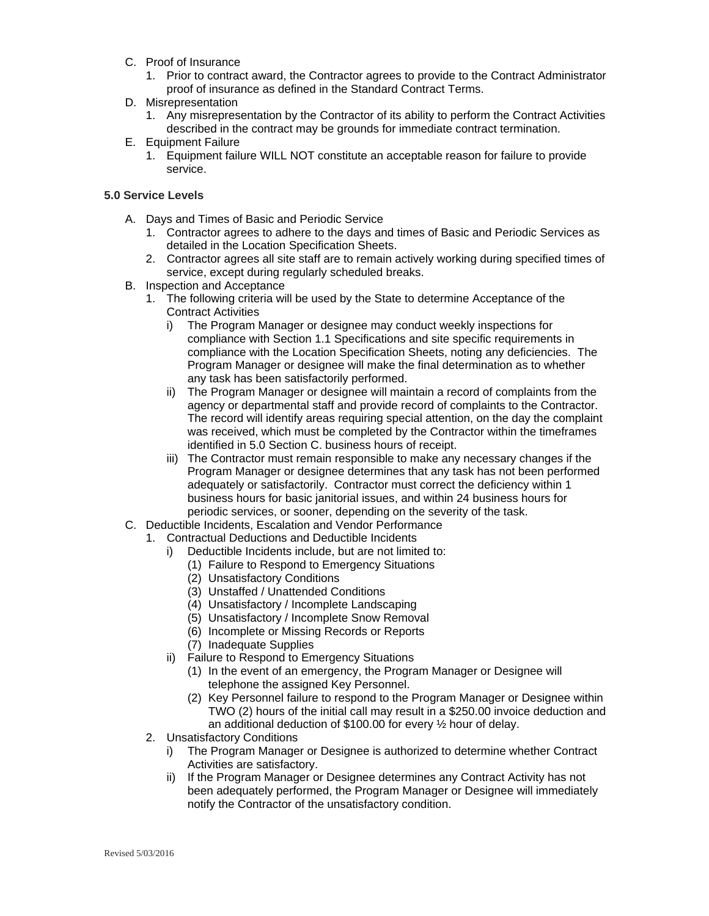- C. Proof of Insurance
	- 1. Prior to contract award, the Contractor agrees to provide to the Contract Administrator proof of insurance as defined in the Standard Contract Terms.
- D. Misrepresentation
	- 1. Any misrepresentation by the Contractor of its ability to perform the Contract Activities described in the contract may be grounds for immediate contract termination.
- E. Equipment Failure
	- 1. Equipment failure WILL NOT constitute an acceptable reason for failure to provide service.

#### **5.0 Service Levels**

- A. Days and Times of Basic and Periodic Service
	- 1. Contractor agrees to adhere to the days and times of Basic and Periodic Services as detailed in the Location Specification Sheets.
	- 2. Contractor agrees all site staff are to remain actively working during specified times of service, except during regularly scheduled breaks.
- B. Inspection and Acceptance
	- 1. The following criteria will be used by the State to determine Acceptance of the Contract Activities
		- i) The Program Manager or designee may conduct weekly inspections for compliance with Section 1.1 Specifications and site specific requirements in compliance with the Location Specification Sheets, noting any deficiencies. The Program Manager or designee will make the final determination as to whether any task has been satisfactorily performed.
		- ii) The Program Manager or designee will maintain a record of complaints from the agency or departmental staff and provide record of complaints to the Contractor. The record will identify areas requiring special attention, on the day the complaint was received, which must be completed by the Contractor within the timeframes identified in 5.0 Section C. business hours of receipt.
		- iii) The Contractor must remain responsible to make any necessary changes if the Program Manager or designee determines that any task has not been performed adequately or satisfactorily. Contractor must correct the deficiency within 1 business hours for basic janitorial issues, and within 24 business hours for periodic services, or sooner, depending on the severity of the task.
- C. Deductible Incidents, Escalation and Vendor Performance
	- 1. Contractual Deductions and Deductible Incidents
		- i) Deductible Incidents include, but are not limited to:
			- (1) Failure to Respond to Emergency Situations
			- (2) Unsatisfactory Conditions
			- (3) Unstaffed / Unattended Conditions
			- (4) Unsatisfactory / Incomplete Landscaping
			- (5) Unsatisfactory / Incomplete Snow Removal
			- (6) Incomplete or Missing Records or Reports
			- (7) Inadequate Supplies
		- ii) Failure to Respond to Emergency Situations
			- (1) In the event of an emergency, the Program Manager or Designee will telephone the assigned Key Personnel.
			- (2) Key Personnel failure to respond to the Program Manager or Designee within TWO (2) hours of the initial call may result in a \$250.00 invoice deduction and an additional deduction of \$100.00 for every ½ hour of delay.
	- 2. Unsatisfactory Conditions
		- i) The Program Manager or Designee is authorized to determine whether Contract Activities are satisfactory.
		- ii) If the Program Manager or Designee determines any Contract Activity has not been adequately performed, the Program Manager or Designee will immediately notify the Contractor of the unsatisfactory condition.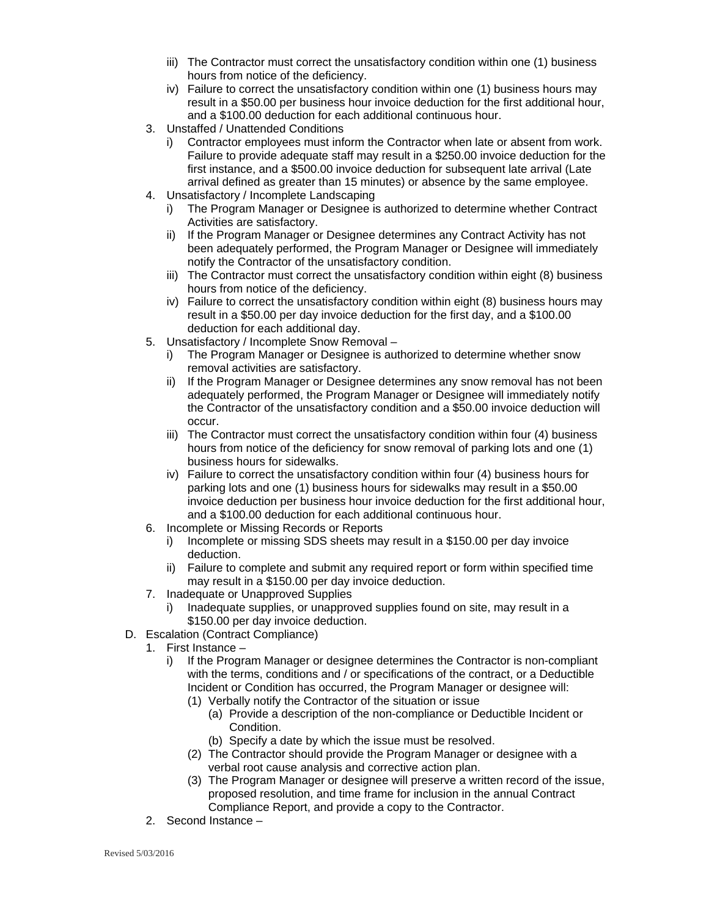- iii) The Contractor must correct the unsatisfactory condition within one (1) business hours from notice of the deficiency.
- iv) Failure to correct the unsatisfactory condition within one (1) business hours may result in a \$50.00 per business hour invoice deduction for the first additional hour, and a \$100.00 deduction for each additional continuous hour.
- 3. Unstaffed / Unattended Conditions
	- i) Contractor employees must inform the Contractor when late or absent from work. Failure to provide adequate staff may result in a \$250.00 invoice deduction for the first instance, and a \$500.00 invoice deduction for subsequent late arrival (Late arrival defined as greater than 15 minutes) or absence by the same employee.
- 4. Unsatisfactory / Incomplete Landscaping
	- i) The Program Manager or Designee is authorized to determine whether Contract Activities are satisfactory.
	- ii) If the Program Manager or Designee determines any Contract Activity has not been adequately performed, the Program Manager or Designee will immediately notify the Contractor of the unsatisfactory condition.
	- iii) The Contractor must correct the unsatisfactory condition within eight (8) business hours from notice of the deficiency.
	- iv) Failure to correct the unsatisfactory condition within eight (8) business hours may result in a \$50.00 per day invoice deduction for the first day, and a \$100.00 deduction for each additional day.
- 5. Unsatisfactory / Incomplete Snow Removal
	- i) The Program Manager or Designee is authorized to determine whether snow removal activities are satisfactory.
	- ii) If the Program Manager or Designee determines any snow removal has not been adequately performed, the Program Manager or Designee will immediately notify the Contractor of the unsatisfactory condition and a \$50.00 invoice deduction will occur.
	- iii) The Contractor must correct the unsatisfactory condition within four (4) business hours from notice of the deficiency for snow removal of parking lots and one (1) business hours for sidewalks.
	- iv) Failure to correct the unsatisfactory condition within four (4) business hours for parking lots and one (1) business hours for sidewalks may result in a \$50.00 invoice deduction per business hour invoice deduction for the first additional hour, and a \$100.00 deduction for each additional continuous hour.
- 6. Incomplete or Missing Records or Reports
	- i) Incomplete or missing SDS sheets may result in a \$150.00 per day invoice deduction.
	- ii) Failure to complete and submit any required report or form within specified time may result in a \$150.00 per day invoice deduction.
- 7. Inadequate or Unapproved Supplies
	- Inadequate supplies, or unapproved supplies found on site, may result in a \$150.00 per day invoice deduction.
- D. Escalation (Contract Compliance)
	- 1. First Instance
		- i) If the Program Manager or designee determines the Contractor is non-compliant with the terms, conditions and / or specifications of the contract, or a Deductible Incident or Condition has occurred, the Program Manager or designee will:
			- (1) Verbally notify the Contractor of the situation or issue
				- (a) Provide a description of the non-compliance or Deductible Incident or Condition.
				- (b) Specify a date by which the issue must be resolved.
			- (2) The Contractor should provide the Program Manager or designee with a verbal root cause analysis and corrective action plan.
			- (3) The Program Manager or designee will preserve a written record of the issue, proposed resolution, and time frame for inclusion in the annual Contract Compliance Report, and provide a copy to the Contractor.
	- 2. Second Instance –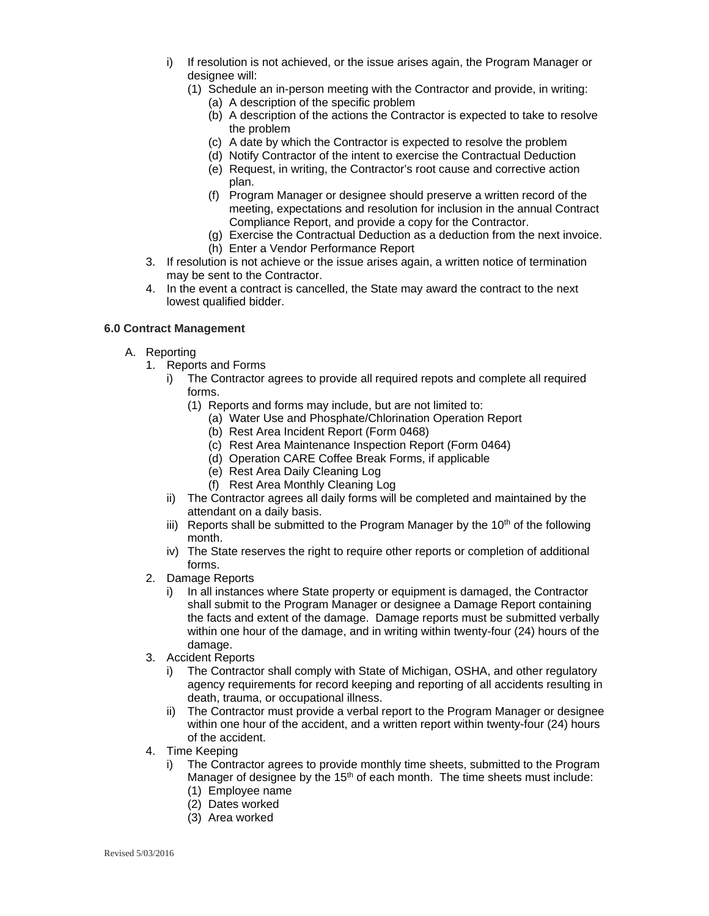- i) If resolution is not achieved, or the issue arises again, the Program Manager or designee will:
	- (1) Schedule an in-person meeting with the Contractor and provide, in writing:
		- (a) A description of the specific problem
		- (b) A description of the actions the Contractor is expected to take to resolve the problem
		- (c) A date by which the Contractor is expected to resolve the problem
		- (d) Notify Contractor of the intent to exercise the Contractual Deduction
		- (e) Request, in writing, the Contractor's root cause and corrective action plan.
		- (f) Program Manager or designee should preserve a written record of the meeting, expectations and resolution for inclusion in the annual Contract Compliance Report, and provide a copy for the Contractor.
		- (g) Exercise the Contractual Deduction as a deduction from the next invoice. (h) Enter a Vendor Performance Report
- 3. If resolution is not achieve or the issue arises again, a written notice of termination may be sent to the Contractor.
- 4. In the event a contract is cancelled, the State may award the contract to the next lowest qualified bidder.

#### **6.0 Contract Management**

- A. Reporting
	- 1. Reports and Forms
		- i) The Contractor agrees to provide all required repots and complete all required forms.
			- (1) Reports and forms may include, but are not limited to:
				- (a) Water Use and Phosphate/Chlorination Operation Report
				- (b) Rest Area Incident Report (Form 0468)
				- (c) Rest Area Maintenance Inspection Report (Form 0464)
				- (d) Operation CARE Coffee Break Forms, if applicable
				- (e) Rest Area Daily Cleaning Log
				- (f) Rest Area Monthly Cleaning Log
		- ii) The Contractor agrees all daily forms will be completed and maintained by the attendant on a daily basis.
		- iii) Reports shall be submitted to the Program Manager by the 10<sup>th</sup> of the following month.
		- iv) The State reserves the right to require other reports or completion of additional forms.
	- 2. Damage Reports
		- i) In all instances where State property or equipment is damaged, the Contractor shall submit to the Program Manager or designee a Damage Report containing the facts and extent of the damage. Damage reports must be submitted verbally within one hour of the damage, and in writing within twenty-four (24) hours of the damage.
	- 3. Accident Reports
		- i) The Contractor shall comply with State of Michigan, OSHA, and other regulatory agency requirements for record keeping and reporting of all accidents resulting in death, trauma, or occupational illness.
		- ii) The Contractor must provide a verbal report to the Program Manager or designee within one hour of the accident, and a written report within twenty-four (24) hours of the accident.
	- 4. Time Keeping
		- i) The Contractor agrees to provide monthly time sheets, submitted to the Program Manager of designee by the  $15<sup>th</sup>$  of each month. The time sheets must include:
			- (1) Employee name
			- (2) Dates worked
			- (3) Area worked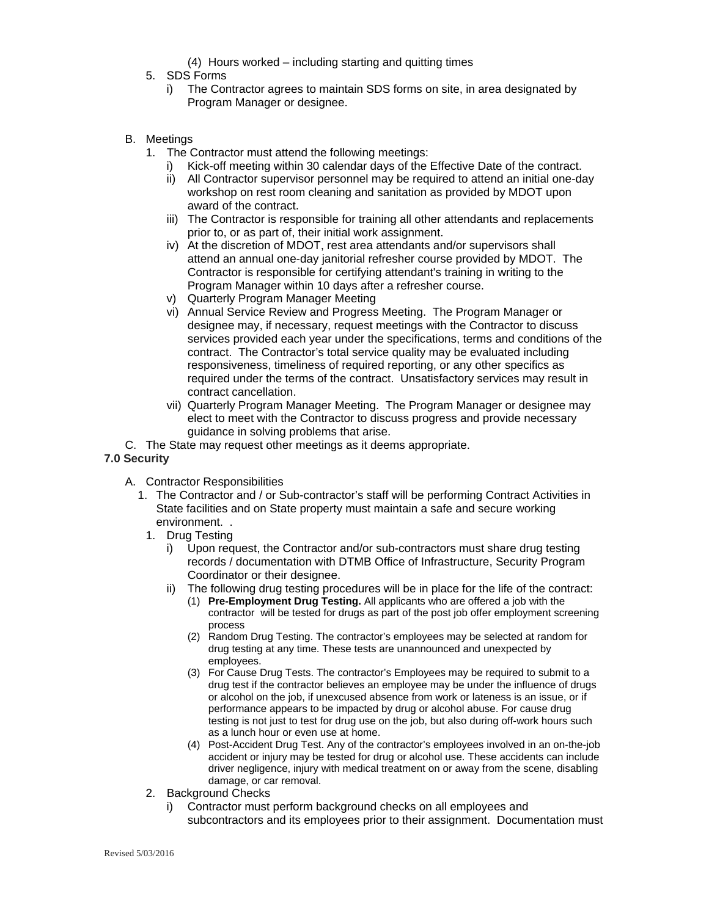- (4) Hours worked including starting and quitting times
- 5. SDS Forms
	- i) The Contractor agrees to maintain SDS forms on site, in area designated by Program Manager or designee.
- B. Meetings
	- 1. The Contractor must attend the following meetings:
		- i) Kick-off meeting within 30 calendar days of the Effective Date of the contract.
		- ii) All Contractor supervisor personnel may be required to attend an initial one-day workshop on rest room cleaning and sanitation as provided by MDOT upon award of the contract.
		- iii) The Contractor is responsible for training all other attendants and replacements prior to, or as part of, their initial work assignment.
		- iv) At the discretion of MDOT, rest area attendants and/or supervisors shall attend an annual one-day janitorial refresher course provided by MDOT. The Contractor is responsible for certifying attendant's training in writing to the Program Manager within 10 days after a refresher course.
		- v) Quarterly Program Manager Meeting
		- vi) Annual Service Review and Progress Meeting. The Program Manager or designee may, if necessary, request meetings with the Contractor to discuss services provided each year under the specifications, terms and conditions of the contract. The Contractor's total service quality may be evaluated including responsiveness, timeliness of required reporting, or any other specifics as required under the terms of the contract. Unsatisfactory services may result in contract cancellation.
		- vii) Quarterly Program Manager Meeting. The Program Manager or designee may elect to meet with the Contractor to discuss progress and provide necessary guidance in solving problems that arise.
- C. The State may request other meetings as it deems appropriate.

#### **7.0 Security**

- A. Contractor Responsibilities
	- 1. The Contractor and / or Sub-contractor's staff will be performing Contract Activities in State facilities and on State property must maintain a safe and secure working environment. .
		- 1. Drug Testing
			- i) Upon request, the Contractor and/or sub-contractors must share drug testing records / documentation with DTMB Office of Infrastructure, Security Program Coordinator or their designee.
			- ii) The following drug testing procedures will be in place for the life of the contract:
				- (1) **Pre-Employment Drug Testing.** All applicants who are offered a job with the contractor will be tested for drugs as part of the post job offer employment screening process
				- (2) Random Drug Testing. The contractor's employees may be selected at random for drug testing at any time. These tests are unannounced and unexpected by employees.
				- (3) For Cause Drug Tests. The contractor's Employees may be required to submit to a drug test if the contractor believes an employee may be under the influence of drugs or alcohol on the job, if unexcused absence from work or lateness is an issue, or if performance appears to be impacted by drug or alcohol abuse. For cause drug testing is not just to test for drug use on the job, but also during off-work hours such as a lunch hour or even use at home.
				- (4) Post-Accident Drug Test. Any of the contractor's employees involved in an on-the-job accident or injury may be tested for drug or alcohol use. These accidents can include driver negligence, injury with medical treatment on or away from the scene, disabling damage, or car removal.
	- 2. Background Checks
		- i) Contractor must perform background checks on all employees and subcontractors and its employees prior to their assignment. Documentation must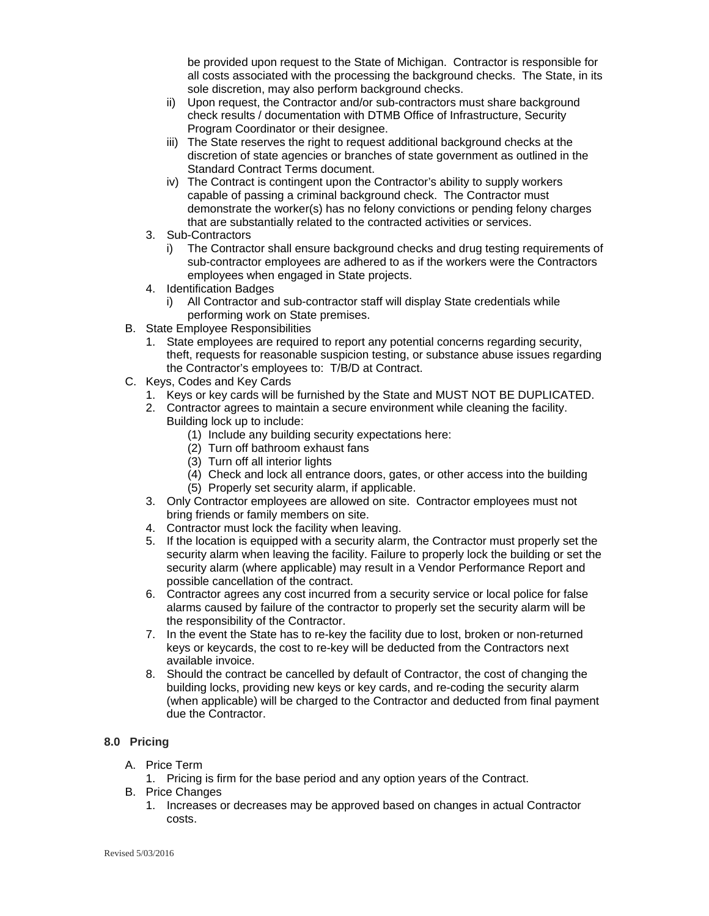be provided upon request to the State of Michigan. Contractor is responsible for all costs associated with the processing the background checks. The State, in its sole discretion, may also perform background checks.

- ii) Upon request, the Contractor and/or sub-contractors must share background check results / documentation with DTMB Office of Infrastructure, Security Program Coordinator or their designee.
- iii) The State reserves the right to request additional background checks at the discretion of state agencies or branches of state government as outlined in the Standard Contract Terms document.
- iv) The Contract is contingent upon the Contractor's ability to supply workers capable of passing a criminal background check. The Contractor must demonstrate the worker(s) has no felony convictions or pending felony charges that are substantially related to the contracted activities or services.
- 3. Sub-Contractors
	- i) The Contractor shall ensure background checks and drug testing requirements of sub-contractor employees are adhered to as if the workers were the Contractors employees when engaged in State projects.
- 4. Identification Badges
	- All Contractor and sub-contractor staff will display State credentials while performing work on State premises.
- B. State Employee Responsibilities
	- 1. State employees are required to report any potential concerns regarding security, theft, requests for reasonable suspicion testing, or substance abuse issues regarding the Contractor's employees to: T/B/D at Contract.
- C. Keys, Codes and Key Cards
	- 1. Keys or key cards will be furnished by the State and MUST NOT BE DUPLICATED.
	- 2. Contractor agrees to maintain a secure environment while cleaning the facility. Building lock up to include:
		- (1) Include any building security expectations here:
		- (2) Turn off bathroom exhaust fans
		- (3) Turn off all interior lights
		- (4) Check and lock all entrance doors, gates, or other access into the building
		- (5) Properly set security alarm, if applicable.
	- 3. Only Contractor employees are allowed on site. Contractor employees must not bring friends or family members on site.
	- 4. Contractor must lock the facility when leaving.
	- 5. If the location is equipped with a security alarm, the Contractor must properly set the security alarm when leaving the facility. Failure to properly lock the building or set the security alarm (where applicable) may result in a Vendor Performance Report and possible cancellation of the contract.
	- 6. Contractor agrees any cost incurred from a security service or local police for false alarms caused by failure of the contractor to properly set the security alarm will be the responsibility of the Contractor.
	- 7. In the event the State has to re-key the facility due to lost, broken or non-returned keys or keycards, the cost to re-key will be deducted from the Contractors next available invoice.
	- 8. Should the contract be cancelled by default of Contractor, the cost of changing the building locks, providing new keys or key cards, and re-coding the security alarm (when applicable) will be charged to the Contractor and deducted from final payment due the Contractor.

#### **8.0 Pricing**

- A. Price Term
	- 1. Pricing is firm for the base period and any option years of the Contract.
- B. Price Changes
	- 1. Increases or decreases may be approved based on changes in actual Contractor costs.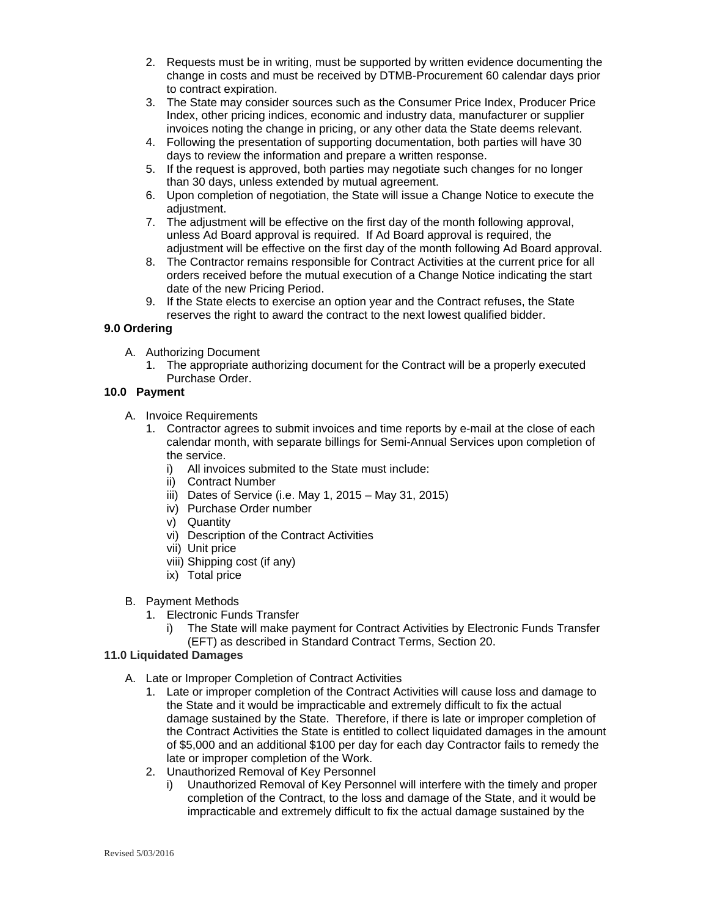- 2. Requests must be in writing, must be supported by written evidence documenting the change in costs and must be received by DTMB-Procurement 60 calendar days prior to contract expiration.
- 3. The State may consider sources such as the Consumer Price Index, Producer Price Index, other pricing indices, economic and industry data, manufacturer or supplier invoices noting the change in pricing, or any other data the State deems relevant.
- 4. Following the presentation of supporting documentation, both parties will have 30 days to review the information and prepare a written response.
- 5. If the request is approved, both parties may negotiate such changes for no longer than 30 days, unless extended by mutual agreement.
- 6. Upon completion of negotiation, the State will issue a Change Notice to execute the adjustment.
- 7. The adjustment will be effective on the first day of the month following approval, unless Ad Board approval is required. If Ad Board approval is required, the adjustment will be effective on the first day of the month following Ad Board approval.
- 8. The Contractor remains responsible for Contract Activities at the current price for all orders received before the mutual execution of a Change Notice indicating the start date of the new Pricing Period.
- 9. If the State elects to exercise an option year and the Contract refuses, the State reserves the right to award the contract to the next lowest qualified bidder.

#### **9.0 Ordering**

- A. Authorizing Document
	- 1. The appropriate authorizing document for the Contract will be a properly executed Purchase Order.

#### **10.0 Payment**

- A. Invoice Requirements
	- 1. Contractor agrees to submit invoices and time reports by e-mail at the close of each calendar month, with separate billings for Semi-Annual Services upon completion of the service.
		- i) All invoices submited to the State must include:
		- ii) Contract Number
		- iii) Dates of Service (i.e. May 1, 2015 May 31, 2015)
		- iv) Purchase Order number
		- v) Quantity
		- vi) Description of the Contract Activities
		- vii) Unit price
		- viii) Shipping cost (if any)
		- ix) Total price
- B. Payment Methods
	- 1. Electronic Funds Transfer
		- i) The State will make payment for Contract Activities by Electronic Funds Transfer (EFT) as described in Standard Contract Terms, Section 20.

#### **11.0 Liquidated Damages**

- A. Late or Improper Completion of Contract Activities
	- 1. Late or improper completion of the Contract Activities will cause loss and damage to the State and it would be impracticable and extremely difficult to fix the actual damage sustained by the State. Therefore, if there is late or improper completion of the Contract Activities the State is entitled to collect liquidated damages in the amount of \$5,000 and an additional \$100 per day for each day Contractor fails to remedy the late or improper completion of the Work.
	- 2. Unauthorized Removal of Key Personnel
		- i) Unauthorized Removal of Key Personnel will interfere with the timely and proper completion of the Contract, to the loss and damage of the State, and it would be impracticable and extremely difficult to fix the actual damage sustained by the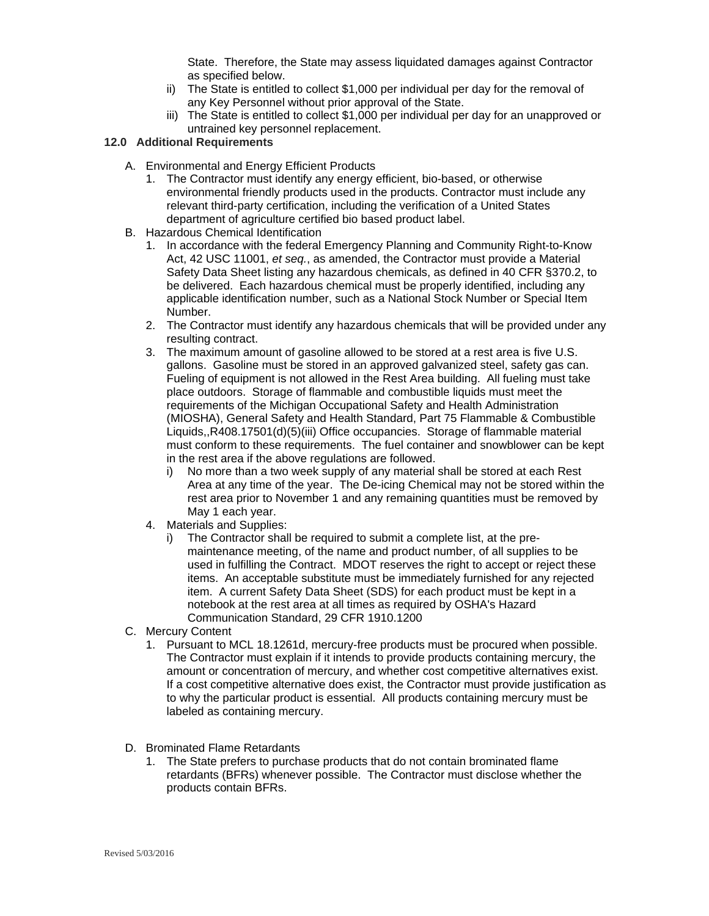State. Therefore, the State may assess liquidated damages against Contractor as specified below.

- ii) The State is entitled to collect \$1,000 per individual per day for the removal of any Key Personnel without prior approval of the State.
- iii) The State is entitled to collect \$1,000 per individual per day for an unapproved or untrained key personnel replacement.

#### **12.0 Additional Requirements**

- A. Environmental and Energy Efficient Products
	- 1. The Contractor must identify any energy efficient, bio-based, or otherwise environmental friendly products used in the products. Contractor must include any relevant third-party certification, including the verification of a United States department of agriculture certified bio based product label.
- B. Hazardous Chemical Identification
	- 1. In accordance with the federal Emergency Planning and Community Right-to-Know Act, 42 USC 11001, *et seq.*, as amended, the Contractor must provide a Material Safety Data Sheet listing any hazardous chemicals, as defined in 40 CFR §370.2, to be delivered. Each hazardous chemical must be properly identified, including any applicable identification number, such as a National Stock Number or Special Item Number.
	- 2. The Contractor must identify any hazardous chemicals that will be provided under any resulting contract.
	- 3. The maximum amount of gasoline allowed to be stored at a rest area is five U.S. gallons. Gasoline must be stored in an approved galvanized steel, safety gas can. Fueling of equipment is not allowed in the Rest Area building. All fueling must take place outdoors. Storage of flammable and combustible liquids must meet the requirements of the Michigan Occupational Safety and Health Administration (MIOSHA), General Safety and Health Standard, Part 75 Flammable & Combustible Liquids,,R408.17501(d)(5)(iii) Office occupancies. Storage of flammable material must conform to these requirements. The fuel container and snowblower can be kept in the rest area if the above regulations are followed.
		- i) No more than a two week supply of any material shall be stored at each Rest Area at any time of the year. The De-icing Chemical may not be stored within the rest area prior to November 1 and any remaining quantities must be removed by May 1 each year.
	- 4. Materials and Supplies:
		- i) The Contractor shall be required to submit a complete list, at the premaintenance meeting, of the name and product number, of all supplies to be used in fulfilling the Contract. MDOT reserves the right to accept or reject these items. An acceptable substitute must be immediately furnished for any rejected item. A current Safety Data Sheet (SDS) for each product must be kept in a notebook at the rest area at all times as required by OSHA's Hazard Communication Standard, 29 CFR 1910.1200
- C. Mercury Content
	- 1. Pursuant to MCL 18.1261d, mercury-free products must be procured when possible. The Contractor must explain if it intends to provide products containing mercury, the amount or concentration of mercury, and whether cost competitive alternatives exist. If a cost competitive alternative does exist, the Contractor must provide justification as to why the particular product is essential. All products containing mercury must be labeled as containing mercury.
- D. Brominated Flame Retardants
	- 1. The State prefers to purchase products that do not contain brominated flame retardants (BFRs) whenever possible. The Contractor must disclose whether the products contain BFRs.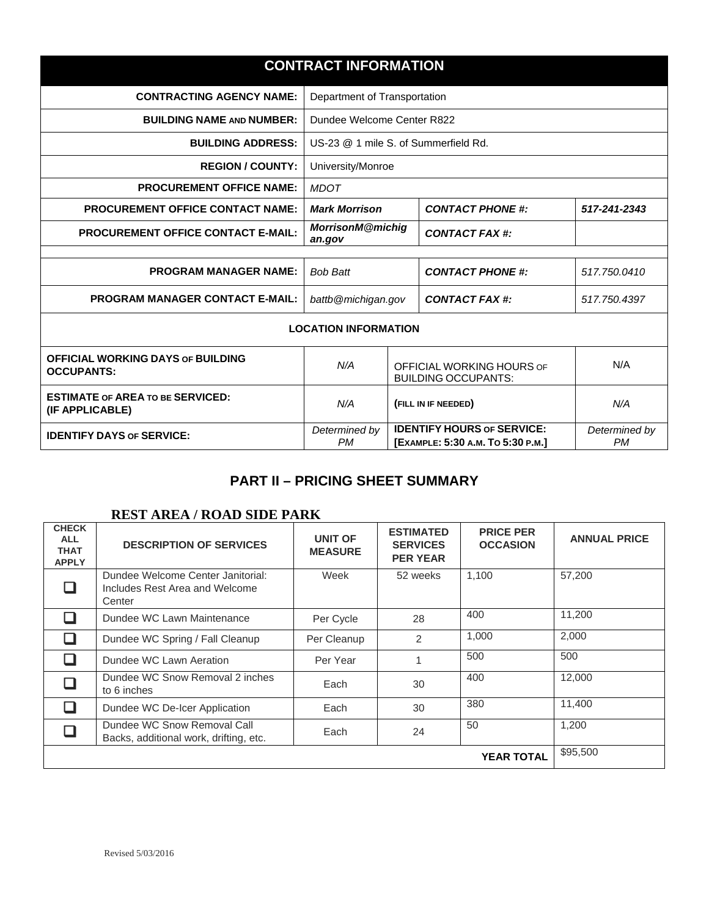|                                                               | <b>CONTRACT INFORMATION</b>                                     |  |                                                                        |                            |
|---------------------------------------------------------------|-----------------------------------------------------------------|--|------------------------------------------------------------------------|----------------------------|
| <b>CONTRACTING AGENCY NAME:</b>                               | Department of Transportation                                    |  |                                                                        |                            |
| <b>BUILDING NAME AND NUMBER:</b>                              | Dundee Welcome Center R822                                      |  |                                                                        |                            |
| <b>BUILDING ADDRESS:</b>                                      | US-23 @ 1 mile S. of Summerfield Rd.                            |  |                                                                        |                            |
| <b>REGION / COUNTY:</b>                                       | University/Monroe                                               |  |                                                                        |                            |
| <b>PROCUREMENT OFFICE NAME:</b>                               | <b>MDOT</b>                                                     |  |                                                                        |                            |
| <b>PROCUREMENT OFFICE CONTACT NAME:</b>                       | <b>Mark Morrison</b><br><b>CONTACT PHONE #:</b><br>517-241-2343 |  |                                                                        |                            |
| <b>PROCUREMENT OFFICE CONTACT E-MAIL:</b>                     | <b>MorrisonM@michig</b><br>an.gov                               |  | <b>CONTACT FAX #:</b>                                                  |                            |
| <b>PROGRAM MANAGER NAME:</b>                                  | <b>Bob Batt</b><br><b>CONTACT PHONE #:</b>                      |  | 517.750.0410                                                           |                            |
| <b>PROGRAM MANAGER CONTACT E-MAIL:</b>                        | battb@michigan.gov<br>CONTACT FAX #:                            |  | 517.750.4397                                                           |                            |
|                                                               | <b>LOCATION INFORMATION</b>                                     |  |                                                                        |                            |
| <b>OFFICIAL WORKING DAYS OF BUILDING</b><br><b>OCCUPANTS:</b> | N/A                                                             |  | OFFICIAL WORKING HOURS OF<br><b>BUILDING OCCUPANTS:</b>                | N/A                        |
| <b>ESTIMATE OF AREA TO BE SERVICED:</b><br>(IF APPLICABLE)    | N/A<br>(FILL IN IF NEEDED)                                      |  | N/A                                                                    |                            |
| <b>IDENTIFY DAYS OF SERVICE:</b>                              | Determined by<br><b>PM</b>                                      |  | <b>IDENTIFY HOURS OF SERVICE:</b><br>[EXAMPLE: 5:30 A.M. TO 5:30 P.M.] | Determined by<br><b>PM</b> |

## **PART II – PRICING SHEET SUMMARY**

### **REST AREA / ROAD SIDE PARK**

| <b>CHECK</b><br><b>ALL</b><br><b>THAT</b><br><b>APPLY</b> | <b>DESCRIPTION OF SERVICES</b>                                                | UNIT OF<br><b>MEASURE</b> | <b>ESTIMATED</b><br><b>SERVICES</b><br><b>PER YEAR</b> | <b>PRICE PER</b><br><b>OCCASION</b> | <b>ANNUAL PRICE</b> |
|-----------------------------------------------------------|-------------------------------------------------------------------------------|---------------------------|--------------------------------------------------------|-------------------------------------|---------------------|
|                                                           | Dundee Welcome Center Janitorial:<br>Includes Rest Area and Welcome<br>Center | Week                      | 52 weeks                                               | 1,100                               | 57,200              |
|                                                           | Dundee WC Lawn Maintenance                                                    | Per Cycle                 | 28                                                     | 400                                 | 11.200              |
|                                                           | Dundee WC Spring / Fall Cleanup                                               | Per Cleanup               | 2                                                      | 1,000                               | 2,000               |
|                                                           | Dundee WC Lawn Aeration                                                       | Per Year                  |                                                        | 500                                 | 500                 |
|                                                           | Dundee WC Snow Removal 2 inches<br>to 6 inches                                | Each                      | 30                                                     | 400                                 | 12.000              |
|                                                           | Dundee WC De-Icer Application                                                 | Each                      | 30                                                     | 380                                 | 11.400              |
|                                                           | Dundee WC Snow Removal Call<br>Backs, additional work, drifting, etc.         | Each                      | 24                                                     | 50                                  | 1,200               |
|                                                           |                                                                               |                           |                                                        | <b>YEAR TOTAL</b>                   | \$95,500            |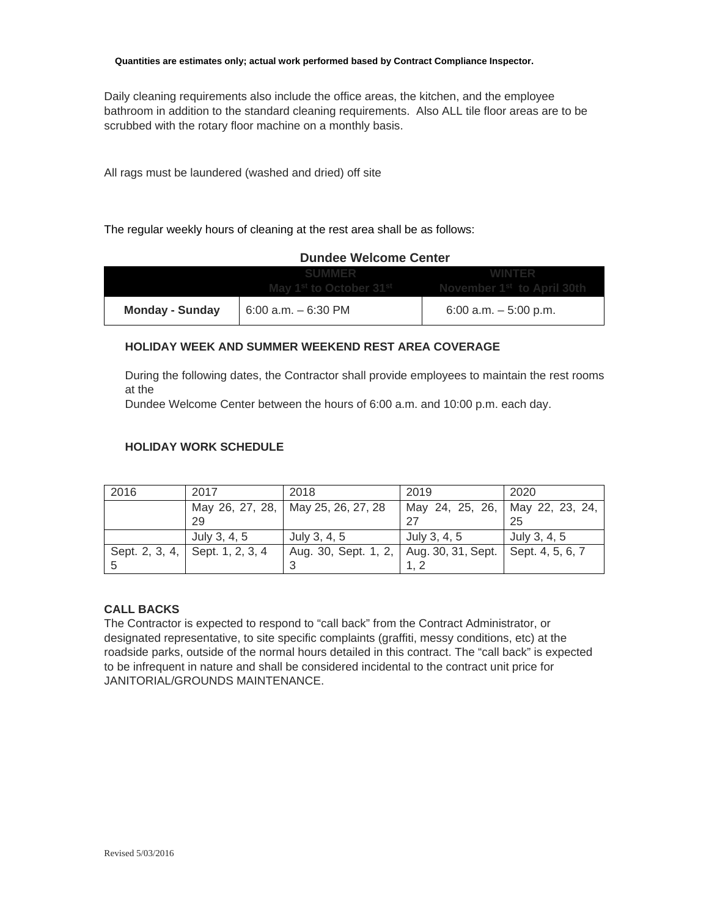Daily cleaning requirements also include the office areas, the kitchen, and the employee bathroom in addition to the standard cleaning requirements. Also ALL tile floor areas are to be scrubbed with the rotary floor machine on a monthly basis.

All rags must be laundered (washed and dried) off site

The regular weekly hours of cleaning at the rest area shall be as follows:

| <b>Dundee Welcome Center</b> |                        |                                                                                        |  |  |
|------------------------------|------------------------|----------------------------------------------------------------------------------------|--|--|
|                              |                        | May 1 <sup>st</sup> to October 31 <sup>st</sup> November 1 <sup>st</sup> to April 30th |  |  |
| <b>Monday - Sunday</b>       | $6:00$ a.m. $-6:30$ PM | 6:00 a.m. $-5:00$ p.m.                                                                 |  |  |

#### **HOLIDAY WEEK AND SUMMER WEEKEND REST AREA COVERAGE**

During the following dates, the Contractor shall provide employees to maintain the rest rooms at the

Dundee Welcome Center between the hours of 6:00 a.m. and 10:00 p.m. each day.

#### **HOLIDAY WORK SCHEDULE**

| 2016           | 2017             | 2018                               | 2019                                  | 2020         |
|----------------|------------------|------------------------------------|---------------------------------------|--------------|
|                |                  | May 26, 27, 28, May 25, 26, 27, 28 | May 24, 25, 26,   May 22, 23, 24,     |              |
|                | 29               |                                    |                                       | 25           |
|                | July 3, 4, 5     | July 3, 4, 5                       | July 3, 4, 5                          | July 3, 4, 5 |
| Sept. 2, 3, 4, | Sept. 1, 2, 3, 4 | Aug. 30, Sept. 1, 2,               | Aug. 30, 31, Sept.   Sept. 4, 5, 6, 7 |              |
|                |                  |                                    |                                       |              |

#### **CALL BACKS**

The Contractor is expected to respond to "call back" from the Contract Administrator, or designated representative, to site specific complaints (graffiti, messy conditions, etc) at the roadside parks, outside of the normal hours detailed in this contract. The "call back" is expected to be infrequent in nature and shall be considered incidental to the contract unit price for JANITORIAL/GROUNDS MAINTENANCE.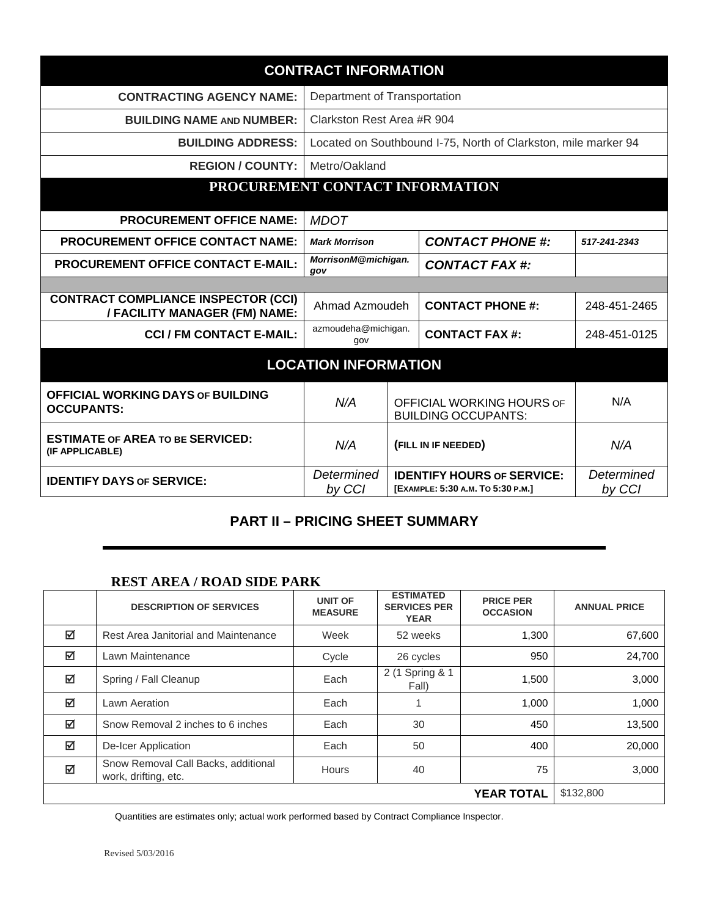| <b>CONTRACT INFORMATION</b>                                                 |                              |  |                                                                        |                      |
|-----------------------------------------------------------------------------|------------------------------|--|------------------------------------------------------------------------|----------------------|
| <b>CONTRACTING AGENCY NAME:</b>                                             | Department of Transportation |  |                                                                        |                      |
| <b>BUILDING NAME AND NUMBER:</b>                                            | Clarkston Rest Area #R 904   |  |                                                                        |                      |
| <b>BUILDING ADDRESS:</b>                                                    |                              |  | Located on Southbound I-75, North of Clarkston, mile marker 94         |                      |
| <b>REGION / COUNTY:</b>                                                     | Metro/Oakland                |  |                                                                        |                      |
| PROCUREMENT CONTACT INFORMATION                                             |                              |  |                                                                        |                      |
| <b>PROCUREMENT OFFICE NAME:</b>                                             | <b>MDOT</b>                  |  |                                                                        |                      |
| <b>PROCUREMENT OFFICE CONTACT NAME:</b>                                     | <b>Mark Morrison</b>         |  | <b>CONTACT PHONE #:</b>                                                | 517-241-2343         |
| <b>PROCUREMENT OFFICE CONTACT E-MAIL:</b>                                   | MorrisonM@michigan.<br>gov   |  | <b>CONTACT FAX #:</b>                                                  |                      |
|                                                                             |                              |  |                                                                        |                      |
| <b>CONTRACT COMPLIANCE INSPECTOR (CCI)</b><br>/ FACILITY MANAGER (FM) NAME: | Ahmad Azmoudeh               |  | <b>CONTACT PHONE #:</b>                                                | 248-451-2465         |
| <b>CCI / FM CONTACT E-MAIL:</b>                                             | azmoudeha@michigan.<br>gov   |  | <b>CONTACT FAX #:</b>                                                  | 248-451-0125         |
|                                                                             | <b>LOCATION INFORMATION</b>  |  |                                                                        |                      |
| <b>OFFICIAL WORKING DAYS OF BUILDING</b><br><b>OCCUPANTS:</b>               | N/A                          |  | OFFICIAL WORKING HOURS OF<br><b>BUILDING OCCUPANTS:</b>                | N/A                  |
| <b>ESTIMATE OF AREA TO BE SERVICED:</b><br>(IF APPLICABLE)                  | N/A<br>(FILL IN IF NEEDED)   |  | N/A                                                                    |                      |
| <b>IDENTIFY DAYS OF SERVICE:</b>                                            | Determined<br>by CCI         |  | <b>IDENTIFY HOURS OF SERVICE:</b><br>[EXAMPLE: 5:30 A.M. TO 5:30 P.M.] | Determined<br>by CCI |

## **PART II – PRICING SHEET SUMMARY**

### **REST AREA / ROAD SIDE PARK**

|   | <b>DESCRIPTION OF SERVICES</b>                              | <b>UNIT OF</b><br><b>MEASURE</b> | <b>ESTIMATED</b><br><b>SERVICES PER</b><br><b>YEAR</b> | <b>PRICE PER</b><br><b>OCCASION</b> | <b>ANNUAL PRICE</b> |
|---|-------------------------------------------------------------|----------------------------------|--------------------------------------------------------|-------------------------------------|---------------------|
| ☑ | Rest Area Janitorial and Maintenance                        | Week                             | 52 weeks                                               | 1,300                               | 67,600              |
| ☑ | Lawn Maintenance                                            | Cycle                            | 26 cycles                                              | 950                                 | 24,700              |
| ☑ | Spring / Fall Cleanup                                       | Each                             | 2 (1 Spring & 1<br>Fall)                               | 1,500                               | 3,000               |
| ☑ | Lawn Aeration                                               | Each                             |                                                        | 1,000                               | 1,000               |
| ☑ | Snow Removal 2 inches to 6 inches                           | Each                             | 30                                                     | 450                                 | 13,500              |
| ☑ | De-Icer Application                                         | Each                             | 50                                                     | 400                                 | 20,000              |
| ☑ | Snow Removal Call Backs, additional<br>work, drifting, etc. | <b>Hours</b>                     | 40                                                     | 75                                  | 3,000               |
|   |                                                             |                                  |                                                        | <b>YEAR TOTAL</b>                   | \$132,800           |

Quantities are estimates only; actual work performed based by Contract Compliance Inspector.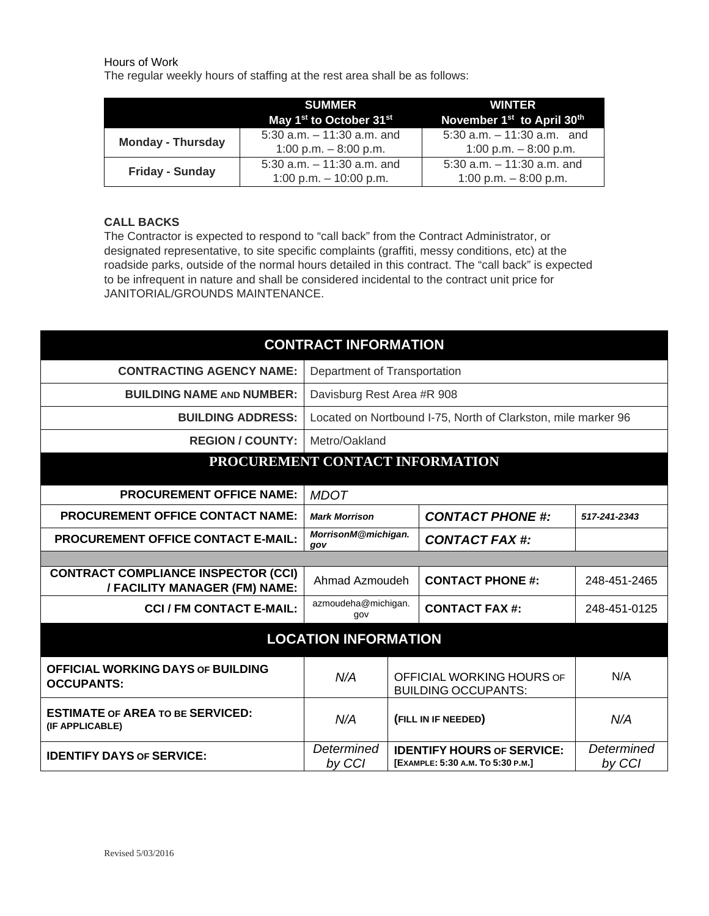Hours of Work

The regular weekly hours of staffing at the rest area shall be as follows:

|                          | <b>SUMMERT</b><br>May 1 <sup>st</sup> to October 31 <sup>st</sup> | <b>WINTER</b><br>November 1 <sup>st</sup> to April 30 <sup>th</sup> |
|--------------------------|-------------------------------------------------------------------|---------------------------------------------------------------------|
| <b>Monday - Thursday</b> | $5:30$ a.m. $-11:30$ a.m. and<br>1:00 p.m. $-8:00$ p.m.           | 5:30 a.m. $-11:30$ a.m. and<br>1:00 p.m. $-8:00$ p.m.               |
| <b>Friday - Sunday</b>   | 5:30 a.m. $-11:30$ a.m. and<br>1:00 p.m. $-$ 10:00 p.m.           | 5:30 a.m. $-11:30$ a.m. and<br>1:00 p.m. $-8:00$ p.m.               |

#### **CALL BACKS**

The Contractor is expected to respond to "call back" from the Contract Administrator, or designated representative, to site specific complaints (graffiti, messy conditions, etc) at the roadside parks, outside of the normal hours detailed in this contract. The "call back" is expected to be infrequent in nature and shall be considered incidental to the contract unit price for JANITORIAL/GROUNDS MAINTENANCE.

| <b>CONTRACT INFORMATION</b>                                                 |                                                               |                                                                                  |                         |              |  |  |
|-----------------------------------------------------------------------------|---------------------------------------------------------------|----------------------------------------------------------------------------------|-------------------------|--------------|--|--|
| <b>CONTRACTING AGENCY NAME:</b>                                             | Department of Transportation                                  |                                                                                  |                         |              |  |  |
| <b>BUILDING NAME AND NUMBER:</b>                                            | Davisburg Rest Area #R 908                                    |                                                                                  |                         |              |  |  |
| <b>BUILDING ADDRESS:</b>                                                    | Located on Nortbound I-75, North of Clarkston, mile marker 96 |                                                                                  |                         |              |  |  |
| <b>REGION / COUNTY:</b>                                                     | Metro/Oakland                                                 |                                                                                  |                         |              |  |  |
| PROCUREMENT CONTACT INFORMATION                                             |                                                               |                                                                                  |                         |              |  |  |
| <b>PROCUREMENT OFFICE NAME:</b>                                             | <b>MDOT</b>                                                   |                                                                                  |                         |              |  |  |
| <b>PROCUREMENT OFFICE CONTACT NAME:</b>                                     | <b>Mark Morrison</b>                                          |                                                                                  | <b>CONTACT PHONE #:</b> | 517-241-2343 |  |  |
| <b>PROCUREMENT OFFICE CONTACT E-MAIL:</b>                                   | MorrisonM@michigan.<br>gov                                    |                                                                                  | CONTACT FAX #:          |              |  |  |
|                                                                             |                                                               |                                                                                  |                         |              |  |  |
| <b>CONTRACT COMPLIANCE INSPECTOR (CCI)</b><br>/ FACILITY MANAGER (FM) NAME: | Ahmad Azmoudeh                                                |                                                                                  | <b>CONTACT PHONE #:</b> | 248-451-2465 |  |  |
| <b>CCI / FM CONTACT E-MAIL:</b>                                             | azmoudeha@michigan.<br>gov                                    |                                                                                  | <b>CONTACT FAX #:</b>   | 248-451-0125 |  |  |
| <b>LOCATION INFORMATION</b>                                                 |                                                               |                                                                                  |                         |              |  |  |
| <b>OFFICIAL WORKING DAYS OF BUILDING</b><br><b>OCCUPANTS:</b>               | N/A                                                           | OFFICIAL WORKING HOURS OF<br><b>BUILDING OCCUPANTS:</b>                          |                         | N/A          |  |  |
| <b>ESTIMATE OF AREA TO BE SERVICED:</b><br>(IF APPLICABLE)                  | N/A                                                           | (FILL IN IF NEEDED)                                                              |                         | N/A          |  |  |
| <b>IDENTIFY DAYS OF SERVICE:</b>                                            | Determined<br>by CCI                                          | <b>IDENTIFY HOURS OF SERVICE:</b><br>[EXAMPLE: 5:30 A.M. TO 5:30 P.M.]<br>by CCI |                         | Determined   |  |  |